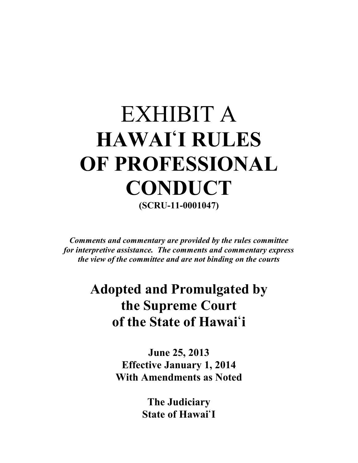# EXHIBIT A **HAWAI'I RULES OF PROFESSIONAL CONDUCT (SCRU-11-0001047)**

*Comments and commentary are provided by the rules committee for interpretive assistance. The comments and commentary express*

*the view of the committee and are not binding on the courts*

## **Adopted and Promulgated by the Supreme Court of the State of Hawai'i**

**June 25, 2013 Effective January 1, 2014 With Amendments as Noted**

> **The Judiciary State of Hawai**<sup>'</sup>**I**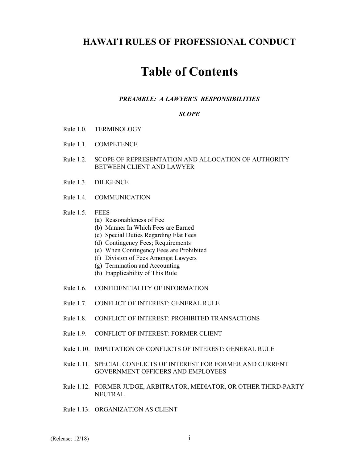## **HAWAI'I RULES OF PROFESSIONAL CONDUCT**

## **Table of Contents**

#### *[PREAMBLE: A LAWYER'S RESPONSIBILITIES](#page-6-0)*

#### *[SCOPE](#page-7-0)*

- [Rule 1.0. TERMINOLOGY](#page-9-0)
- [Rule 1.1. COMPETENCE](#page-12-0)
- [Rule 1.2. SCOPE OF REPRESENTATION AND ALLOCATION OF AUTHORITY](#page-12-0) BETWEEN CLIENT AND LAWYER
- [Rule 1.3. DILIGENCE](#page-15-0)
- [Rule 1.4. COMMUNICATION](#page-16-0)
- [Rule 1.5. FEES](#page-17-0)
	- (a) Reasonableness of Fee
	- (b) Manner In Which Fees are Earned
	- (c) Special Duties Regarding Flat Fees
	- (d) Contingency Fees; Requirements
	- (e) When Contingency Fees are Prohibited
	- (f) Division of Fees Amongst Lawyers
	- (g) Termination and Accounting
	- (h) Inapplicability of This Rule
- [Rule 1.6. CONFIDENTIALITY OF INFORMATION](#page-21-0)
- [Rule 1.7. CONFLICT OF INTEREST: GENERAL RULE](#page-26-0)
- [Rule 1.8. CONFLICT OF INTEREST: PROHIBITED TRANSACTIONS](#page-34-0)
- [Rule 1.9. CONFLICT OF INTEREST: FORMER CLIENT](#page-40-0)
- [Rule 1.10. IMPUTATION OF CONFLICTS OF INTEREST: GENERAL RULE](#page-42-0)
- [Rule 1.11. SPECIAL CONFLICTS OF INTEREST FOR FORMER AND CURRENT](#page-45-0) GOVERNMENT OFFICERS AND EMPLOYEES
- [Rule 1.12. FORMER JUDGE, ARBITRATOR, MEDIATOR, OR OTHER THIRD-PARTY](#page-47-0) NEUTRAL
- [Rule 1.13. ORGANIZATION AS CLIENT](#page-49-0)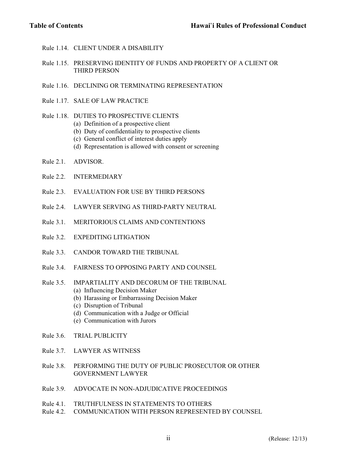- [Rule 1.14. CLIENT UNDER A DISABILITY](#page-52-0)
- [Rule 1.15. PRESERVING IDENTITY OF FUNDS AND PROPERTY OF A CLIENT OR](#page-55-0) THIRD PERSON
- [Rule 1.16. DECLINING OR TERMINATING REPRESENTATION](#page-56-0)
- [Rule 1.17. SALE OF LAW PRACTICE](#page-58-0)
- [Rule 1.18. DUTIES TO PROSPECTIVE CLIENTS](#page-60-0)
	- (a) Definition of a prospective client
	- (b) Duty of confidentiality to prospective clients
	- (c) General conflict of interest duties apply
	- (d) Representation is allowed with consent or screening
- [Rule 2.1. ADVISOR.](#page-62-0)
- [Rule 2.2. INTERMEDIARY](#page-63-0)
- [Rule 2.3. EVALUATION FOR USE BY THIRD PERSONS](#page-64-0)
- [Rule 2.4. LAWYER SERVING AS THIRD-PARTY NEUTRAL](#page-66-0)
- [Rule 3.1. MERITORIOUS CLAIMS AND CONTENTIONS](#page-67-0)
- [Rule 3.2. EXPEDITING LITIGATION](#page-67-0)
- [Rule 3.3. CANDOR TOWARD THE TRIBUNAL](#page-68-0)
- [Rule 3.4. FAIRNESS TO OPPOSING PARTY AND COUNSEL](#page-71-0)
- [Rule 3.5. IMPARTIALITY AND DECORUM OF THE TRIBUNAL](#page-71-0)
	- (a) Influencing Decision Maker
	- (b) Harassing or Embarrassing Decision Maker
	- (c) Disruption of Tribunal
	- (d) Communication with a Judge or Official
	- (e) Communication with Jurors
- [Rule 3.6. TRIAL PUBLICITY](#page-74-0)
- [Rule 3.7. LAWYER AS WITNESS](#page-76-0)
- [Rule 3.8. PERFORMING THE DUTY OF PUBLIC PROSECUTOR OR OTHER](#page-77-0) GOVERNMENT LAWYER
- [Rule 3.9. ADVOCATE IN NON-ADJUDICATIVE PROCEEDINGS](#page-79-0)
- [Rule 4.1. TRUTHFULNESS IN STATEMENTS TO OTHERS](#page-80-0)
- [Rule 4.2. COMMUNICATION WITH PERSON REPRESENTED BY COUNSEL](#page-80-0)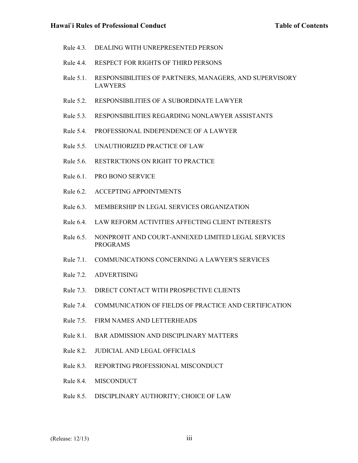- [Rule 4.3. DEALING WITH UNREPRESENTED PERSON](#page-81-0)
- [Rule 4.4. RESPECT FOR RIGHTS OF THIRD PERSONS](#page-82-0)
- [Rule 5.1. RESPONSIBILITIES OF PARTNERS, MANAGERS, AND SUPERVISORY](#page-83-0) LAWYERS
- [Rule 5.2. RESPONSIBILITIES OF A SUBORDINATE LAWYER](#page-84-0)
- [Rule 5.3. RESPONSIBILITIES REGARDING NONLAWYER ASSISTANTS](#page-85-0)
- [Rule 5.4. PROFESSIONAL INDEPENDENCE OF A LAWYER](#page-85-0)
- [Rule 5.5. UNAUTHORIZED PRACTICE OF LAW](#page-86-0)
- [Rule 5.6. RESTRICTIONS ON RIGHT TO PRACTICE](#page-86-0)
- [Rule 6.1. PRO BONO SERVICE](#page-87-0)
- [Rule 6.2. ACCEPTING APPOINTMENTS](#page-89-0)
- [Rule 6.3. MEMBERSHIP IN LEGAL SERVICES ORGANIZATION](#page-90-0)
- [Rule 6.4. LAW REFORM ACTIVITIES AFFECTING CLIENT INTERESTS](#page-90-0)
- [Rule 6.5. NONPROFIT AND COURT-ANNEXED LIMITED LEGAL SERVICES](#page-91-0) PROGRAMS
- [Rule 7.1. COMMUNICATIONS CONCERNING A LAWYER'S SERVICES](#page-92-0)
- [Rule 7.2. ADVERTISING](#page-92-0)
- [Rule 7.3. DIRECT CONTACT WITH PROSPECTIVE CLIENTS](#page-93-0)
- [Rule 7.4. COMMUNICATION OF FIELDS OF PRACTICE AND CERTIFICATION](#page-96-0)
- [Rule 7.5. FIRM NAMES AND LETTERHEADS](#page-97-0)
- [Rule 8.1. BAR ADMISSION AND DISCIPLINARY MATTERS](#page-98-0)
- [Rule 8.2. JUDICIAL AND LEGAL OFFICIALS](#page-98-0)
- [Rule 8.3. REPORTING PROFESSIONAL MISCONDUCT](#page-99-0)
- [Rule 8.4. MISCONDUCT](#page-100-0)
- [Rule 8.5. DISCIPLINARY AUTHORITY; CHOICE OF LAW](#page-101-0)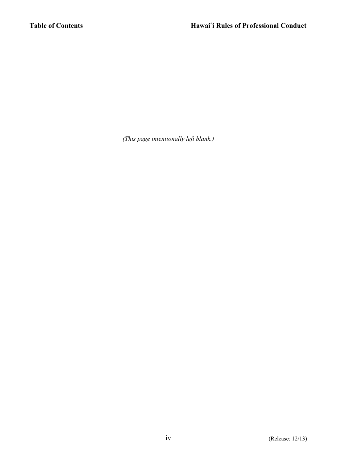*(This page intentionally left blank.)*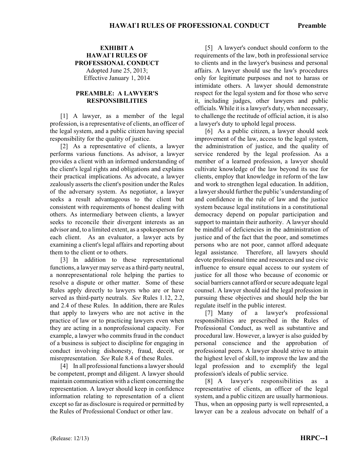### <span id="page-6-0"></span>**EXHIBIT A HAWAI'I RULES OF PROFESSIONAL CONDUCT**

Adopted June 25, 2013; Effective January 1, 2014

#### **PREAMBLE: A LAWYER'S RESPONSIBILITIES**

[1] A lawyer, as a member of the legal profession, is a representative of clients, an officer of the legal system, and a public citizen having special responsibility for the quality of justice.

[2] As a representative of clients, a lawyer performs various functions. As advisor, a lawyer provides a client with an informed understanding of the client's legal rights and obligations and explains their practical implications. As advocate, a lawyer zealously asserts the client's position under the Rules of the adversary system. As negotiator, a lawyer seeks a result advantageous to the client but consistent with requirements of honest dealing with others. As intermediary between clients, a lawyer seeks to reconcile their divergent interests as an advisor and, to a limited extent, as a spokesperson for each client. As an evaluator, a lawyer acts by examining a client's legal affairs and reporting about them to the client or to others.

[3] In addition to these representational functions, a lawyer may serve as a third-party neutral, a nonrepresentational role helping the parties to resolve a dispute or other matter. Some of these Rules apply directly to lawyers who are or have served as third-party neutrals. *See* Rules 1.12, 2.2, and 2.4 of these Rules. In addition, there are Rules that apply to lawyers who are not active in the practice of law or to practicing lawyers even when they are acting in a nonprofessional capacity. For example, a lawyer who commits fraud in the conduct of a business is subject to discipline for engaging in conduct involving dishonesty, fraud, deceit, or misrepresentation. *See* Rule 8.4 of these Rules.

[4] In all professional functions a lawyer should be competent, prompt and diligent. A lawyer should maintain communication with a client concerning the representation. A lawyer should keep in confidence information relating to representation of a client except so far as disclosure is required or permitted by the Rules of Professional Conduct or other law.

[5] A lawyer's conduct should conform to the requirements of the law, both in professional service to clients and in the lawyer's business and personal affairs. A lawyer should use the law's procedures only for legitimate purposes and not to harass or intimidate others. A lawyer should demonstrate respect for the legal system and for those who serve it, including judges, other lawyers and public officials. While it is a lawyer's duty, when necessary, to challenge the rectitude of official action, it is also a lawyer's duty to uphold legal process.

[6] As a public citizen, a lawyer should seek improvement of the law, access to the legal system, the administration of justice, and the quality of service rendered by the legal profession. As a member of a learned profession, a lawyer should cultivate knowledge of the law beyond its use for clients, employ that knowledge in reform of the law and work to strengthen legal education. In addition, a lawyer should further the public's understanding of and confidence in the rule of law and the justice system because legal institutions in a constitutional democracy depend on popular participation and support to maintain their authority. A lawyer should be mindful of deficiencies in the administration of justice and of the fact that the poor, and sometimes persons who are not poor, cannot afford adequate legal assistance. Therefore, all lawyers should devote professional time and resources and use civic influence to ensure equal access to our system of justice for all those who because of economic or social barriers cannot afford or secure adequate legal counsel. A lawyer should aid the legal profession in pursuing these objectives and should help the bar regulate itself in the public interest.

[7] Many of a lawyer's professional responsibilities are prescribed in the Rules of Professional Conduct, as well as substantive and procedural law. However, a lawyer is also guided by personal conscience and the approbation of professional peers. A lawyer should strive to attain the highest level of skill, to improve the law and the legal profession and to exemplify the legal profession's ideals of public service.

[8] A lawyer's responsibilities as a representative of clients, an officer of the legal system, and a public citizen are usually harmonious. Thus, when an opposing party is well represented, a lawyer can be a zealous advocate on behalf of a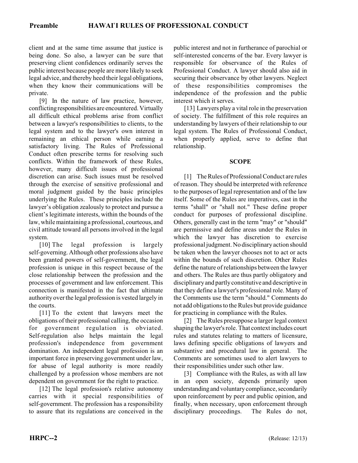<span id="page-7-0"></span>client and at the same time assume that justice is being done. So also, a lawyer can be sure that preserving client confidences ordinarily serves the public interest because people are more likely to seek legal advice, and thereby heed their legal obligations, when they know their communications will be private.

[9] In the nature of law practice, however, conflicting responsibilities are encountered. Virtually all difficult ethical problems arise from conflict between a lawyer's responsibilities to clients, to the legal system and to the lawyer's own interest in remaining an ethical person while earning a satisfactory living. The Rules of Professional Conduct often prescribe terms for resolving such conflicts. Within the framework of these Rules, however, many difficult issues of professional discretion can arise. Such issues must be resolved through the exercise of sensitive professional and moral judgment guided by the basic principles underlying the Rules. These principles include the lawyer's obligation zealously to protect and pursue a client's legitimate interests, within the bounds of the law, while maintaining a professional, courteous, and civil attitude toward all persons involved in the legal system.

[10] The legal profession is largely self-governing. Although other professions also have been granted powers of self-government, the legal profession is unique in this respect because of the close relationship between the profession and the processes of government and law enforcement. This connection is manifested in the fact that ultimate authority over the legal profession is vested largely in the courts.

[11] To the extent that lawyers meet the obligations of their professional calling, the occasion for government regulation is obviated. Self-regulation also helps maintain the legal profession's independence from government domination. An independent legal profession is an important force in preserving government under law, for abuse of legal authority is more readily challenged by a profession whose members are not dependent on government for the right to practice.

[12] The legal profession's relative autonomy carries with it special responsibilities of self-government. The profession has a responsibility to assure that its regulations are conceived in the

public interest and not in furtherance of parochial or self-interested concerns of the bar. Every lawyer is responsible for observance of the Rules of Professional Conduct. A lawyer should also aid in securing their observance by other lawyers. Neglect of these responsibilities compromises the independence of the profession and the public interest which it serves.

[13] Lawyers play a vital role in the preservation of society. The fulfillment of this role requires an understanding by lawyers of their relationship to our legal system. The Rules of Professional Conduct, when properly applied, serve to define that relationship.

#### **SCOPE**

[1] The Rules of Professional Conduct are rules of reason. They should be interpreted with reference to the purposes of legal representation and of the law itself. Some of the Rules are imperatives, cast in the terms "shall" or "shall not." These define proper conduct for purposes of professional discipline. Others, generally cast in the term "may" or "should" are permissive and define areas under the Rules in which the lawyer has discretion to exercise professional judgment. No disciplinary action should be taken when the lawyer chooses not to act or acts within the bounds of such discretion. Other Rules define the nature of relationships between the lawyer and others. The Rules are thus partly obligatory and disciplinary and partly constitutive and descriptive in that they define a lawyer's professional role. Many of the Comments use the term "should." Comments do not add obligations to the Rules but provide guidance for practicing in compliance with the Rules.

[2] The Rules presuppose a larger legal context shaping the lawyer's role. That context includes court rules and statutes relating to matters of licensure, laws defining specific obligations of lawyers and substantive and procedural law in general. The Comments are sometimes used to alert lawyers to their responsibilities under such other law.

[3] Compliance with the Rules, as with all law in an open society, depends primarily upon understanding and voluntary compliance, secondarily upon reinforcement by peer and public opinion, and finally, when necessary, upon enforcement through disciplinary proceedings. The Rules do not,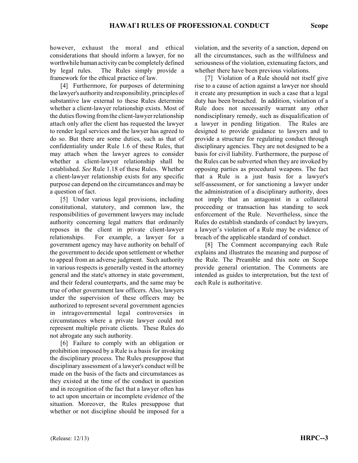however, exhaust the moral and ethical considerations that should inform a lawyer, for no worthwhile human activity can be completely defined by legal rules. The Rules simply provide a framework for the ethical practice of law.

[4] Furthermore, for purposes of determining the lawyer's authority and responsibility, principles of substantive law external to these Rules determine whether a client-lawyer relationship exists. Most of the duties flowing from the client-lawyer relationship attach only after the client has requested the lawyer to render legal services and the lawyer has agreed to do so. But there are some duties, such as that of confidentiality under Rule 1.6 of these Rules, that may attach when the lawyer agrees to consider whether a client-lawyer relationship shall be established. *See* Rule 1.18 of these Rules. Whether a client-lawyer relationship exists for any specific purpose can depend on the circumstances and may be a question of fact.

[5] Under various legal provisions, including constitutional, statutory, and common law, the responsibilities of government lawyers may include authority concerning legal matters that ordinarily reposes in the client in private client-lawyer relationships. For example, a lawyer for a government agency may have authority on behalf of the government to decide upon settlement or whether to appeal from an adverse judgment. Such authority in various respects is generally vested in the attorney general and the state's attorney in state government, and their federal counterparts, and the same may be true of other government law officers. Also, lawyers under the supervision of these officers may be authorized to represent several government agencies in intragovernmental legal controversies in circumstances where a private lawyer could not represent multiple private clients. These Rules do not abrogate any such authority.

[6] Failure to comply with an obligation or prohibition imposed by a Rule is a basis for invoking the disciplinary process. The Rules presuppose that disciplinary assessment of a lawyer's conduct will be made on the basis of the facts and circumstances as they existed at the time of the conduct in question and in recognition of the fact that a lawyer often has to act upon uncertain or incomplete evidence of the situation. Moreover, the Rules presuppose that whether or not discipline should be imposed for a violation, and the severity of a sanction, depend on all the circumstances, such as the willfulness and seriousness of the violation, extenuating factors, and whether there have been previous violations.

[7] Violation of a Rule should not itself give rise to a cause of action against a lawyer nor should it create any presumption in such a case that a legal duty has been breached. In addition, violation of a Rule does not necessarily warrant any other nondisciplinary remedy, such as disqualification of a lawyer in pending litigation. The Rules are designed to provide guidance to lawyers and to provide a structure for regulating conduct through disciplinary agencies. They are not designed to be a basis for civil liability. Furthermore, the purpose of the Rules can be subverted when they are invoked by opposing parties as procedural weapons. The fact that a Rule is a just basis for a lawyer's self-assessment, or for sanctioning a lawyer under the administration of a disciplinary authority, does not imply that an antagonist in a collateral proceeding or transaction has standing to seek enforcement of the Rule. Nevertheless, since the Rules do establish standards of conduct by lawyers, a lawyer's violation of a Rule may be evidence of breach of the applicable standard of conduct.

[8] The Comment accompanying each Rule explains and illustrates the meaning and purpose of the Rule. The Preamble and this note on Scope provide general orientation. The Comments are intended as guides to interpretation, but the text of each Rule is authoritative.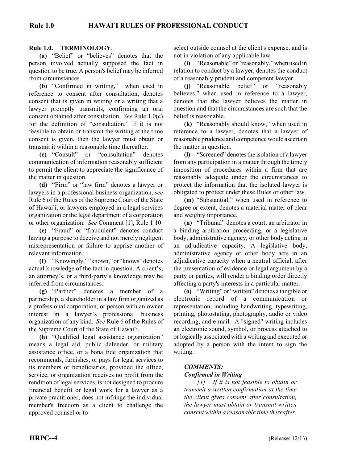#### <span id="page-9-0"></span>**Rule 1.0. TERMINOLOGY**.

**(a)** "Belief" or "believes" denotes that the person involved actually supposed the fact in question to be true. A person's belief may be inferred from circumstances.

**(b)** "Confirmed in writing," when used in reference to consent after consultation, denotes consent that is given in writing or a writing that a lawyer promptly transmits, confirming an oral consent obtained after consultation. *See* Rule 1.0(c) for the definition of "consultation." If it is not feasible to obtain or transmit the writing at the time consent is given, then the lawyer must obtain or transmit it within a reasonable time thereafter.

**(c)** "Consult" or "consultation" denotes communication of information reasonably sufficient to permit the client to appreciate the significance of the matter in question.

**(d)** "Firm" or "law firm" denotes a lawyer or lawyers in a professional business organization, *see* Rule 6 of the Rules of the Supreme Court of the State of Hawai'i, or lawyers employed in a legal services organization or the legal department of a corporation or other organization. *See* Comment [1], Rule 1.10.

**(e)** "Fraud" or "fraudulent" denotes conduct having a purpose to deceive and not merely negligent misrepresentation or failure to apprise another of relevant information.

**(f)** "Knowingly," "known," or "knows" denotes actual knowledge of the fact in question. A client's, an attorney's, or a third-party's knowledge may be inferred from circumstances.

**(g)** "Partner" denotes a member of a partnership, a shareholder in a law firm organized as a professional corporation, or person with an owner interest in a lawyer's professional business organization of any kind. *See* Rule 6 of the Rules of the Supreme Court of the State of Hawai'i.

**(h)** "Qualified legal assistance organization" means a legal aid, public defender, or military assistance office, or a bona fide organization that recommends, furnishes, or pays for legal services to its members or beneficiaries, provided the office, service, or organization receives no profit from the rendition of legal services, is not designed to procure financial benefit or legal work for a lawyer as a private practitioner, does not infringe the individual member's freedom as a client to challenge the approved counsel or to

select outside counsel at the client's expense, and is not in violation of any applicable law.

**(i)** "Reasonable" or "reasonably," when used in relation to conduct by a lawyer, denotes the conduct of a reasonably prudent and competent lawyer.

**(j)** "Reasonable belief" or "reasonably believes," when used in reference to a lawyer, denotes that the lawyer believes the matter in question and that the circumstances are such that the belief is reasonable.

**(k)** "Reasonably should know," when used in reference to a lawyer, denotes that a lawyer of reasonable prudence and competence would ascertain the matter in question.

**(l)** "Screened" denotes the isolation of a lawyer from any participation in a matter through the timely imposition of procedures within a firm that are reasonably adequate under the circumstances to protect the information that the isolated lawyer is obligated to protect under these Rules or other law.

**(m)** "Substantial," when used in reference to degree or extent, denotes a material matter of clear and weighty importance.

**(n)** "Tribunal" denotes a court, an arbitrator in a binding arbitration proceeding, or a legislative body, administrative agency, or other body acting in an adjudicative capacity. A legislative body, administrative agency or other body acts in an adjudicative capacity when a neutral official, after the presentation of evidence or legal argument by a party or parties, will render a binding order directly affecting a party's interests in a particular matter.

**(o)** "Writing" or "written" denotes a tangible or electronic record of a communication or representation, including handwriting, typewriting, printing, photostating, photography, audio or video recording, and e-mail. A "signed" writing includes an electronic sound, symbol, or process attached to or logically associated with a writing and executed or adopted by a person with the intent to sign the writing.

#### *COMMENTS: Confirmed in Writing*

*[1] If it is not feasible to obtain or transmit a written confirmation at the time the client gives consent after consultation, the lawyer must obtain or transmit written consent within a reasonable time thereafter.*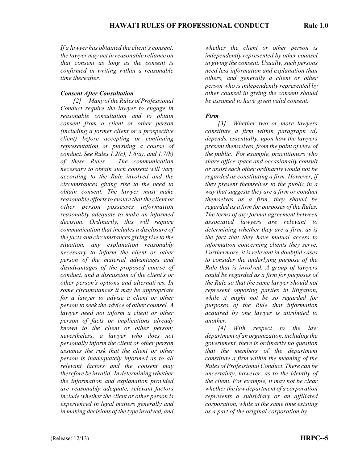*If a lawyer has obtained the client's consent, the lawyer may act in reasonable reliance on that consent as long as the consent is confirmed in writing within a reasonable time thereafter.*

#### *Consent After Consultation*

*[2] Many of the Rules of Professional Conduct require the lawyer to engage in reasonable consultation and to obtain consent from a client or other person (including a former client or a prospective client) before accepting or continuing representation or pursuing a course of conduct. See Rules 1.2(c), 1.6(a), and 1.7(b) of these Rules. The communication necessary to obtain such consent will vary according to the Rule involved and the circumstances giving rise to the need to obtain consent. The lawyer must make reasonable efforts to ensure that the client or other person possesses information reasonably adequate to make an informed decision. Ordinarily, this will require communication that includes a disclosure of the facts and circumstances giving rise to the situation, any explanation reasonably necessary to inform the client or other person of the material advantages and disadvantages of the proposed course of conduct, and a discussion of the client's or other person's options and alternatives. In some circumstances it may be appropriate for a lawyer to advise a client or other person to seek the advice of other counsel. A lawyer need not inform a client or other person of facts or implications already known to the client or other person; nevertheless, a lawyer who does not personally inform the client or other person assumes the risk that the client or other person is inadequately informed as to all relevant factors and the consent may therefore be invalid. In determining whether the information and explanation provided are reasonably adequate, relevant factors include whether the client or other person is experienced in legal matters generally and in making decisions of the type involved, and*

*whether the client or other person is independently represented by other counsel in giving the consent. Usually, such persons need less information and explanation than others, and generally a client or other person who is independently represented by other counsel in giving the consent should be assumed to have given valid consent.*

#### *Firm*

*[3] Whether two or more lawyers constitute a firm within paragraph (d) depends, essentially, upon how the lawyers present themselves, from the point of view of the public. For example, practitioners who share office space and occasionally consult or assist each other ordinarily would not be regarded as constituting a firm. However, if they present themselves to the public in a way that suggests they are a firm or conduct themselves as a firm, they should be regarded as a firm for purposes of the Rules. The terms of any formal agreement between associated lawyers are relevant to determining whether they are a firm, as is the fact that they have mutual access to information concerning clients they serve. Furthermore, it is relevant in doubtful cases to consider the underlying purpose of the Rule that is involved. A group of lawyers could be regarded as a firm for purposes of the Rule so that the same lawyer should not represent opposing parties in litigation, while it might not be so regarded for purposes of the Rule that information acquired by one lawyer is attributed to another.*

*[4] With respect to the law department of an organization, including the government, there is ordinarily no question that the members of the department constitute a firm within the meaning of the Rules of Professional Conduct. There can be uncertainty, however, as to the identity of the client. For example, it may not be clear whether the law department of a corporation represents a subsidiary or an affiliated corporation, while at the same time existing as a part of the original corporation by*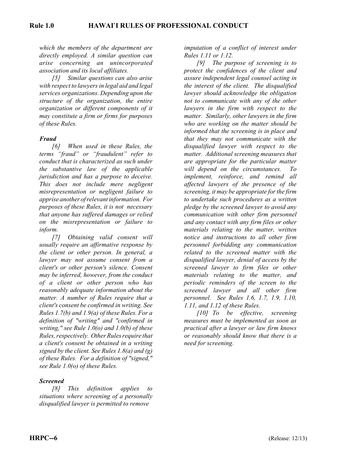*which the members of the department are directly employed. A similar question can arise concerning an unincorporated association and its local affiliates.*

*[5] Similar questions can also arise with respect to lawyers in legal aid and legal services organizations. Depending upon the structure of the organization, the entire organization or different components of it may constitute a firm or firms for purposes of these Rules.*

#### *Fraud*

*[6] When used in these Rules, the terms "fraud" or "fraudulent" refer to conduct that is characterized as such under the substantive law of the applicable jurisdiction and has a purpose to deceive. This does not include mere negligent misrepresentation or negligent failure to apprise another of relevant information. For purposes of these Rules, it is not necessary that anyone has suffered damages or relied on the misrepresentation or failure to inform.*

*[7] Obtaining valid consent will usually require an affirmative response by the client or other person. In general, a lawyer may not assume consent from a client's or other person's silence. Consent may be inferred, however, from the conduct of a client or other person who has reasonably adequate information about the matter. A number of Rules require that a client's consent be confirmed in writing. See Rules 1.7(b) and 1.9(a) of these Rules. For a definition of "writing" and "confirmed in writing," see Rule 1.0(o) and 1.0(b) of these Rules, respectively. Other Rules require that a client's consent be obtained in a writing signed by the client. See Rules 1.8(a) and (g) of these Rules. For a definition of "signed," see Rule 1.0(o) of these Rules.*

#### *Screened*

*[8] This definition applies to situations where screening of a personally disqualified lawyer is permitted to remove* 

*imputation of a conflict of interest under Rules 1.11 or 1.12.*

*[9] The purpose of screening is to protect the confidences of the client and assure independent legal counsel acting in the interest of the client. The disqualified lawyer should acknowledge the obligation not to communicate with any of the other lawyers in the firm with respect to the matter. Similarly, other lawyers in the firm who are working on the matter should be informed that the screening is in place and that they may not communicate with the disqualified lawyer with respect to the matter. Additional screening measures that are appropriate for the particular matter will depend on the circumstances. To implement, reinforce, and remind all affected lawyers of the presence of the screening, it may be appropriate for the firm to undertake such procedures as a written pledge by the screened lawyer to avoid any communication with other firm personnel and any contact with any firm files or other materials relating to the matter, written notice and instructions to all other firm personnel forbidding any communication related to the screened matter with the disqualified lawyer, denial of access by the screened lawyer to firm files or other materials relating to the matter, and periodic reminders of the screen to the screened lawyer and all other firm personnel. See Rules 1.6, 1.7, 1.9, 1.10, 1.11, and 1.12 of these Rules.*

*[10] To be effective, screening measures must be implemented as soon as practical after a lawyer or law firm knows or reasonably should know that there is a need for screening.*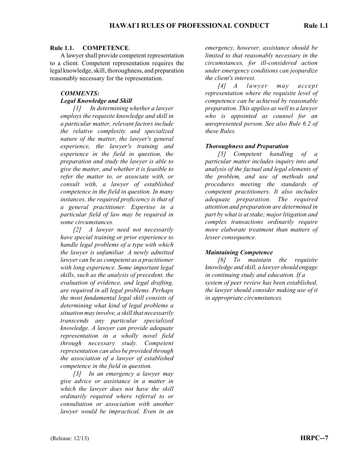#### <span id="page-12-0"></span>**Rule 1.1. COMPETENCE**.

A lawyer shall provide competent representation to a client. Competent representation requires the legal knowledge, skill, thoroughness, and preparation reasonably necessary for the representation.

#### *COMMENTS:*

#### *Legal Knowledge and Skill*

*[1] In determining whether a lawyer employs the requisite knowledge and skill in a particular matter, relevant factors include the relative complexity and specialized nature of the matter, the lawyer's general experience, the lawyer's training and experience in the field in question, the preparation and study the lawyer is able to give the matter, and whether it is feasible to refer the matter to, or associate with, or consult with, a lawyer of established competence in the field in question. In many instances, the required proficiency is that of a general practitioner. Expertise in a particular field of law may be required in some circumstances.* 

*[2] A lawyer need not necessarily have special training or prior experience to handle legal problems of a type with which the lawyer is unfamiliar. A newly admitted lawyer can be as competent as a practitioner with long experience. Some important legal skills, such as the analysis of precedent, the evaluation of evidence, and legal drafting, are required in all legal problems. Perhaps the most fundamental legal skill consists of determining what kind of legal problems a situation may involve, a skill that necessarily transcends any particular specialized knowledge. A lawyer can provide adequate representation in a wholly novel field through necessary study. Competent representation can also be provided through the association of a lawyer of established competence in the field in question.*

*[3] In an emergency a lawyer may give advice or assistance in a matter in which the lawyer does not have the skill ordinarily required where referral to or consultation or association with another lawyer would be impractical. Even in an*

*emergency, however, assistance should be limited to that reasonably necessary in the circumstances, for ill-considered action under emergency conditions can jeopardize the client's interest.*

*[4] A lawyer may accept representation where the requisite level of competence can be achieved by reasonable preparation. This applies as well to a lawyer who is appointed as counsel for an unrepresented person. See also Rule 6.2 of these Rules.*

#### *Thoroughness and Preparation*

*[5] Competent handling of a particular matter includes inquiry into and analysis of the factual and legal elements of the problem, and use of methods and procedures meeting the standards of competent practitioners. It also includes adequate preparation. The required attention and preparation are determined in part by what is at stake; major litigation and complex transactions ordinarily require more elaborate treatment than matters of lesser consequence.*

#### *Maintaining Competence*

*[6] To maintain the requisite knowledge and skill, a lawyer should engage in continuing study and education. If a system of peer review has been established, the lawyer should consider making use of it in appropriate circumstances.*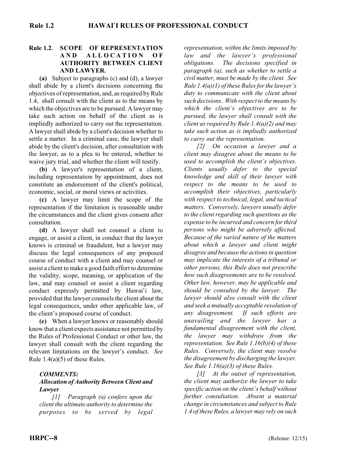#### **Rule 1.2. SCOPE OF REPRESENTATION A N D A L L O C A T I O N O F AUTHORITY BETWEEN CLIENT AND LAWYER.**

**(a)** Subject to paragraphs (c) and (d), a lawyer shall abide by a client's decisions concerning the objectives of representation, and, as required by Rule 1.4, shall consult with the client as to the means by which the objectives are to be pursued. A lawyer may take such action on behalf of the client as is impliedly authorized to carry out the representation. A lawyer shall abide by a client's decision whether to settle a matter. In a criminal case, the lawyer shall abide by the client's decision, after consultation with the lawyer, as to a plea to be entered, whether to waive jury trial, and whether the client will testify.

**(b)** A lawyer's representation of a client, including representation by appointment, does not constitute an endorsement of the client's political, economic, social, or moral views or activities.

**(c)** A lawyer may limit the scope of the representation if the limitation is reasonable under the circumstances and the client gives consent after consultation.

**(d)** A lawyer shall not counsel a client to engage, or assist a client, in conduct that the lawyer knows is criminal or fraudulent, but a lawyer may discuss the legal consequences of any proposed course of conduct with a client and may counsel or assist a client to make a good faith effort to determine the validity, scope, meaning, or application of the law, and may counsel or assist a client regarding conduct expressly permitted by Hawai'i law, provided that the lawyer counsels the client about the legal consequences, under other applicable law, of the client's proposed course of conduct.

**(e)** When a lawyer knows or reasonably should know that a client expects assistance not permitted by the Rules of Professional Conduct or other law, the lawyer shall consult with the client regarding the relevant limitations on the lawyer's conduct. *See* Rule 1.4(a)(5) of these Rules.

#### *COMMENTS:*

#### *Allocation of Authority Between Client and Lawyer*

*[1] Paragraph (a) confers upon the client the ultimate authority to determine the purposes to be served by legal* *representation, within the limits imposed by law and the lawyer's professional obligations. The decisions specified in paragraph (a), such as whether to settle a civil matter, must be made by the client. See Rule 1.4(a)(1) of these Rules for the lawyer's duty to communicate with the client about such decisions. With respect to the means by which the client's objectives are to be pursued, the lawyer shall consult with the client as required by Rule 1.4(a)(2) and may take such action as is impliedly authorized to carry out the representation.*

*[2] On occasion a lawyer and a client may disagree about the means to be used to accomplish the client's objectives. Clients usually defer to the special knowledge and skill of their lawyer with respect to the means to be used to accomplish their objectives, particularly with respect to technical, legal, and tactical matters. Conversely, lawyers usually defer to the client regarding such questions as the expense to be incurred and concern for third persons who might be adversely affected. Because of the varied nature of the matters about which a lawyer and client might disagree and because the actions in question may implicate the interests of a tribunal or other persons, this Rule does not prescribe how such disagreements are to be resolved. Other law, however, may be applicable and should be consulted by the lawyer. The lawyer should also consult with the client and seek a mutually acceptable resolution of any disagreement. If such efforts are unavailing and the lawyer has a fundamental disagreement with the client, the lawyer may withdraw from the representation. See Rule 1.16(b)(4) of these Rules. Conversely, the client may resolve the disagreement by discharging the lawyer. See Rule 1.16(a)(3) of these Rules.*

*[3] At the outset of representation, the client may authorize the lawyer to take specific action on the client's behalf without further consultation. Absent a material change in circumstances and subject to Rule 1.4 of these Rules, a lawyer may rely on such*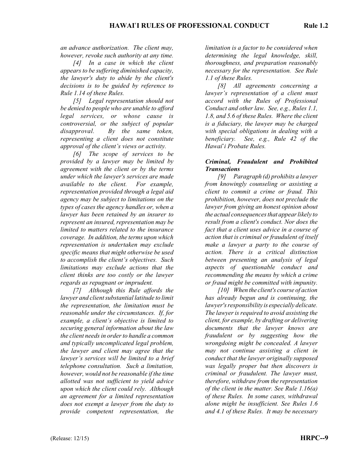*an advance authorization. The client may, however, revoke such authority at any time.*

*[4] In a case in which the client appears to be suffering diminished capacity, the lawyer's duty to abide by the client's decisions is to be guided by reference to Rule 1.14 of these Rules.*

*[5] Legal representation should not be denied to people who are unable to afford legal services, or whose cause is controversial, or the subject of popular disapproval. By the same token, representing a client does not constitute approval of the client's views or activity.*

*[6] The scope of services to be provided by a lawyer may be limited by agreement with the client or by the terms under which the lawyer's services are made available to the client. For example, representation provided through a legal aid agency may be subject to limitations on the types of cases the agency handles or, when a lawyer has been retained by an insurer to represent an insured, representation may be limited to matters related to the insurance coverage. In addition, the terms upon which representation is undertaken may exclude specific means that might otherwise be used to accomplish the client's objectives. Such limitations may exclude actions that the client thinks are too costly or the lawyer regards as repugnant or imprudent.*

*[7] Although this Rule affords the lawyer and client substantial latitude to limit the representation, the limitation must be reasonable under the circumstances. If, for example, a client's objective is limited to securing general information about the law the client needs in order to handle a common and typically uncomplicated legal problem, the lawyer and client may agree that the lawyer's services will be limited to a brief telephone consultation. Such a limitation, however, would not be reasonable if the time allotted was not sufficient to yield advice upon which the client could rely. Although an agreement for a limited representation does not exempt a lawyer from the duty to provide competent representation, the*

*limitation is a factor to be considered when determining the legal knowledge, skill, thoroughness, and preparation reasonably necessary for the representation. See Rule 1.1 of these Rules.*

*[8] All agreements concerning a lawyer's representation of a client must accord with the Rules of Professional Conduct and other law. See, e.g., Rules 1.1, 1.8, and 5.6 of these Rules. Where the client is a fiduciary, the lawyer may be charged with special obligations in dealing with a beneficiary. See, e.g., Rule 42 of the Hawai<sup><i>'*</sup>**i** Probate Rules.

#### *Criminal, Fraudulent and Prohibited Transactions*

*[9] Paragraph (d) prohibits a lawyer from knowingly counseling or assisting a client to commit a crime or fraud. This prohibition, however, does not preclude the lawyer from giving an honest opinion about the actual consequences that appear likely to result from a client's conduct. Nor does the fact that a client uses advice in a course of action that is criminal or fraudulent of itself make a lawyer a party to the course of action. There is a critical distinction between presenting an analysis of legal aspects of questionable conduct and recommending the means by which a crime or fraud might be committed with impunity.*

*[10] When the client's course of action has already begun and is continuing, the lawyer's responsibility is especially delicate. The lawyer is required to avoid assisting the client, for example, by drafting or delivering documents that the lawyer knows are fraudulent or by suggesting how the wrongdoing might be concealed. A lawyer may not continue assisting a client in conduct that the lawyer originally supposed was legally proper but then discovers is criminal or fraudulent. The lawyer must, therefore, withdraw from the representation of the client in the matter. See Rule 1.16(a) of these Rules. In some cases, withdrawal alone might be insufficient. See Rules 1.6 and 4.1 of these Rules. It may be necessary*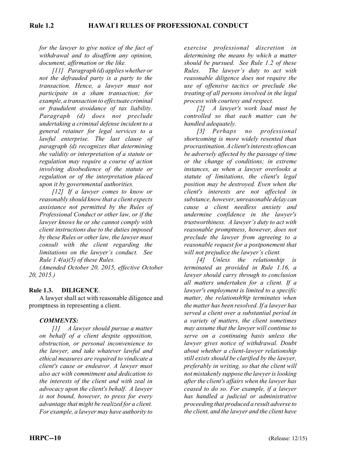<span id="page-15-0"></span>*for the lawyer to give notice of the fact of withdrawal and to disaffirm any opinion, document, affirmation or the like.* 

*[11] Paragraph (d) applies whether or not the defrauded party is a party to the transaction. Hence, a lawyer must not participate in a sham transaction; for example, a transaction to effectuate criminal or fraudulent avoidance of tax liability. Paragraph (d) does not preclude undertaking a criminal defense incident to a general retainer for legal services to a lawful enterprise. The last clause of paragraph (d) recognizes that determining the validity or interpretation of a statute or regulation may require a course of action involving disobedience of the statute or regulation or of the interpretation placed upon it by governmental authorities.*

*[12] If a lawyer comes to know or reasonably should know that a client expects assistance not permitted by the Rules of Professional Conduct or other law, or if the lawyer knows he or she cannot comply with client instructions due to the duties imposed by these Rules or other law, the lawyer must consult with the client regarding the limitations on the lawyer's conduct. See Rule 1.4(a)(5) of these Rules.*

*(Amended October 20, 2015, effective October 20, 2015.)*

#### **Rule 1.3. DILIGENCE**.

A lawyer shall act with reasonable diligence and promptness in representing a client.

#### *COMMENTS:*

*[1] A lawyer should pursue a matter on behalf of a client despite opposition, obstruction, or personal inconvenience to the lawyer, and take whatever lawful and ethical measures are required to vindicate a client's cause or endeavor. A lawyer must also act with commitment and dedication to the interests of the client and with zeal in advocacy upon the client's behalf. A lawyer is not bound, however, to press for every advantage that might be realized for a client. For example, a lawyer may have authority to*

*exercise professional discretion in determining the means by which a matter should be pursued. See Rule 1.2 of these Rules. The lawyer's duty to act with reasonable diligence does not require the use of offensive tactics or preclude the treating of all persons involved in the legal process with courtesy and respect.*

*[2] A lawyer's work load must be controlled so that each matter can be handled adequately.*

*[3] Perhaps no professional shortcoming is more widely resented than procrastination. A client's interests often can be adversely affected by the passage of time or the change of conditions; in extreme instances, as when a lawyer overlooks a statute of limitations, the client's legal position may be destroyed. Even when the client's interests are not affected in substance, however, unreasonable delay can cause a client needless anxiety and undermine confidence in the lawyer's trustworthiness. A lawyer's duty to act with reasonable promptness, however, does not preclude the lawyer from agreeing to a reasonable request for a postponement that will not prejudice the lawyer's client.*

*[4] Unless the relationship is terminated as provided in Rule 1.16, a lawyer should carry through to conclusion all matters undertaken for a client. If a lawyer's employment is limited to a specific matter, the relationsh9ip terminates when the matter has been resolved. If a lawyer has served a client over a substantial period in a variety of matters, the client sometimes may assume that the lawyer will continue to serve on a continuing basis unless the lawyer gives notice of withdrawal. Doubt about whether a client-lawyer relationship still exists should be clarified by the lawyer, preferably in writing, so that the client will not mistakenly suppose the lawyer is looking after the client's affairs when the lawyer has ceased to do so. For example, if a lawyer has handled a judicial or administrative proceeding that produced a result adverse to the client, and the lawyer and the client have*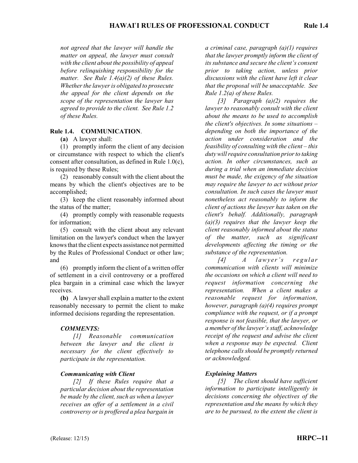<span id="page-16-0"></span>*not agreed that the lawyer will handle the matter on appeal, the lawyer must consult with the client about the possibility of appeal before relinquishing responsibility for the matter. See Rule 1.4(a)(2) of these Rules. Whether the lawyer is obligated to prosecute the appeal for the client depends on the scope of the representation the lawyer has agreed to provide to the client. See Rule 1.2 of these Rules.*

#### **Rule 1.4. COMMUNICATION**.

**(a)** A lawyer shall:

(1) promptly inform the client of any decision or circumstance with respect to which the client's consent after consultation, as defined in Rule 1.0(c), is required by these Rules;

(2) reasonably consult with the client about the means by which the client's objectives are to be accomplished;

(3) keep the client reasonably informed about the status of the matter;

(4) promptly comply with reasonable requests for information;

(5) consult with the client about any relevant limitation on the lawyer's conduct when the lawyer knows that the client expects assistance not permitted by the Rules of Professional Conduct or other law; and

(6) promptly inform the client of a written offer of settlement in a civil controversy or a proffered plea bargain in a criminal case which the lawyer receives.

**(b)** A lawyer shall explain a matter to the extent reasonably necessary to permit the client to make informed decisions regarding the representation.

#### *COMMENTS:*

*[1] Reasonable communication between the lawyer and the client is necessary for the client effectively to participate in the representation.*

#### *Communicating with Client*

*[2] If these Rules require that a particular decision about the representation be made by the client, such as when a lawyer receives an offer of a settlement in a civil controversy or is proffered a plea bargain in*

*a criminal case, paragraph (a)(1) requires that the lawyer promptly inform the client of its substance and secure the client's consent prior to taking action, unless prior discussions with the client have left it clear that the proposal will be unacceptable. See Rule 1.2(a) of these Rules.*

*[3] Paragraph (a)(2) requires the lawyer to reasonably consult with the client about the means to be used to accomplish the client's objectives. In some situations – depending on both the importance of the action under consideration and the feasibility of consulting with the client – this duty will require consultation prior to taking action. In other circumstances, such as during a trial when an immediate decision must be made, the exigency of the situation may require the lawyer to act without prior consultation. In such cases the lawyer must nonetheless act reasonably to inform the client of actions the lawyer has taken on the client's behalf. Additionally, paragraph (a)(3) requires that the lawyer keep the client reasonably informed about the status of the matter, such as significant developments affecting the timing or the substance of the representation.*

*[4] A lawyer's regular communication with clients will minimize the occasions on which a client will need to request information concerning the representation. When a client makes a reasonable request for information, however, paragraph (a)(4) requires prompt compliance with the request, or if a prompt response is not feasible, that the lawyer, or a member of the lawyer's staff, acknowledge receipt of the request and advise the client when a response may be expected. Client telephone calls should be promptly returned or acknowledged.* 

#### *Explaining Matters*

*[5] The client should have sufficient information to participate intelligently in decisions concerning the objectives of the representation and the means by which they are to be pursued, to the extent the client is*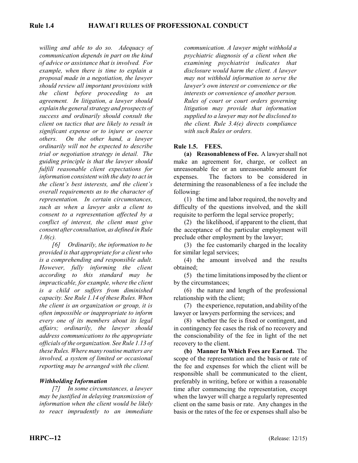<span id="page-17-0"></span>*willing and able to do so. Adequacy of communication depends in part on the kind of advice or assistance that is involved. For example, when there is time to explain a proposal made in a negotiation, the lawyer should review all important provisions with the client before proceeding to an agreement. In litigation, a lawyer should explain the general strategy and prospects of success and ordinarily should consult the client on tactics that are likely to result in significant expense or to injure or coerce others. On the other hand, a lawyer ordinarily will not be expected to describe trial or negotiation strategy in detail. The guiding principle is that the lawyer should fulfill reasonable client expectations for information consistent with the duty to act in the client's best interests, and the client's overall requirements as to the character of representation. In certain circumstances, such as when a lawyer asks a client to consent to a representation affected by a conflict of interest, the client must give consent after consultation, as defined in Rule 1.0(c).*

*[6] Ordinarily, the information to be provided is that appropriate for a client who is a comprehending and responsible adult. However, fully informing the client according to this standard may be impracticable, for example, where the client is a child or suffers from diminished capacity. See Rule 1.14 of these Rules. When the client is an organization or group, it is often impossible or inappropriate to inform every one of its members about its legal affairs; ordinarily, the lawyer should address communications to the appropriate officials of the organization. See Rule 1.13 of these Rules. Where many routine matters are involved, a system of limited or occasional reporting may be arranged with the client.* 

#### *Withholding Information*

*[7] In some circumstances, a lawyer may be justified in delaying transmission of information when the client would be likely to react imprudently to an immediate*

*communication. A lawyer might withhold a psychiatric diagnosis of a client when the examining psychiatrist indicates that disclosure would harm the client. A lawyer may not withhold information to serve the lawyer's own interest or convenience or the interests or convenience of another person. Rules of court or court orders governing litigation may provide that information supplied to a lawyer may not be disclosed to the client. Rule 3.4(e) directs compliance with such Rules or orders.*

#### **Rule 1.5. FEES.**

**(a) Reasonableness of Fee.** A lawyer shall not make an agreement for, charge, or collect an unreasonable fee or an unreasonable amount for expenses. The factors to be considered in determining the reasonableness of a fee include the following:

(1) the time and labor required, the novelty and difficulty of the questions involved, and the skill requisite to perform the legal service properly;

(2) the likelihood, if apparent to the client, that the acceptance of the particular employment will preclude other employment by the lawyer;

(3) the fee customarily charged in the locality for similar legal services;

(4) the amount involved and the results obtained;

(5) the time limitations imposed by the client or by the circumstances;

(6) the nature and length of the professional relationship with the client;

(7) the experience, reputation, and ability of the lawyer or lawyers performing the services; and

(8) whether the fee is fixed or contingent, and in contingency fee cases the risk of no recovery and the conscionability of the fee in light of the net recovery to the client.

**(b) Manner In Which Fees are Earned.** The scope of the representation and the basis or rate of the fee and expenses for which the client will be responsible shall be communicated to the client, preferably in writing, before or within a reasonable time after commencing the representation, except when the lawyer will charge a regularly represented client on the same basis or rate. Any changes in the basis or the rates of the fee or expenses shall also be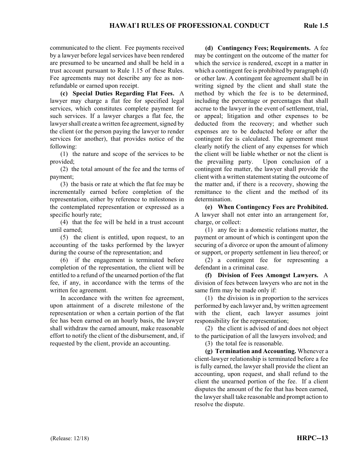communicated to the client. Fee payments received by a lawyer before legal services have been rendered are presumed to be unearned and shall be held in a trust account pursuant to Rule 1.15 of these Rules. Fee agreements may not describe any fee as nonrefundable or earned upon receipt.

**(c) Special Duties Regarding Flat Fees.** A lawyer may charge a flat fee for specified legal services, which constitutes complete payment for such services. If a lawyer charges a flat fee, the lawyer shall create a written fee agreement, signed by the client (or the person paying the lawyer to render services for another), that provides notice of the following:

(1) the nature and scope of the services to be provided;

(2) the total amount of the fee and the terms of payment;

(3) the basis or rate at which the flat fee may be incrementally earned before completion of the representation, either by reference to milestones in the contemplated representation or expressed as a specific hourly rate;

(4) that the fee will be held in a trust account until earned;

(5) the client is entitled, upon request, to an accounting of the tasks performed by the lawyer during the course of the representation; and

(6) if the engagement is terminated before completion of the representation, the client will be entitled to a refund of the unearned portion of the flat fee, if any, in accordance with the terms of the written fee agreement.

In accordance with the written fee agreement, upon attainment of a discrete milestone of the representation or when a certain portion of the flat fee has been earned on an hourly basis, the lawyer shall withdraw the earned amount, make reasonable effort to notify the client of the disbursement, and, if requested by the client, provide an accounting.

**(d) Contingency Fees; Requirements.** A fee may be contingent on the outcome of the matter for which the service is rendered, except in a matter in which a contingent fee is prohibited by paragraph (d) or other law. A contingent fee agreement shall be in writing signed by the client and shall state the method by which the fee is to be determined, including the percentage or percentages that shall accrue to the lawyer in the event of settlement, trial, or appeal; litigation and other expenses to be deducted from the recovery; and whether such expenses are to be deducted before or after the contingent fee is calculated. The agreement must clearly notify the client of any expenses for which the client will be liable whether or not the client is the prevailing party. Upon conclusion of a contingent fee matter, the lawyer shall provide the client with a written statement stating the outcome of the matter and, if there is a recovery, showing the remittance to the client and the method of its determination.

**(e) When Contingency Fees are Prohibited.**  A lawyer shall not enter into an arrangement for, charge, or collect:

(1) any fee in a domestic relations matter, the payment or amount of which is contingent upon the securing of a divorce or upon the amount of alimony or support, or property settlement in lieu thereof; or

(2) a contingent fee for representing a defendant in a criminal case.

**(f) Division of Fees Amongst Lawyers.** A division of fees between lawyers who are not in the same firm may be made only if:

(1) the division is in proportion to the services performed by each lawyer and, by written agreement with the client, each lawyer assumes joint responsibility for the representation;

(2) the client is advised of and does not object to the participation of all the lawyers involved; and

(3) the total fee is reasonable.

**(g) Termination and Accounting.** Whenever a client-lawyer relationship is terminated before a fee is fully earned, the lawyer shall provide the client an accounting, upon request, and shall refund to the client the unearned portion of the fee. If a client disputes the amount of the fee that has been earned, the lawyer shall take reasonable and prompt action to resolve the dispute.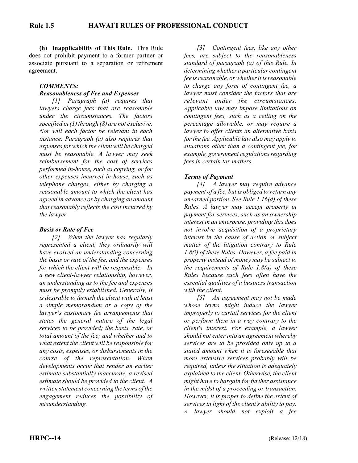**(h) Inapplicability of This Rule.** This Rule does not prohibit payment to a former partner or associate pursuant to a separation or retirement agreement.

#### *COMMENTS:*

#### *Reasonableness of Fee and Expenses*

*[1] Paragraph (a) requires that lawyers charge fees that are reasonable under the circumstances. The factors specified in (1) through (8) are not exclusive. Nor will each factor be relevant in each instance. Paragraph (a) also requires that expenses for which the client will be charged must be reasonable. A lawyer may seek reimbursement for the cost of services performed in-house, such as copying, or for other expenses incurred in-house, such as telephone charges, either by charging a reasonable amount to which the client has agreed in advance or by charging an amount that reasonably reflects the cost incurred by the lawyer.*

#### *Basis or Rate of Fee*

*[2] When the lawyer has regularly represented a client, they ordinarily will have evolved an understanding concerning the basis or rate of the fee, and the expenses for which the client will be responsible. In a new client-lawyer relationship, however, an understanding as to the fee and expenses must be promptly established. Generally, it is desirable to furnish the client with at least a simple memorandum or a copy of the lawyer's customary fee arrangements that states the general nature of the legal services to be provided; the basis, rate, or total amount of the fee; and whether and to what extent the client will be responsible for any costs, expenses, or disbursements in the course of the representation. When developments occur that render an earlier estimate substantially inaccurate, a revised estimate should be provided to the client. A written statement concerning the terms of the engagement reduces the possibility of misunderstanding.*

*[3] Contingent fees, like any other fees, are subject to the reasonableness standard of paragraph (a) of this Rule. In determining whether a particular contingent fee is reasonable, or whether it is reasonable to charge any form of contingent fee, a lawyer must consider the factors that are relevant under the circumstances. Applicable law may impose limitations on contingent fees, such as a ceiling on the percentage allowable, or may require a lawyer to offer clients an alternative basis for the fee. Applicable law also may apply to situations other than a contingent fee, for example, government regulations regarding fees in certain tax matters.*

#### *Terms of Payment*

*[4] A lawyer may require advance payment of a fee, but is obliged to return any unearned portion. See Rule 1.16(d) of these Rules. A lawyer may accept property in payment for services, such as an ownership interest in an enterprise, providing this does not involve acquisition of a proprietary interest in the cause of action or subject matter of the litigation contrary to Rule 1.8(i) of these Rules. However, a fee paid in property instead of money may be subject to the requirements of Rule 1.8(a) of these Rules because such fees often have the essential qualities of a business transaction with the client.*

*[5] An agreement may not be made whose terms might induce the lawyer improperly to curtail services for the client or perform them in a way contrary to the client's interest. For example, a lawyer should not enter into an agreement whereby services are to be provided only up to a stated amount when it is foreseeable that more extensive services probably will be required, unless the situation is adequately explained to the client. Otherwise, the client might have to bargain for further assistance in the midst of a proceeding or transaction. However, it is proper to define the extent of services in light of the client's ability to pay. A lawyer should not exploit a fee*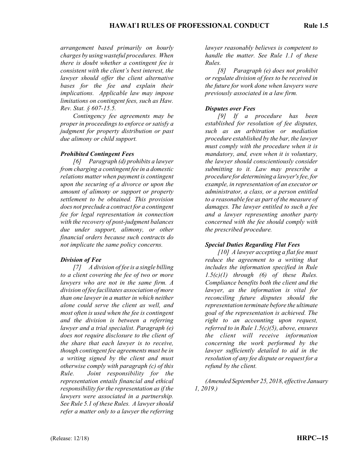*arrangement based primarily on hourly charges by using wasteful procedures. When there is doubt whether a contingent fee is consistent with the client's best interest, the lawyer should offer the client alternative bases for the fee and explain their implications. Applicable law may impose limitations on contingent fees, such as Haw. Rev. Stat. § 607-15.5.*

*Contingency fee agreements may be proper in proceedings to enforce or satisfy a judgment for property distribution or past due alimony or child support.*

#### *Prohibited Contingent Fees*

*[6] Paragraph (d) prohibits a lawyer from charging a contingent fee in a domestic relations matter when payment is contingent upon the securing of a divorce or upon the amount of alimony or support or property settlement to be obtained. This provision does not preclude a contract for a contingent fee for legal representation in connection with the recovery of post-judgment balances due under support, alimony, or other financial orders because such contracts do not implicate the same policy concerns.*

#### *Division of Fee*

*[7] A division of fee is a single billing to a client covering the fee of two or more lawyers who are not in the same firm. A division of fee facilitates association of more than one lawyer in a matter in which neither alone could serve the client as well, and most often is used when the fee is contingent and the division is between a referring lawyer and a trial specialist. Paragraph (e) does not require disclosure to the client of the share that each lawyer is to receive, though contingent fee agreements must be in a writing signed by the client and must otherwise comply with paragraph (c) of this Rule. Joint responsibility for the representation entails financial and ethical responsibility for the representation as if the lawyers were associated in a partnership. See Rule 5.1 of these Rules. A lawyer should refer a matter only to a lawyer the referring*

*lawyer reasonably believes is competent to handle the matter. See Rule 1.1 of these Rules.*

*[8] Paragraph (e) does not prohibit or regulate division of fees to be received in the future for work done when lawyers were previously associated in a law firm.*

#### *Disputes over Fees*

*[9] If a procedure has been established for resolution of fee disputes, such as an arbitration or mediation procedure established by the bar, the lawyer must comply with the procedure when it is mandatory, and, even when it is voluntary, the lawyer should conscientiously consider submitting to it. Law may prescribe a procedure for determining a lawyer's fee, for example, in representation of an executor or administrator, a class, or a person entitled to a reasonable fee as part of the measure of damages. The lawyer entitled to such a fee and a lawyer representing another party concerned with the fee should comply with the prescribed procedure.*

#### *Special Duties Regarding Flat Fees*

*[10] A lawyer accepting a flat fee must reduce the agreement to a writing that includes the information specified in Rule 1.5(c)(1) through (6) of these Rules. Compliance benefits both the client and the lawyer, as the information is vital for reconciling future disputes should the representation terminate before the ultimate goal of the representation is achieved. The right to an accounting upon request, referred to in Rule 1.5(c)(5), above, ensures the client will receive information concerning the work performed by the lawyer sufficiently detailed to aid in the resolution of any fee dispute or request for a refund by the client.*

*(Amended September 25, 2018, effective January 1, 2019.)*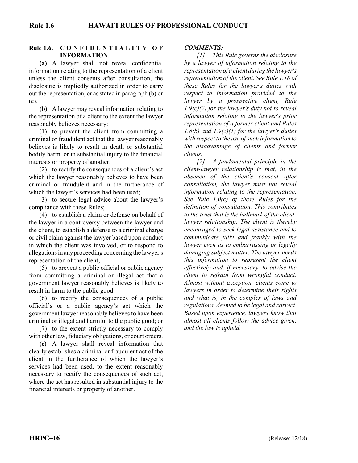#### <span id="page-21-0"></span>**Rule 1.6. C O N F I D E N T I A L I T Y O F INFORMATION**.

**(a)** A lawyer shall not reveal confidential information relating to the representation of a client unless the client consents after consultation, the disclosure is impliedly authorized in order to carry out the representation, or as stated in paragraph (b) or (c).

**(b)** A lawyer may reveal information relating to the representation of a client to the extent the lawyer reasonably believes necessary:

(1) to prevent the client from committing a criminal or fraudulent act that the lawyer reasonably believes is likely to result in death or substantial bodily harm, or in substantial injury to the financial interests or property of another;

(2) to rectify the consequences of a client's act which the lawyer reasonably believes to have been criminal or fraudulent and in the furtherance of which the lawyer's services had been used;

(3) to secure legal advice about the lawyer's compliance with these Rules;

(4) to establish a claim or defense on behalf of the lawyer in a controversy between the lawyer and the client, to establish a defense to a criminal charge or civil claim against the lawyer based upon conduct in which the client was involved, or to respond to allegations in any proceeding concerning the lawyer's representation of the client;

(5) to prevent a public official or public agency from committing a criminal or illegal act that a government lawyer reasonably believes is likely to result in harm to the public good;

(6) to rectify the consequences of a public official's or a public agency's act which the government lawyer reasonably believes to have been criminal or illegal and harmful to the public good; or

(7) to the extent strictly necessary to comply with other law, fiduciary obligations, or court orders.

**(c)** A lawyer shall reveal information that clearly establishes a criminal or fraudulent act of the client in the furtherance of which the lawyer's services had been used, to the extent reasonably necessary to rectify the consequences of such act, where the act has resulted in substantial injury to the financial interests or property of another.

#### *COMMENTS:*

*[1] This Rule governs the disclosure by a lawyer of information relating to the representation of a client during the lawyer's representation of the client. See Rule 1.18 of these Rules for the lawyer's duties with respect to information provided to the lawyer by a prospective client, Rule 1.9(c)(2) for the lawyer's duty not to reveal information relating to the lawyer's prior representation of a former client and Rules 1.8(b) and 1.9(c)(1) for the lawyer's duties with respect to the use of such information to the disadvantage of clients and former clients.*

*[2] A fundamental principle in the client-lawyer relationship is that, in the absence of the client's consent after consultation, the lawyer must not reveal information relating to the representation. See Rule 1.0(c) of these Rules for the definition of consultation. This contributes to the trust that is the hallmark of the clientlawyer relationship. The client is thereby encouraged to seek legal assistance and to communicate fully and frankly with the lawyer even as to embarrassing or legally damaging subject matter. The lawyer needs this information to represent the client effectively and, if necessary, to advise the client to refrain from wrongful conduct. Almost without exception, clients come to lawyers in order to determine their rights and what is, in the complex of laws and regulations, deemed to be legal and correct. Based upon experience, lawyers know that almost all clients follow the advice given, and the law is upheld.*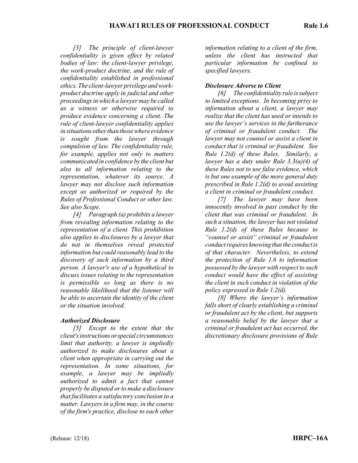*[3] The principle of client-lawyer confidentiality is given effect by related bodies of law: the client-lawyer privilege, the work-product doctrine, and the rule of confidentiality established in professional ethics. The client-lawyer privilege and workproduct doctrine apply in judicial and other proceedings in which a lawyer may be called as a witness or otherwise required to produce evidence concerning a client. The rule of client-lawyer confidentiality applies in situations other than those where evidence is sought from the lawyer through compulsion of law. The confidentiality rule, for example, applies not only to matters communicated in confidence by the client but also to all information relating to the representation, whatever its source. A lawyer may not disclose such information except as authorized or required by the Rules of Professional Conduct or other law. See also Scope.*

*[4] Paragraph (a) prohibits a lawyer from revealing information relating to the representation of a client. This prohibition also applies to disclosures by a lawyer that do not in themselves reveal protected information but could reasonably lead to the discovery of such information by a third person. A lawyer's use of a hypothetical to discuss issues relating to the representation is permissible so long as there is no reasonable likelihood that the listener will be able to ascertain the identity of the client or the situation involved.*

#### *Authorized Disclosure*

*[5] Except to the extent that the client's instructions or special circumstances limit that authority, a lawyer is impliedly authorized to make disclosures about a client when appropriate in carrying out the representation. In some situations, for example, a lawyer may be impliedly authorized to admit a fact that cannot properly be disputed or to make a disclosure that facilitates a satisfactory conclusion to a matter. Lawyers in a firm may, in the course of the firm's practice, disclose to each other*

*information relating to a client of the firm, unless the client has instructed that particular information be confined to specified lawyers.*

#### *Disclosure Adverse to Client*

*[6] The confidentiality rule is subject to limited exceptions. In becoming privy to information about a client, a lawyer may realize that the client has used or intends to use the lawyer's services in the furtherance of criminal or fraudulent conduct. The lawyer may not counsel or assist a client in conduct that is criminal or fraudulent. See Rule 1.2(d) of these Rules. Similarly, a lawyer has a duty under Rule 3.3(a)(4) of these Rules not to use false evidence, which is but one example of the more general duty prescribed in Rule 1.2(d) to avoid assisting a client in criminal or fraudulent conduct.*

*[7] The lawyer may have been innocently involved in past conduct by the client that was criminal or fraudulent. In such a situation, the lawyer has not violated Rule 1.2(d) of these Rules because to "counsel or assist" criminal or fraudulent conduct requires knowing that the conduct is of that character. Nevertheless, to extend the protection of Rule 1.6 to information possessed by the lawyer with respect to such conduct would have the effect of assisting the client in such conduct in violation of the policy expressed in Rule 1.2(d).*

*[8] Where the lawyer's information falls short of clearly establishing a criminal or fraudulent act by the client, but supports a reasonable belief by the lawyer that a criminal or fraudulent act has occurred, the discretionary disclosure provisions of Rule*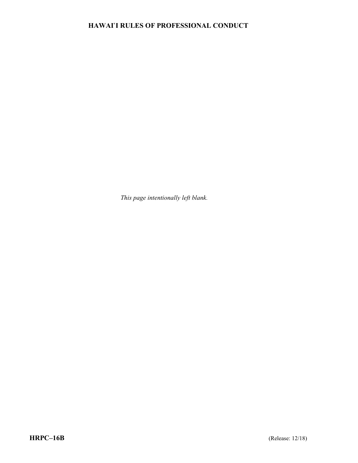*This page intentionally left blank.*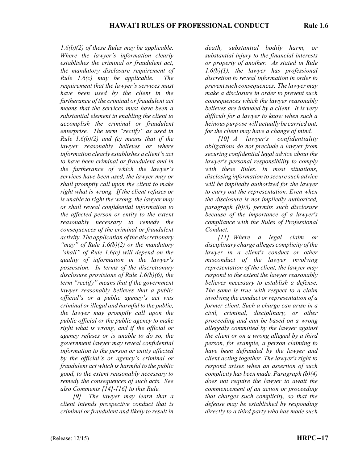*1.6(b)(2) of these Rules may be applicable. Where the lawyer's information clearly establishes the criminal or fraudulent act, the mandatory disclosure requirement of Rule 1.6(c) may be applicable. The requirement that the lawyer's services must have been used by the client in the furtherance of the criminal or fraudulent act means that the services must have been a substantial element in enabling the client to accomplish the criminal or fraudulent enterprise. The term "rectify" as used in Rule 1.6(b)(2) and (c) means that if the lawyer reasonably believes or where information clearly establishes a client's act to have been criminal or fraudulent and in the furtherance of which the lawyer's services have been used, the lawyer may or shall promptly call upon the client to make right what is wrong. If the client refuses or is unable to right the wrong, the lawyer may or shall reveal confidential information to the affected person or entity to the extent reasonably necessary to remedy the consequences of the criminal or fraudulent activity. The application of the discretionary "may" of Rule 1.6(b)(2) or the mandatory "shall" of Rule 1.6(c) will depend on the quality of information in the lawyer's possession. In terms of the discretionary disclosure provisions of Rule 1.6(b)(6), the term "rectify" means that if the government lawyer reasonably believes that a public official's or a public agency's act was criminal or illegal and harmful to the public, the lawyer may promptly call upon the public official or the public agency to make right what is wrong, and if the official or agency refuses or is unable to do so, the government lawyer may reveal confidential information to the person or entity affected by the official's or agency's criminal or fraudulent act which is harmful to the public good, to the extent reasonably necessary to remedy the consequences of such acts. See also Comments [14]-[16] to this Rule.*

*[9] The lawyer may learn that a client intends prospective conduct that is criminal or fraudulent and likely to result in*

*death, substantial bodily harm, or substantial injury to the financial interests or property of another. As stated in Rule 1.6(b)(1), the lawyer has professional discretion to reveal information in order to prevent such consequences. The lawyer may make a disclosure in order to prevent such consequences which the lawyer reasonably believes are intended by a client. It is very difficult for a lawyer to know when such a heinous purpose will actually be carried out, for the client may have a change of mind.*

*[10] A lawyer's confidentiality obligations do not preclude a lawyer from securing confidential legal advice about the lawyer's personal responsibility to comply with these Rules. In most situations, disclosing information to secure such advice will be impliedly authorized for the lawyer to carry out the representation. Even when the disclosure is not impliedly authorized, paragraph (b)(3) permits such disclosure because of the importance of a lawyer's compliance with the Rules of Professional Conduct.*

*[11] Where a legal claim or disciplinary charge alleges complicity of the lawyer in a client's conduct or other misconduct of the lawyer involving representation of the client, the lawyer may respond to the extent the lawyer reasonably believes necessary to establish a defense. The same is true with respect to a claim involving the conduct or representation of a former client. Such a charge can arise in a civil, criminal, disciplinary, or other proceeding and can be based on a wrong allegedly committed by the lawyer against the client or on a wrong alleged by a third person, for example, a person claiming to have been defrauded by the lawyer and client acting together. The lawyer's right to respond arises when an assertion of such complicity has been made. Paragraph (b)(4) does not require the lawyer to await the commencement of an action or proceeding that charges such complicity, so that the defense may be established by responding directly to a third party who has made such*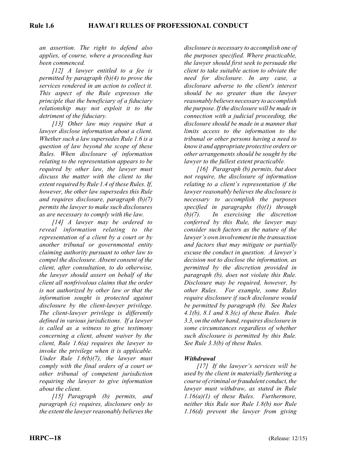*an assertion. The right to defend also applies, of course, where a proceeding has been commenced.*

*[12] A lawyer entitled to a fee is permitted by paragraph (b)(4) to prove the services rendered in an action to collect it. This aspect of the Rule expresses the principle that the beneficiary of a fiduciary relationship may not exploit it to the detriment of the fiduciary.*

*[13] Other law may require that a lawyer disclose information about a client. Whether such a law supersedes Rule 1.6 is a question of law beyond the scope of these Rules. When disclosure of information relating to the representation appears to be required by other law, the lawyer must discuss the matter with the client to the extent required by Rule 1.4 of these Rules. If, however, the other law supersedes this Rule and requires disclosure, paragraph (b)(7) permits the lawyer to make such disclosures as are necessary to comply with the law.*

*[14] A lawyer may be ordered to reveal information relating to the representation of a client by a court or by another tribunal or governmental entity claiming authority pursuant to other law to compel the disclosure. Absent consent of the client, after consultation, to do otherwise, the lawyer should assert on behalf of the client all nonfrivolous claims that the order is not authorized by other law or that the information sought is protected against disclosure by the client-lawyer privilege. The client-lawyer privilege is differently defined in various jurisdictions. If a lawyer is called as a witness to give testimony concerning a client, absent waiver by the client, Rule 1.6(a) requires the lawyer to invoke the privilege when it is applicable. Under Rule 1.6(b)(7), the lawyer must comply with the final orders of a court or other tribunal of competent jurisdiction requiring the lawyer to give information about the client.*

*[15] Paragraph (b) permits, and paragraph (c) requires, disclosure only to the extent the lawyer reasonably believes the*

*disclosure is necessary to accomplish one of the purposes specified. Where practicable, the lawyer should first seek to persuade the client to take suitable action to obviate the need for disclosure. In any case, a disclosure adverse to the client's interest should be no greater than the lawyer reasonably believes necessary to accomplish the purpose. If the disclosure will be made in connection with a judicial proceeding, the disclosure should be made in a manner that limits access to the information to the tribunal or other persons having a need to know it and appropriate protective orders or other arrangements should be sought by the lawyer to the fullest extent practicable.*

*[16] Paragraph (b) permits, but does not require, the disclosure of information relating to a client's representation if the lawyer reasonably believes the disclosure is necessary to accomplish the purposes specified in paragraphs (b)(1) through (b)(7). In exercising the discretion conferred by this Rule, the lawyer may consider such factors as the nature of the lawyer's own involvement in the transaction and factors that may mitigate or partially excuse the conduct in question. A lawyer's decision not to disclose the information, as permitted by the discretion provided in paragraph (b), does not violate this Rule. Disclosure may be required, however, by other Rules. For example, some Rules require disclosure if such disclosure would be permitted by paragraph (b). See Rules 4.1(b), 8.1 and 8.3(c) of these Rules. Rule 3.3, on the other hand, requires disclosure in some circumstances regardless of whether such disclosure is permitted by this Rule. See Rule 3.3(b) of these Rules.*

#### *Withdrawal*

*[17] If the lawyer's services will be used by the client in materially furthering a course of criminal or fraudulent conduct, the lawyer must withdraw, as stated in Rule 1.16(a)(1) of these Rules. Furthermore, neither this Rule nor Rule 1.8(b) nor Rule 1.16(d) prevent the lawyer from giving*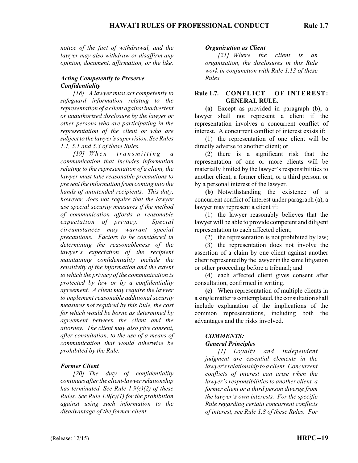<span id="page-26-0"></span>*notice of the fact of withdrawal, and the lawyer may also withdraw or disaffirm any opinion, document, affirmation, or the like.* 

#### *Acting Competently to Preserve Confidentiality*

*[18] A lawyer must act competently to safeguard information relating to the representation of a client against inadvertent or unauthorized disclosure by the lawyer or other persons who are participating in the representation of the client or who are subject to the lawyer's supervision. See Rules 1.1, 5.1 and 5.3 of these Rules.*

*[19] W h e n t r a n s m i t t i n g a communication that includes information relating to the representation of a client, the lawyer must take reasonable precautions to prevent the information from coming into the hands of unintended recipients. This duty, however, does not require that the lawyer use special security measures if the method of communication affords a reasonable expectation of privacy. Special circumstances may warrant special precautions. Factors to be considered in determining the reasonableness of the lawyer's expectation of the recipient maintaining confidentiality include the sensitivity of the information and the extent to which the privacy of the communication is protected by law or by a confidentiality agreement. A client may require the lawyer to implement reasonable additional security measures not required by this Rule, the cost for which would be borne as determined by agreement between the client and the attorney. The client may also give consent, after consultation, to the use of a means of communication that would otherwise be prohibited by the Rule.*

#### *Former Client*

*[20] The duty of confidentiality continues after the client-lawyer relationship has terminated. See Rule 1.9(c)(2) of these Rules. See Rule 1.9(c)(1) for the prohibition against using such information to the disadvantage of the former client.*

#### *Organization as Client*

*[21] Where the client is an organization, the disclosures in this Rule work in conjunction with Rule 1.13 of these Rules.*

#### Rule 1.7. CONFLICT OF INTEREST: **GENERAL RULE.**

**(a)** Except as provided in paragraph (b), a lawyer shall not represent a client if the representation involves a concurrent conflict of interest. A concurrent conflict of interest exists if:

(1) the representation of one client will be directly adverse to another client; or

(2) there is a significant risk that the representation of one or more clients will be materially limited by the lawyer's responsibilities to another client, a former client, or a third person, or by a personal interest of the lawyer.

**(b)** Notwithstanding the existence of a concurrent conflict of interest under paragraph (a), a lawyer may represent a client if:

(1) the lawyer reasonably believes that the lawyer will be able to provide competent and diligent representation to each affected client;

(2) the representation is not prohibited by law;

(3) the representation does not involve the assertion of a claim by one client against another client represented by the lawyer in the same litigation or other proceeding before a tribunal; and

(4) each affected client gives consent after consultation, confirmed in writing.

**(c)** When representation of multiple clients in a single matter is contemplated, the consultation shall include explanation of the implications of the common representations, including both the advantages and the risks involved.

#### *COMMENTS:*

#### *General Principles*

*[1] Loyalty and independent judgment are essential elements in the lawyer's relationship to a client. Concurrent conflicts of interest can arise when the lawyer's responsibilities to another client, a former client or a third person diverge from the lawyer's own interests. For the specific Rule regarding certain concurrent conflicts of interest, see Rule 1.8 of these Rules. For*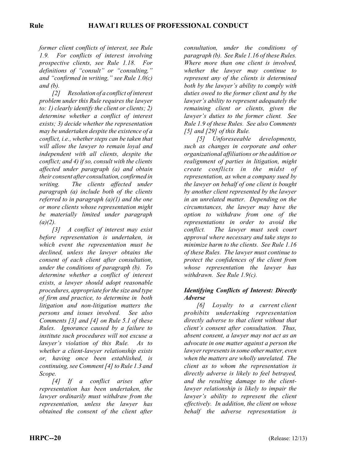*former client conflicts of interest, see Rule 1.9. For conflicts of interest involving prospective clients, see Rule 1.18. For definitions of "consult" or "consulting," and "confirmed in writing," see Rule 1.0(c) and (b).*

*[2] Resolution of a conflict of interest problem under this Rule requires the lawyer to: 1) clearly identify the client or clients; 2) determine whether a conflict of interest exists; 3) decide whether the representation may be undertaken despite the existence of a conflict, i.e., whether steps can be taken that will allow the lawyer to remain loyal and independent with all clients, despite the conflict; and 4) if so, consult with the clients affected under paragraph (a) and obtain their consent after consultation, confirmed in writing. The clients affected under paragraph (a) include both of the clients referred to in paragraph (a)(1) and the one or more clients whose representation might be materially limited under paragraph (a)(2).*

*[3] A conflict of interest may exist before representation is undertaken, in which event the representation must be declined, unless the lawyer obtains the consent of each client after consultation, under the conditions of paragraph (b). To determine whether a conflict of interest exists, a lawyer should adopt reasonable procedures, appropriate for the size and type of firm and practice, to determine in both litigation and non-litigation matters the persons and issues involved. See also Comments [3] and [4] on Rule 5.1 of these Rules. Ignorance caused by a failure to institute such procedures will not excuse a lawyer's violation of this Rule. As to whether a client-lawyer relationship exists or, having once been established, is continuing, see Comment [4] to Rule 1.3 and Scope.*

*[4] If a conflict arises after representation has been undertaken, the lawyer ordinarily must withdraw from the representation, unless the lawyer has obtained the consent of the client after* *consultation, under the conditions of paragraph (b). See Rule 1.16 of these Rules. Where more than one client is involved, whether the lawyer may continue to represent any of the clients is determined both by the lawyer's ability to comply with duties owed to the former client and by the lawyer's ability to represent adequately the remaining client or clients, given the lawyer's duties to the former client. See Rule 1.9 of these Rules. See also Comments [5] and [29] of this Rule.*

*[5] Unforeseeable developments, such as changes in corporate and other organizational affiliations or the addition or realignment of parties in litigation, might create conflicts in the midst of representation, as when a company sued by the lawyer on behalf of one client is bought by another client represented by the lawyer in an unrelated matter. Depending on the circumstances, the lawyer may have the option to withdraw from one of the representations in order to avoid the conflict. The lawyer must seek court approval where necessary and take steps to minimize harm to the clients. See Rule 1.16 of these Rules. The lawyer must continue to protect the confidences of the client from whose representation the lawyer has withdrawn. See Rule 1.9(c).*

#### *Identifying Conflicts of Interest: Directly Adverse*

*[6] Loyalty to a current client prohibits undertaking representation directly adverse to that client without that client's consent after consultation. Thus, absent consent, a lawyer may not act as an advocate in one matter against a person the lawyer represents in some other matter, even when the matters are wholly unrelated. The client as to whom the representation is directly adverse is likely to feel betrayed, and the resulting damage to the clientlawyer relationship is likely to impair the lawyer's ability to represent the client effectively. In addition, the client on whose behalf the adverse representation is*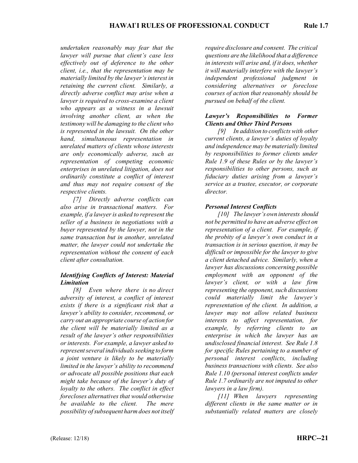*undertaken reasonably may fear that the lawyer will pursue that client's case less effectively out of deference to the other client, i.e., that the representation may be materially limited by the lawyer's interest in retaining the current client. Similarly, a directly adverse conflict may arise when a lawyer is required to cross-examine a client who appears as a witness in a lawsuit involving another client, as when the testimony will be damaging to the client who is represented in the lawsuit. On the other hand, simultaneous representation in unrelated matters of clients whose interests are only economically adverse, such as representation of competing economic enterprises in unrelated litigation, does not ordinarily constitute a conflict of interest and thus may not require consent of the respective clients.*

*[7] Directly adverse conflicts can also arise in transactional matters. For example, if a lawyer is asked to represent the seller of a business in negotiations with a buyer represented by the lawyer, not in the same transaction but in another, unrelated matter, the lawyer could not undertake the representation without the consent of each client after consultation.*

#### *Identifying Conflicts of Interest: Material Limitation*

*[8] Even where there is no direct adversity of interest, a conflict of interest exists if there is a significant risk that a lawyer's ability to consider, recommend, or carry out an appropriate course of action for the client will be materially limited as a result of the lawyer's other responsibilities or interests. For example, a lawyer asked to represent several individuals seeking to form a joint venture is likely to be materially limited in the lawyer's ability to recommend or advocate all possible positions that each might take because of the lawyer's duty of loyalty to the others. The conflict in effect forecloses alternatives that would otherwise be available to the client. The mere possibility of subsequent harm does not itself*

*require disclosure and consent. The critical questions are the likelihood that a difference in interests will arise and, if it does, whether it will materially interfere with the lawyer's independent professional judgment in considering alternatives or foreclose courses of action that reasonably should be pursued on behalf of the client.*

#### *Lawyer's Responsibilities to Former Clients and Other Third Persons*

*[9] In addition to conflicts with other current clients, a lawyer's duties of loyalty and independence may be materially limited by responsibilities to former clients under Rule 1.9 of these Rules or by the lawyer's responsibilities to other persons, such as fiduciary duties arising from a lawyer's service as a trustee, executor, or corporate director.*

#### *Personal Interest Conflicts*

*[10] The lawyer's own interests should not be permitted to have an adverse effect on representation of a client. For example, if the probity of a lawyer's own conduct in a transaction is in serious question, it may be difficult or impossible for the lawyer to give a client detached advice. Similarly, when a lawyer has discussions concerning possible employment with an opponent of the lawyer's client, or with a law firm representing the opponent, such discussions could materially limit the lawyer's representation of the client. In addition, a lawyer may not allow related business interests to affect representation, for example, by referring clients to an enterprise in which the lawyer has an undisclosed financial interest. See Rule 1.8 for specific Rules pertaining to a number of personal interest conflicts, including business transactions with clients. See also Rule 1.10 (personal interest conflicts under Rule 1.7 ordinarily are not imputed to other lawyers in a law firm).*

*[11] When lawyers representing different clients in the same matter or in substantially related matters are closely*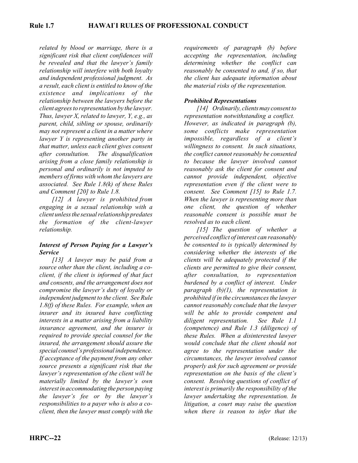*related by blood or marriage, there is a significant risk that client confidences will be revealed and that the lawyer's family relationship will interfere with both loyalty and independent professional judgment. As a result, each client is entitled to know of the existence and implications of the relationship between the lawyers before the client agrees to representation by the lawyer. Thus, lawyer X, related to lawyer, Y, e.g., as parent, child, sibling or spouse, ordinarily may not represent a client in a matter where lawyer Y is representing another party in that matter, unless each client gives consent after consultation. The disqualification arising from a close family relationship is personal and ordinarily is not imputed to members of firms with whom the lawyers are associated. See Rule 1.8(k) of these Rules and Comment [20] to Rule 1.8.*

*[12] A lawyer is prohibited from engaging in a sexual relationship with a client unless the sexual relationship predates the formation of the client-lawyer relationship.* 

#### *Interest of Person Paying for a Lawyer's Service*

*[13] A lawyer may be paid from a source other than the client, including a coclient, if the client is informed of that fact and consents, and the arrangement does not compromise the lawyer's duty of loyalty or independent judgment to the client. See Rule 1.8(f) of these Rules. For example, when an insurer and its insured have conflicting interests in a matter arising from a liability insurance agreement, and the insurer is required to provide special counsel for the insured, the arrangement should assure the special counsel's professional independence. If acceptance of the payment from any other source presents a significant risk that the lawyer's representation of the client will be materially limited by the lawyer's own interest in accommodating the person paying the lawyer's fee or by the lawyer's responsibilities to a payer who is also a coclient, then the lawyer must comply with the*

*requirements of paragraph (b) before accepting the representation, including determining whether the conflict can reasonably be consented to and, if so, that the client has adequate information about the material risks of the representation.* 

#### *Prohibited Representations*

*[14] Ordinarily, clients may consent to representation notwithstanding a conflict. However, as indicated in paragraph (b), some conflicts make representation impossible, regardless of a client's willingness to consent. In such situations, the conflict cannot reasonably be consented to because the lawyer involved cannot reasonably ask the client for consent and cannot provide independent, objective representation even if the client were to consent. See Comment [15] to Rule 1.7. When the lawyer is representing more than one client, the question of whether reasonable consent is possible must be resolved as to each client.*

*[15] The question of whether a perceived conflict of interest can reasonably be consented to is typically determined by considering whether the interests of the clients will be adequately protected if the clients are permitted to give their consent, after consultation, to representation burdened by a conflict of interest. Under paragraph (b)(1), the representation is prohibited if in the circumstances the lawyer cannot reasonably conclude that the lawyer will be able to provide competent and diligent representation. See Rule 1.1 (competence) and Rule 1.3 (diligence) of these Rules. When a disinterested lawyer would conclude that the client should not agree to the representation under the circumstances, the lawyer involved cannot properly ask for such agreement or provide representation on the basis of the client's consent. Resolving questions of conflict of interest is primarily the responsibility of the lawyer undertaking the representation. In litigation, a court may raise the question when there is reason to infer that the*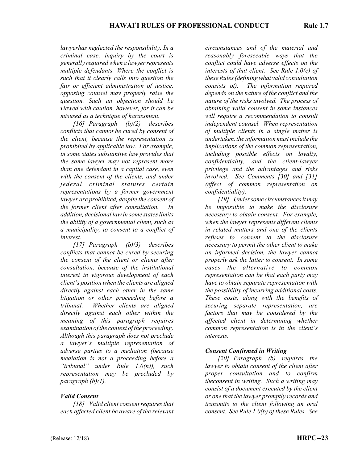*lawyerhas neglected the responsibility. In a criminal case, inquiry by the court is generally required when a lawyer represents multiple defendants. Where the conflict is such that it clearly calls into question the fair or efficient administration of justice, opposing counsel may properly raise the question. Such an objection should be viewed with caution, however, for it can be misused as a technique of harassment.*

*[16] Paragraph (b)(2) describes conflicts that cannot be cured by consent of the client, because the representation is prohibited by applicable law. For example, in some states substantive law provides that the same lawyer may not represent more than one defendant in a capital case, even with the consent of the clients, and under federal criminal statutes certain representations by a former government lawyer are prohibited, despite the consent of the former client after consultation. In addition, decisional law in some states limits the ability of a governmental client, such as a municipality, to consent to a conflict of interest.*

*[17] Paragraph (b)(3) describes conflicts that cannot be cured by securing the consent of the client or clients after consultation, because of the institutional interest in vigorous development of each client's position when the clients are aligned directly against each other in the same litigation or other proceeding before a tribunal. Whether clients are aligned directly against each other within the meaning of this paragraph requires examination of the context of the proceeding. Although this paragraph does not preclude a lawyer's multiple representation of adverse parties to a mediation (because mediation is not a proceeding before a "tribunal" under Rule 1.0(n)), such representation may be precluded by paragraph (b)(1).*

#### *Valid Consent*

*[18] Valid client consent requires that each affected client be aware of the relevant*

*circumstances and of the material and reasonably foreseeable ways that the conflict could have adverse effects on the interests of that client. See Rule 1.0(c) of these Rules (defining what valid consultation consists of). The information required depends on the nature of the conflict and the nature of the risks involved. The process of obtaining valid consent in some instances will require a recommendation to consult independent counsel. When representation of multiple clients in a single matter is undertaken, the information must include the implications of the common representation, including possible effects on loyalty, confidentiality, and the client-lawyer privilege and the advantages and risks involved. See Comments [30] and [31] (effect of common representation on confidentiality).*

*[19] Under some circumstances it may be impossible to make the disclosure necessary to obtain consent. For example, when the lawyer represents different clients in related matters and one of the clients refuses to consent to the disclosure necessary to permit the other client to make an informed decision, the lawyer cannot properly ask the latter to consent. In some cases the alternative to common representation can be that each party may have to obtain separate representation with the possibility of incurring additional costs. These costs, along with the benefits of securing separate representation, are factors that may be considered by the affected client in determining whether common representation is in the client's interests.*

#### *Consent Confirmed in Writing*

*[20] Paragraph (b) requires the lawyer to obtain consent of the client after proper consultation and to confirm theconsent in writing. Such a writing may consist of a document executed by the client or one that the lawyer promptly records and transmits to the client following an oral consent. See Rule 1.0(b) of these Rules. See*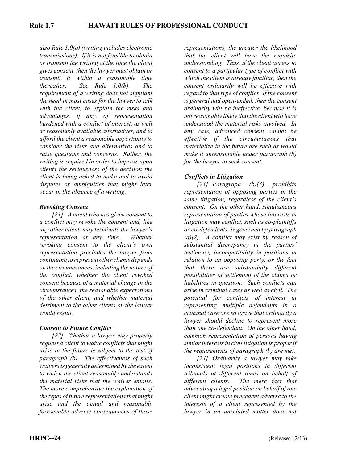*also Rule 1.0(o) (writing includes electronic transmissions). If it is not feasible to obtain or transmit the writing at the time the client gives consent, then the lawyer must obtain or transmit it within a reasonable time thereafter. See Rule 1.0(b). The requirement of a writing does not supplant the need in most cases for the lawyer to talk with the client, to explain the risks and advantages, if any, of representation burdened with a conflict of interest, as well as reasonably available alternatives, and to afford the client a reasonable opportunity to consider the risks and alternatives and to raise questions and concerns. Rather, the writing is required in order to impress upon clients the seriousness of the decision the client is being asked to make and to avoid disputes or ambiguities that might later occur in the absence of a writing.*

#### *Revoking Consent*

*[21] A client who has given consent to a conflict may revoke the consent and, like any other client, may terminate the lawyer's representation at any time. Whether revoking consent to the client's own representation precludes the lawyer from continuing to represent other clients depends on the circumstances, including the nature of the conflict, whether the client revoked consent because of a material change in the circumstances, the reasonable expectations of the other client, and whether material detriment to the other clients or the lawyer would result.*

#### *Consent to Future Conflict*

*[22] Whether a lawyer may properly request a client to waive conflicts that might arise in the future is subject to the test of paragraph (b). The effectiveness of such waivers is generally determined by the extent to which the client reasonably understands the material risks that the waiver entails. The more comprehensive the explanation of the types of future representations that might arise and the actual and reasonably foreseeable adverse consequences of those*

*representations, the greater the likelihood that the client will have the requisite understanding. Thus, if the client agrees to consent to a particular type of conflict with which the client is already familiar, then the consent ordinarily will be effective with regard to that type of conflict. If the consent is general and open-ended, then the consent ordinarily will be ineffective, because it is not reasonably likely that the client will have understood the material risks involved. In any case, advanced consent cannot be effective if the circumstances that materialize in the future are such as would make it unreasonable under paragraph (b) for the lawyer to seek consent.*

#### *Conflicts in Litigation*

*[23] Paragraph (b)(3) prohibits representation of opposing parties in the same litigation, regardless of the client's consent. On the other hand, simultaneous representation of parties whose interests in litigation may conflict, such as co-plaintiffs or co-defendants, is governed by paragraph (a)(2). A conflict may exist by reason of substantial discrepancy in the parties' testimony, incompatibility in positions in relation to an opposing party, or the fact that there are substantially different possibilities of settlement of the claims or liabilities in question. Such conflicts can arise in criminal cases as well as civil. The potential for conflicts of interest in representing multiple defendants in a criminal case are so grave that ordinarily a lawyer should decline to represent more than one co-defendant. On the other hand, common representation of persons having simiar interests in civil litigation is proper if the requirements of paragraph (b) are met.*

*[24] Ordinarily a lawyer may take inconsistent legal positions in different tribunals at different times on behalf of different clients. The mere fact that advocating a legal position on behalf of one client might create precedent adverse to the interests of a client represented by the lawyer in an unrelated matter does not*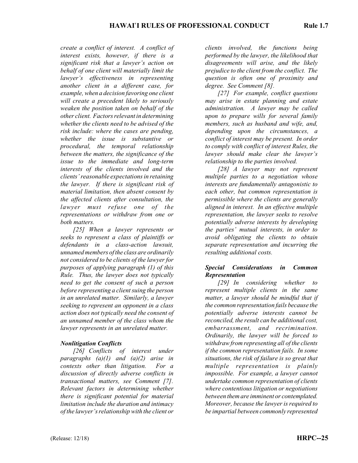*create a conflict of interest. A conflict of interest exists, however, if there is a significant risk that a lawyer's action on behalf of one client will materially limit the lawyer's effectiveness in representing another client in a different case, for example, when a decision favoring one client will create a precedent likely to seriously weaken the position taken on behalf of the other client. Factors relevant in determining whether the clients need to be advised of the risk include: where the cases are pending, whether the issue is substantive or procedural, the temporal relationship between the matters, the significance of the issue to the immediate and long-term interests of the clients involved and the clients' reasonable expectations in retaining the lawyer. If there is significant risk of material limitation, then absent consent by the affected clients after consultation, the lawyer must refuse one of the representations or withdraw from one or both matters.*

*[25] When a lawyer represents or seeks to represent a class of plaintiffs or defendants in a class-action lawsuit, unnamed members of the class are ordinarily not considered to be clients of the lawyer for purposes of applying paragraph (1) of this Rule. Thus, the lawyer does not typically need to get the consent of such a person before representing a client suing the person in an unrelated matter. Similarly, a lawyer seeking to represent an opponent in a class action does not typically need the consent of an unnamed member of the class whom the lawyer represents in an unrelated matter.*

#### *Nonlitigation Conflicts*

*[26] Conflicts of interest under paragraphs (a)(1) and (a)(2) arise in contexts other than litigation. For a discussion of directly adverse conflicts in transactional matters, see Comment [7]. Relevant factors in determining whether there is significant potential for material limitation include the duration and intimacy of the lawyer's relationship with the client or*

*clients involved, the functions being performed by the lawyer, the likelihood that disagreements will arise, and the likely prejudice to the client from the conflict. The question is often one of proximity and degree. See Comment [8].*

*[27] For example, conflict questions may arise in estate planning and estate administration. A lawyer may be called upon to prepare wills for several family members, such as husband and wife, and, depending upon the circumstances, a conflict of interest may be present. In order to comply with conflict of interest Rules, the lawyer should make clear the lawyer's relationship to the parties involved.*

*[28] A lawyer may not represent multiple parties to a negotiation whose interests are fundamentally antagonistic to each other, but common representation is permissible where the clients are generally aligned in interest. In an effective multiple representation, the lawyer seeks to resolve potentially adverse interests by developing the parties' mutual interests, in order to avoid obligating the clients to obtain separate representation and incurring the resulting additional costs.*

#### *Special Considerations in Common Representation*

*[29] In considering whether to represent multiple clients in the same matter, a lawyer should be mindful that if the common representation fails because the potentially adverse interests cannot be reconciled, the result can be additional cost, embarrassment, and recrimination. Ordinarily, the lawyer will be forced to withdraw from representing all of the clients if the common representation fails. In some situations, the risk of failure is so great that multiple representation is plainly impossible. For example, a lawyer cannot undertake common representation of clients where contentious litigation or negotiations between them are imminent or contemplated. Moreover, because the lawyer is required to be impartial between commonly represented*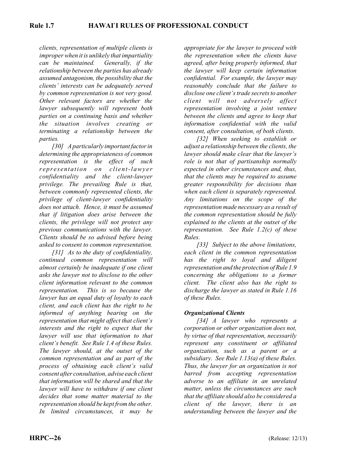*clients, representation of multiple clients is improper when it is unlikely that impartiality can be maintained. Generally, if the relationship between the parties has already assumed antagonism, the possibility that the clients' interests can be adequately served by common representation is not very good. Other relevant factors are whether the lawyer subsequently will represent both parties on a continuing basis and whether the situation involves creating or terminating a relationship between the parties.*

*[30] A particularly important factor in determining the appropriateness of common representation is the effect of such representation on client-lawyer confidentiality and the client-lawyer privilege. The prevailing Rule is that, between commonly represented clients, the privilege of client-lawyer confidentiality does not attach. Hence, it must be assumed that if litigation does arise between the clients, the privilege will not protect any previous communications with the lawyer. Clients should be so advised before being asked to consent to common representation.*

*[31] As to the duty of confidentiality, continued common representation will almost certainly be inadequate if one client asks the lawyer not to disclose to the other client information relevant to the common representation. This is so because the lawyer has an equal duty of loyalty to each client, and each client has the right to be informed of anything bearing on the representation that might affect that client's interests and the right to expect that the lawyer will use that information to that client's benefit. See Rule 1.4 of these Rules. The lawyer should, at the outset of the common representation and as part of the process of obtaining each client's valid consent after consultation, advise each client that information will be shared and that the lawyer will have to withdraw if one client decides that some matter material to the representation should be kept from the other. In limited circumstances, it may be*

*appropriate for the lawyer to proceed with the representation when the clients have agreed, after being properly informed, that the lawyer will keep certain information confidential. For example, the lawyer may reasonably conclude that the failure to disclose one client's trade secrets to another client will not adversely affect representation involving a joint venture between the clients and agree to keep that information confidential with the valid consent, after consultation, of both clients.*

*[32] When seeking to establish or adjust a relationship between the clients, the lawyer should make clear that the lawyer's role is not that of partisanship normally expected in other circumstances and, thus, that the clients may be required to assume greater responsibility for decisions than when each client is separately represented. Any limitations on the scope of the representation made necessary as a result of the common representation should be fully explained to the clients at the outset of the representation. See Rule 1.2(c) of these Rules.*

*[33] Subject to the above limitations, each client in the common representation has the right to loyal and diligent representation and the protection of Rule 1.9 concerning the obligations to a former client. The client also has the right to discharge the lawyer as stated in Rule 1.16 of these Rules.*

#### *Organizational Clients*

*[34] A lawyer who represents a corporation or other organization does not, by virtue of that representation, necessarily represent any constituent or affiliated organization, such as a parent or a subsidiary. See Rule 1.13(a) of these Rules. Thus, the lawyer for an organization is not barred from accepting representation adverse to an affiliate in an unrelated matter, unless the circumstances are such that the affiliate should also be considered a client of the lawyer, there is an understanding between the lawyer and the*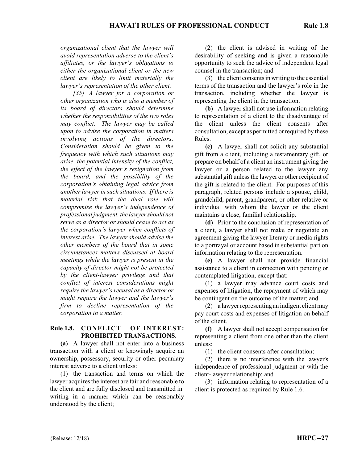<span id="page-34-0"></span>*organizational client that the lawyer will avoid representation adverse to the client's affiliates, or the lawyer's obligations to either the organizational client or the new client are likely to limit materially the lawyer's representation of the other client.*

*[35] A lawyer for a corporation or other organization who is also a member of its board of directors should determine whether the responsibilities of the two roles may conflict. The lawyer may be called upon to advise the corporation in matters involving actions of the directors. Consideration should be given to the frequency with which such situations may arise, the potential intensity of the conflict, the effect of the lawyer's resignation from the board, and the possibility of the corporation's obtaining legal advice from another lawyer in such situations. If there is material risk that the dual role will compromise the lawyer's independence of professional judgment, the lawyer should not serve as a director or should cease to act as the corporation's lawyer when conflicts of interest arise. The lawyer should advise the other members of the board that in some circumstances matters discussed at board meetings while the lawyer is present in the capacity of director might not be protected by the client-lawyer privilege and that conflict of interest considerations might require the lawyer's recusal as a director or might require the lawyer and the lawyer's firm to decline representation of the corporation in a matter.*

#### Rule 1.8. CONFLICT OF INTEREST: **PROHIBITED TRANSACTIONS.**

**(a)** A lawyer shall not enter into a business transaction with a client or knowingly acquire an ownership, possessory, security or other pecuniary interest adverse to a client unless:

(1) the transaction and terms on which the lawyer acquires the interest are fair and reasonable to the client and are fully disclosed and transmitted in writing in a manner which can be reasonably understood by the client;

(2) the client is advised in writing of the desirability of seeking and is given a reasonable opportunity to seek the advice of independent legal counsel in the transaction; and

(3) the client consents in writing to the essential terms of the transaction and the lawyer's role in the transaction, including whether the lawyer is representing the client in the transaction.

**(b)** A lawyer shall not use information relating to representation of a client to the disadvantage of the client unless the client consents after consultation, except as permitted or required by these Rules.

**(c)** A lawyer shall not solicit any substantial gift from a client, including a testamentary gift, or prepare on behalf of a client an instrument giving the lawyer or a person related to the lawyer any substantial gift unless the lawyer or other recipient of the gift is related to the client. For purposes of this paragraph, related persons include a spouse, child, grandchild, parent, grandparent, or other relative or individual with whom the lawyer or the client maintains a close, familial relationship.

**(d)** Prior to the conclusion of representation of a client, a lawyer shall not make or negotiate an agreement giving the lawyer literary or media rights to a portrayal or account based in substantial part on information relating to the representation.

**(e)** A lawyer shall not provide financial assistance to a client in connection with pending or contemplated litigation, except that:

(1) a lawyer may advance court costs and expenses of litigation, the repayment of which may be contingent on the outcome of the matter; and

(2) a lawyer representing an indigent client may pay court costs and expenses of litigation on behalf of the client.

**(f)** A lawyer shall not accept compensation for representing a client from one other than the client unless:

(1) the client consents after consultation;

(2) there is no interference with the lawyer's independence of professional judgment or with the client-lawyer relationship; and

(3) information relating to representation of a client is protected as required by Rule 1.6.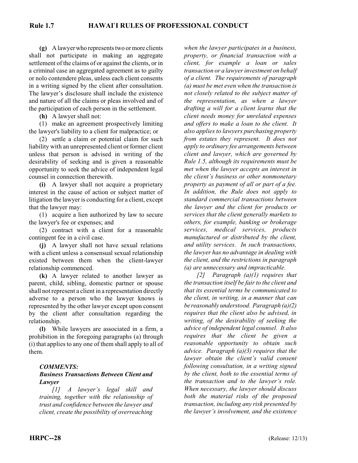**(g)** A lawyer who represents two or more clients shall not participate in making an aggregate settlement of the claims of or against the clients, or in a criminal case an aggregated agreement as to guilty or nolo contendere pleas, unless each client consents in a writing signed by the client after consultation. The lawyer's disclosure shall include the existence and nature of all the claims or pleas involved and of the participation of each person in the settlement.

**(h)** A lawyer shall not:

(1) make an agreement prospectively limiting the lawyer's liability to a client for malpractice; or

(2) settle a claim or potential claim for such liability with an unrepresented client or former client unless that person is advised in writing of the desirability of seeking and is given a reasonable opportunity to seek the advice of independent legal counsel in connection therewith.

**(i)** A lawyer shall not acquire a proprietary interest in the cause of action or subject matter of litigation the lawyer is conducting for a client, except that the lawyer may:

(1) acquire a lien authorized by law to secure the lawyer's fee or expenses; and

(2) contract with a client for a reasonable contingent fee in a civil case.

**(j)** A lawyer shall not have sexual relations with a client unless a consensual sexual relationship existed between them when the client-lawyer relationship commenced.

**(k)** A lawyer related to another lawyer as parent, child, sibling, domestic partner or spouse shall not represent a client in a representation directly adverse to a person who the lawyer knows is represented by the other lawyer except upon consent by the client after consultation regarding the relationship.

**(l)** While lawyers are associated in a firm, a prohibition in the foregoing paragraphs (a) through (i) that applies to any one of them shall apply to all of them.

#### *COMMENTS:*

#### *Business Transactions Between Client and Lawyer*

*[1] A lawyer's legal skill and training, together with the relationship of trust and confidence between the lawyer and client, create the possibility of overreaching*

*when the lawyer participates in a business, property, or financial transaction with a client, for example a loan or sales transaction or a lawyer investment on behalf of a client. The requirements of paragraph (a) must be met even when the transaction is not closely related to the subject matter of the representation, as when a lawyer drafting a will for a client learns that the client needs money for unrelated expenses and offers to make a loan to the client. It also applies to lawyers purchasing property from estates they represent. It does not apply to ordinary fee arrangements between client and lawyer, which are governed by Rule 1.5, although its requirements must be met when the lawyer accepts an interest in the client's business or other nonmonetary property as payment of all or part of a fee. In addition, the Rule does not apply to standard commercial transactions between the lawyer and the client for products or services that the client generally markets to others, for example, banking or brokerage services, medical services, products manufactured or distributed by the client, and utility services. In such transactions, the lawyer has no advantage in dealing with the client, and the restrictions in paragraph (a) are unnecessary and impracticable.*

*[2] Paragraph (a)(1) requires that the transaction itself be fair to the client and that its essential terms be communicated to the client, in writing, in a manner that can be reasonably understood. Paragraph (a)(2) requires that the client also be advised, in writing, of the desirability of seeking the advice of independent legal counsel. It also requires that the client be given a reasonable opportunity to obtain such advice. Paragraph (a)(3) requires that the lawyer obtain the client's valid consent following consultation, in a writing signed by the client, both to the essential terms of the transaction and to the lawyer's role. When necessary, the lawyer should discuss both the material risks of the proposed transaction, including any risk presented by the lawyer's involvement, and the existence*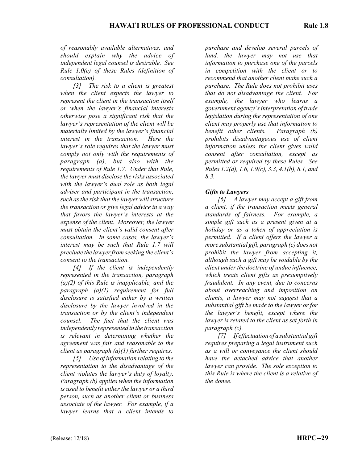*of reasonably available alternatives, and should explain why the advice of independent legal counsel is desirable. See Rule 1.0(c) of these Rules (definition of consultation).*

*[3] The risk to a client is greatest when the client expects the lawyer to represent the client in the transaction itself or when the lawyer's financial interests otherwise pose a significant risk that the lawyer's representation of the client will be materially limited by the lawyer's financial interest in the transaction. Here the lawyer's role requires that the lawyer must comply not only with the requirements of paragraph (a), but also with the requirements of Rule 1.7. Under that Rule, the lawyer must disclose the risks associated with the lawyer's dual role as both legal adviser and participant in the transaction, such as the risk that the lawyer will structure the transaction or give legal advice in a way that favors the lawyer's interests at the expense of the client. Moreover, the lawyer must obtain the client's valid consent after consultation. In some cases, the lawyer's interest may be such that Rule 1.7 will preclude the lawyer from seeking the client's consent to the transaction.*

*[4] If the client is independently represented in the transaction, paragraph (a)(2) of this Rule is inapplicable, and the paragraph (a)(1) requirement for full disclosure is satisfied either by a written disclosure by the lawyer involved in the transaction or by the client's independent counsel. The fact that the client was independently represented in the transaction is relevant in determining whether the agreement was fair and reasonable to the client as paragraph (a)(1) further requires.*

*[5] Use of information relating to the representation to the disadvantage of the client violates the lawyer's duty of loyalty. Paragraph (b) applies when the information is used to benefit either the lawyer or a third person, such as another client or business associate of the lawyer. For example, if a lawyer learns that a client intends to*

*purchase and develop several parcels of land, the lawyer may not use that information to purchase one of the parcels in competition with the client or to recommend that another client make such a purchase. The Rule does not prohibit uses that do not disadvantage the client. For example, the lawyer who learns a government agency's interpretation of trade legislation during the representation of one client may properly use that information to benefit other clients. Paragraph (b) prohibits disadvantageous use of client information unless the client gives valid consent after consultation, except as permitted or required by these Rules. See Rules 1.2(d), 1.6, 1.9(c), 3.3, 4.1(b), 8.1, and 8.3.*

# *Gifts to Lawyers*

*[6] A lawyer may accept a gift from a client, if the transaction meets general standards of fairness. For example, a simple gift such as a present given at a holiday or as a token of appreciation is permitted. If a client offers the lawyer a more substantial gift, paragraph (c) does not prohibit the lawyer from accepting it, although such a gift may be voidable by the client under the doctrine of undue influence, which treats client gifts as presumptively fraudulent. In any event, due to concerns about overreaching and imposition on clients, a lawyer may not suggest that a substantial gift be made to the lawyer or for the lawyer's benefit, except where the lawyer is related to the client as set forth in paragraph (c).*

*[7] If effectuation of a substantial gift requires preparing a legal instrument such as a will or conveyance the client should have the detached advice that another lawyer can provide. The sole exception to this Rule is where the client is a relative of the donee.*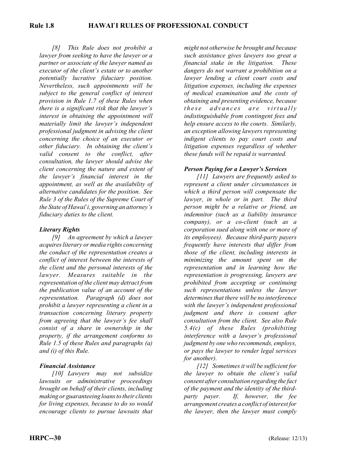*[8] This Rule does not prohibit a lawyer from seeking to have the lawyer or a partner or associate of the lawyer named as executor of the client's estate or to another potentially lucrative fiduciary position. Nevertheless, such appointments will be subject to the general conflict of interest provision in Rule 1.7 of these Rules when there is a significant risk that the lawyer's interest in obtaining the appointment will materially limit the lawyer's independent professional judgment in advising the client concerning the choice of an executor or other fiduciary. In obtaining the client's valid consent to the conflict, after consultation, the lawyer should advise the client concerning the nature and extent of the lawyer's financial interest in the appointment, as well as the availability of alternative candidates for the position. See Rule 3 of the Rules of the Supreme Court of the State of Hawai#i, governing an attorney's fiduciary duties to the client.*

# *Literary Rights*

*[9] An agreement by which a lawyer acquires literary or media rights concerning the conduct of the representation creates a conflict of interest between the interests of the client and the personal interests of the lawyer. Measures suitable in the representation of the client may detract from the publication value of an account of the representation. Paragraph (d) does not prohibit a lawyer representing a client in a transaction concerning literary property from agreeing that the lawyer's fee shall consist of a share in ownership in the property, if the arrangement conforms to Rule 1.5 of these Rules and paragraphs (a) and (i) of this Rule.*

## *Financial Assistance*

*[10] Lawyers may not subsidize lawsuits or administrative proceedings brought on behalf of their clients, including making or guaranteeing loans to their clients for living expenses, because to do so would encourage clients to pursue lawsuits that*

*might not otherwise be brought and because such assistance gives lawyers too great a financial stake in the litigation. These dangers do not warrant a prohibition on a lawyer lending a client court costs and litigation expenses, including the expenses of medical examination and the costs of obtaining and presenting evidence, because these advances are virtually indistinguishable from contingent fees and help ensure access to the courts. Similarly, an exception allowing lawyers representing indigent clients to pay court costs and litigation expenses regardless of whether these funds will be repaid is warranted.*

# *Person Paying for a Lawyer's Services*

*[11] Lawyers are frequently asked to represent a client under circumstances in which a third person will compensate the lawyer, in whole or in part. The third person might be a relative or friend, an indemnitor (such as a liability insurance company), or a co-client (such as a corporation sued along with one or more of its employees). Because third-party payers frequently have interests that differ from those of the client, including interests in minimizing the amount spent on the representation and in learning how the representation is progressing, lawyers are prohibited from accepting or continuing such representations unless the lawyer determines that there will be no interference with the lawyer's independent professional judgment and there is consent after consultation from the client. See also Rule 5.4(c) of these Rules (prohibiting interference with a lawyer's professional judgment by one who recommends, employs, or pays the lawyer to render legal services for another).*

*[12] Sometimes it will be sufficient for the lawyer to obtain the client's valid consent after consultation regarding the fact of the payment and the identity of the thirdparty payer. If, however, the fee arrangement creates a conflict of interest for the lawyer, then the lawyer must comply*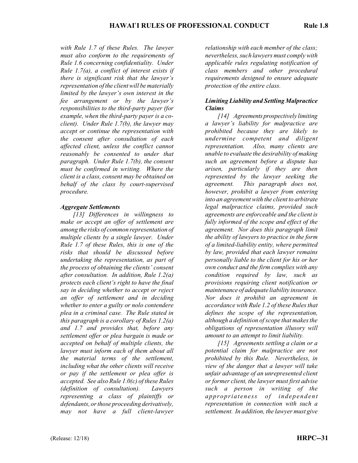*with Rule 1.7 of these Rules. The lawyer must also conform to the requirements of Rule 1.6 concerning confidentiality. Under Rule 1.7(a), a conflict of interest exists if there is significant risk that the lawyer's representation of the client will be materially limited by the lawyer's own interest in the fee arrangement or by the lawyer's responsibilities to the third-party payer (for example, when the third-party payer is a coclient). Under Rule 1.7(b), the lawyer may accept or continue the representation with the consent after consultation of each affected client, unless the conflict cannot reasonably be consented to under that paragraph. Under Rule 1.7(b), the consent must be confirmed in writing. Where the client is a class, consent may be obtained on behalf of the class by court-supervised procedure.*

#### *Aggregate Settlements*

*[13] Differences in willingness to make or accept an offer of settlement are among the risks of common representation of multiple clients by a single lawyer. Under Rule 1.7 of these Rules, this is one of the risks that should be discussed before undertaking the representation, as part of the process of obtaining the clients' consent after consultation. In addition, Rule 1.2(a) protects each client's right to have the final say in deciding whether to accept or reject an offer of settlement and in deciding whether to enter a guilty or nolo contendere plea in a criminal case. The Rule stated in this paragraph is a corollary of Rules 1.2(a) and 1.7 and provides that, before any settlement offer or plea bargain is made or accepted on behalf of multiple clients, the lawyer must inform each of them about all the material terms of the settlement, including what the other clients will receive or pay if the settlement or plea offer is accepted. See also Rule 1.0(c) of these Rules (definition of consultation). Lawyers representing a class of plaintiffs or defendants, or those proceeding derivatively, may not have a full client-lawyer*

*relationship with each member of the class; nevertheless, such lawyers must comply with applicable rules regulating notification of class members and other procedural requirements designed to ensure adequate protection of the entire class.*

## *Limiting Liability and Settling Malpractic e Claims*

*[14] Agreements prospectively limitin g a lawyer's liability for malpractice ar e prohibited because they are likely t o undermine competent and diligen t representation. Also, many clients ar e unable to evaluate the desirability of makin g such an agreement before a dispute ha s arisen, particularly if they are the n represented by the lawyer seeking th e agreement. This paragraph does not , however, prohibit a lawyer from enterin g into an agreement with the client to arbitrat e legal malpractice claims, provided suc h agreements are enforceable and the client i s fully informed of the scope and effect of th e agreement. Nor does this paragraph limi t the ability of lawyers to practice in the for m of a limited-liability entity, where permitte d by law, provided that each lawyer remain s personally liable to the client for his or he r own conduct and the firm complies with an y condition required by law, such a s provisions requiring client notification o r maintenance of adequate liability insurance . Nor does it prohibit an agreement i n accordance with Rule 1.2 of these Rules tha t defines the scope of the representatio n, although a definition of scope that makes th e obligations of representation illusory wil l amount to an attempt to limit liability.*

*[15] Agreements settling a claim or a potential claim for malpractice are not prohibited by this Rule. Nevertheless, in view of the danger that a lawyer will take unfair advantage of an unrepresented client or former client, the lawyer must first advise such a person in writing of the appropriateness of independent representation in connection with such a settlement. In addition, the lawyer must give*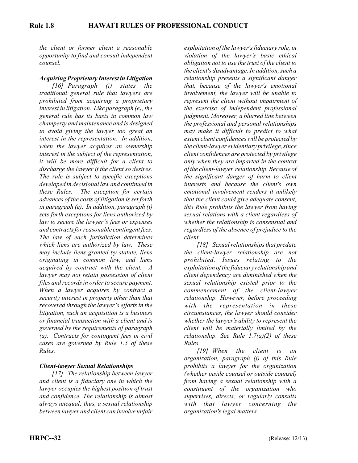*the client or former client a reasonable opportunity to find and consult independent counsel.*

## *Acquiring Proprietary Interest in Litigation*

*[16] Paragraph (i) states the traditional general rule that lawyers are prohibited from acquiring a proprietary interest in litigation. Like paragraph (e), the general rule has its basis in common law champerty and maintenance and is designed to avoid giving the lawyer too great an interest in the representation. In addition, when the lawyer acquires an ownership interest in the subject of the representation, it will be more difficult for a client to discharge the lawyer if the client so desires. The rule is subject to specific exceptions developed in decisional law and continued in these Rules. The exception for certain advances of the costs of litigation is set forth in paragraph (e). In addition, paragraph (i) sets forth exceptions for liens authorized by law to secure the lawyer's fees or expenses and contracts for reasonable contingent fees. The law of each jurisdiction determines which liens are authorized by law. These may include liens granted by statute, liens originating in common law, and liens acquired by contract with the client. A lawyer may not retain possession of client files and records in order to secure payment. When a lawyer acquires by contract a security interest in property other than that recovered through the lawyer's efforts in the litigation, such an acquisition is a business or financial transaction with a client and is governed by the requirements of paragraph (a). Contracts for contingent fees in civil cases are governed by Rule 1.5 of these Rules.*

## *Client-lawyer Sexual Relationships*

*[17] The relationship between lawyer and client is a fiduciary one in which the lawyer occupies the highest position of trust and confidence. The relationship is almost always unequal; thus, a sexual relationship between lawyer and client can involve unfair*

*exploitation of the lawyer's fiduciary role, in violation of the lawyer's basic ethical obligation not to use the trust of the client to the client's disadvantage. In addition, such a relationship presents a significant danger that, because of the lawyer's emotional involvement, the lawyer will be unable to represent the client without impairment of the exercise of independent professional judgment. Moreover, a blurred line between the professional and personal relationships may make it difficult to predict to what extent client confidences will be protected by the client-lawyer evidentiary privilege, since client confidences are protected by privilege only when they are imparted in the context of the client-lawyer relationship. Because of the significant danger of harm to client interests and because the client's own emotional involvement renders it unlikely that the client could give adequate consent, this Rule prohibits the lawyer from having sexual relations with a client regardless of whether the relationship is consensual and regardless of the absence of prejudice to the client.*

*[18] Sexual relationships that predate the client-lawyer relationship are not prohibited. Issues relating to the exploitation of the fiduciary relationship and client dependency are diminished when the sexual relationship existed prior to the commencement of the client-lawyer relationship. However, before proceeding with the representation in these circumstances, the lawyer should consider whether the lawyer's ability to represent the client will be materially limited by the relationship. See Rule 1.7(a)(2) of these Rules.*

*[19] When the client is an organization, paragraph (j) of this Rule prohibits a lawyer for the organization (whether inside counsel or outside counsel) from having a sexual relationship with a constituent of the organization who supervises, directs, or regularly consults with that lawyer concerning the organization's legal matters.*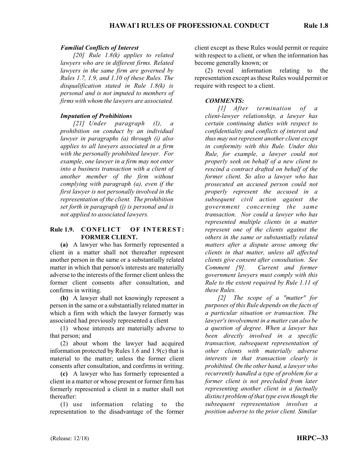#### *Familial Conflicts of Interest*

*[20] Rule 1.8(k) applies to related lawyers who are in different firms. Related lawyers in the same firm are governed by Rules 1.7, 1.9, and 1.10 of these Rules. The disqualification stated in Rule 1.8(k) is personal and is not imputed to members of firms with whom the lawyers are associated.*

#### *Imputation of Prohibitions*

*[21] Under paragraph (l), a prohibition on conduct by an individual lawyer in paragraphs (a) through (i) also applies to all lawyers associated in a firm with the personally prohibited lawyer. For example, one lawyer in a firm may not enter into a business transaction with a client of another member of the firm without complying with paragraph (a), even if the first lawyer is not personally involved in the representation of the client. The prohibition set forth in paragraph (j) is personal and is not applied to associated lawyers.*

#### **Rule 1.9. CONFLICT OF INTEREST: FORMER CLIENT.**

**(a)** A lawyer who has formerly represented a client in a matter shall not thereafter represent another person in the same or a substantially related matter in which that person's interests are materially adverse to the interests of the former client unless the former client consents after consultation, and confirms in writing.

**(b)** A lawyer shall not knowingly represent a person in the same or a substantially related matter in which a firm with which the lawyer formerly was associated had previously represented a client

(1) whose interests are materially adverse to that person; and

(2) about whom the lawyer had acquired information protected by Rules 1.6 and 1.9(c) that is material to the matter; unless the former client consents after consultation, and confirms in writing.

**(c)** A lawyer who has formerly represented a client in a matter or whose present or former firm has formerly represented a client in a matter shall not thereafter:

(1) use information relating to the representation to the disadvantage of the former client except as these Rules would permit or require with respect to a client, or when the information has become generally known; or

(2) reveal information relating to the representation except as these Rules would permit or require with respect to a client.

## *COMMENTS:*

*[1] After termination of a client-lawyer relationship, a lawyer has certain continuing duties with respect to confidentiality and conflicts of interest and thus may not represent another client except in conformity with this Rule. Under this Rule, for example, a lawyer could not properly seek on behalf of a new client to rescind a contract drafted on behalf of the former client. So also a lawyer who has prosecuted an accused person could not properly represent the accused in a subsequent civil action against the government concerning the same transaction. Nor could a lawyer who has represented multiple clients in a matter represent one of the clients against the others in the same or substantially related matters after a dispute arose among the clients in that matter, unless all affected clients give consent after consultation. See Comment [9]. Current and former government lawyers must comply with this Rule to the extent required by Rule 1.11 of these Rules.*

*[2] The scope of a "matter" for purposes of this Rule depends on the facts of a particular situation or transaction. The lawyer's involvement in a matter can also be a question of degree. When a lawyer has been directly involved in a specific transaction, subsequent representation of other clients with materially adverse interests in that transaction clearly is prohibited. On the other hand, a lawyer who recurrently handled a type of problem for a former client is not precluded from later representing another client in a factually distinct problem of that type even though the subsequent representation involves a position adverse to the prior client. Similar*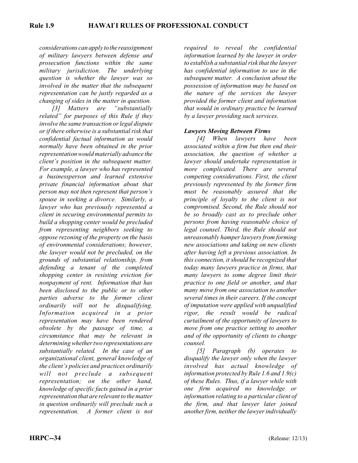*considerations can apply to the reassignment of military lawyers between defense and prosecution functions within the same military jurisdiction. The underlying question is whether the lawyer was so involved in the matter that the subsequent representation can be justly regarded as a changing of sides in the matter in question.*

*[3] Matters are "substantially related" for purposes of this Rule if they involve the same transaction or legal dispute or if there otherwise is a substantial risk that confidential factual information as would normally have been obtained in the prior representation would materially advance the client's position in the subsequent matter. For example, a lawyer who has represented a businessperson and learned extensive private financial information about that person may not then represent that person's spouse in seeking a divorce. Similarly, a lawyer who has previously represented a client in securing environmental permits to build a shopping center would be precluded from representing neighbors seeking to oppose rezoning of the property on the basis of environmental considerations; however, the lawyer would not be precluded, on the grounds of substantial relationship, from defending a tenant of the completed shopping center in resisting eviction for nonpayment of rent. Information that has been disclosed to the public or to other parties adverse to the former client ordinarily will not be disqualifying. Information acquired in a prior representation may have been rendered obsolete by the passage of time, a circumstance that may be relevant in determining whether two representations are substantially related. In the case of an organizational client, general knowledge of the client's policies and practices ordinarily will not preclude a subsequent representation; on the other hand, knowledge of specific facts gained in a prior representation that are relevant to the matter in question ordinarily will preclude such a representation. A former client is not*

*required to reveal the confidential information learned by the lawyer in order to establish a substantial risk that the lawyer has confidential information to use in the subsequent matter. A conclusion about the possession of information may be based on the nature of the services the lawyer provided the former client and information that would in ordinary practice be learned by a lawyer providing such services.*

#### *Lawyers Moving Between Firms*

*[4] When lawyers have been associated within a firm but then end their association, the question of whether a lawyer should undertake representation is more complicated. There are several competing considerations. First, the client previously represented by the former firm must be reasonably assured that the principle of loyalty to the client is not compromised. Second, the Rule should not be so broadly cast as to preclude other persons from having reasonable choice of legal counsel. Third, the Rule should not unreasonably hamper lawyers from forming new associations and taking on new clients after having left a previous association. In this connection, it should be recognized that today many lawyers practice in firms, that many lawyers to some degree limit their practice to one field or another, and that many move from one association to another several times in their careers. If the concept of imputation were applied with unqualified rigor, the result would be radical curtailment of the opportunity of lawyers to move from one practice setting to another and of the opportunity of clients to change counsel.*

*[5] Paragraph (b) operates to disqualify the lawyer only when the lawyer involved has actual knowledge of information protected by Rule 1.6 and 1.9(c) of these Rules. Thus, if a lawyer while with one firm acquired no knowledge or information relating to a particular client of the firm, and that lawyer later joined another firm, neither the lawyer individually*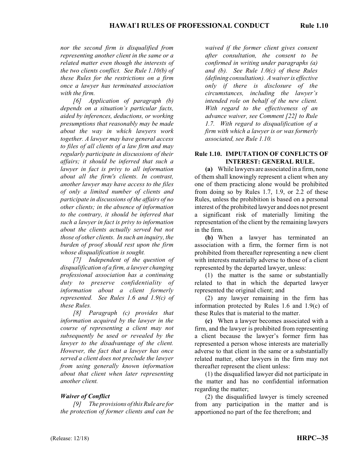*nor the second firm is disqualified from representing another client in the same or a related matter even though the interests of the two clients conflict. See Rule 1.10(b) of these Rules for the restrictions on a firm once a lawyer has terminated association with the firm.*

*[6] Application of paragraph (b) depends on a situation's particular facts, aided by inferences, deductions, or working presumptions that reasonably may be made about the way in which lawyers work together. A lawyer may have general access to files of all clients of a law firm and may regularly participate in discussions of their affairs; it should be inferred that such a lawyer in fact is privy to all information about all the firm's clients. In contrast, another lawyer may have access to the files of only a limited number of clients and participate in discussions of the affairs of no other clients; in the absence of information to the contrary, it should be inferred that such a lawyer in fact is privy to information about the clients actually served but not those of other clients. In such an inquiry, the burden of proof should rest upon the firm whose disqualification is sought.*

*[7] Independent of the question of disqualification of a firm, a lawyer changing professional association has a continuing duty to preserve confidentiality of information about a client formerly represented. See Rules 1.6 and 1.9(c) of these Rules.*

*[8] Paragraph (c) provides that information acquired by the lawyer in the course of representing a client may not subsequently be used or revealed by the lawyer to the disadvantage of the client. However, the fact that a lawyer has once served a client does not preclude the lawyer from using generally known information about that client when later representing another client.*

## *Waiver of Conflict*

*[9] The provisions of this Rule are for the protection of former clients and can be*

*waived if the former client gives consent after consultation, the consent to be confirmed in writing under paragraphs (a) and (b). See Rule 1.0(c) of these Rules (defining consultation). A waiver is effective only if there is disclosure of the circumstances, including the lawyer's intended role on behalf of the new client. With regard to the effectiveness of an advance waiver, see Comment [22] to Rule 1.7. With regard to disqualification of a firm with which a lawyer is or was formerly associated, see Rule 1.10.*

# **Rule 1.10. IMPUTATION OF CONFLICTS OF INTEREST: GENERAL RULE.**

**(a)** While lawyers are associated in a firm, none of them shall knowingly represent a client when any one of them practicing alone would be prohibited from doing so by Rules 1.7, 1.9, or 2.2 of these Rules, unless the prohibition is based on a personal interest of the prohibited lawyer and does not present a significant risk of materially limiting the representation of the client by the remaining lawyers in the firm.

**(b)** When a lawyer has terminated an association with a firm, the former firm is not prohibited from thereafter representing a new client with interests materially adverse to those of a client represented by the departed lawyer, unless:

(1) the matter is the same or substantially related to that in which the departed lawyer represented the original client; and

(2) any lawyer remaining in the firm has information protected by Rules 1.6 and 1.9(c) of these Rules that is material to the matter.

**(c)** When a lawyer becomes associated with a firm, and the lawyer is prohibited from representing a client because the lawyer's former firm has represented a person whose interests are materially adverse to that client in the same or a substantially related matter, other lawyers in the firm may not thereafter represent the client unless:

(1) the disqualified lawyer did not participate in the matter and has no confidential information regarding the matter;

(2) the disqualified lawyer is timely screened from any participation in the matter and is apportioned no part of the fee therefrom; and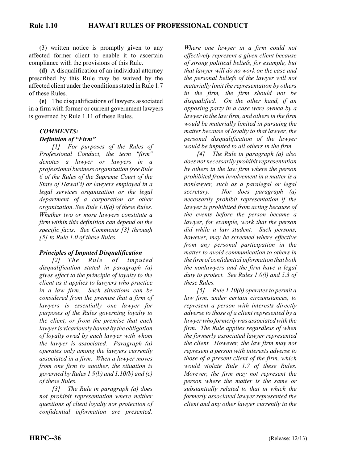(3) written notice is promptly given to any affected former client to enable it to ascertain compliance with the provisions of this Rule.

**(d)** A disqualification of an individual attorney prescribed by this Rule may be waived by the affected client under the conditions stated in Rule 1.7 of these Rules.

**(e)** The disqualifications of lawyers associated in a firm with former or current government lawyers is governed by Rule 1.11 of these Rules.

#### *COMMENTS: Definition of "Firm"*

*[1] For purposes of the Rules of Professional Conduct, the term "firm" denotes a lawyer or lawyers in a professional business organization (see Rule 6 of the Rules of the Supreme Court of the State of Hawai#i) or lawyers employed in a legal services organization or the legal department of a corporation or other organization. See Rule 1.0(d) of these Rules. Whether two or more lawyers constitute a firm within this definition can depend on the specific facts. See Comments [3] through [5] to Rule 1.0 of these Rules.*

## *Principles of Imputed Disqualification*

[2] The Rule of imputed *disqualification stated in paragraph (a) gives effect to the principle of loyalty to the client as it applies to lawyers who practice in a law firm. Such situations can be considered from the premise that a firm of lawyers is essentially one lawyer for purposes of the Rules governing loyalty to the client, or from the premise that each lawyer is vicariously bound by the obligation of loyalty owed by each lawyer with whom the lawyer is associated. Paragraph (a) operates only among the lawyers currently associated in a firm. When a lawyer moves from one firm to another, the situation is governed by Rules 1.9(b) and 1.10(b) and (c) of these Rules.*

*[3] The Rule in paragraph (a) does not prohibit representation where neither questions of client loyalty nor protection of confidential information are presented.* 

*Where one lawyer in a firm could not effectively represent a given client because of strong political beliefs, for example, but that lawyer will do no work on the case and the personal beliefs of the lawyer will not materially limit the representation by others in the firm, the firm should not be disqualified. On the other hand, if an opposing party in a case were owned by a lawyer in the law firm, and others in the firm would be materially limited in pursuing the matter because of loyalty to that lawyer, the personal disqualification of the lawyer would be imputed to all others in the firm.*

*[4] The Rule in paragraph (a) also does not necessarily prohibit representation by others in the law firm where the person prohibited from involvement in a matter is a nonlawyer, such as a paralegal or legal secretary. Nor does paragraph (a) necessarily prohibit representation if the lawyer is prohibited from acting because of the events before the person became a lawyer, for example, work that the person did while a law student. Such persons, however, may be screened where effective from any personal participation in the matter to avoid communication to others in the firm of confidential information that both the nonlawyers and the firm have a legal duty to protect. See Rules 1.0(l) and 5.3 of these Rules.*

*[5] Rule 1.10(b) operates to permit a law firm, under certain circumstances, to represent a person with interests directly adverse to those of a client represented by a lawyer who formerly was associated with the firm. The Rule applies regardless of when the formerly associated lawyer represented the client. However, the law firm may not represent a person with interests adverse to those of a present client of the firm, which would violate Rule 1.7 of these Rules. Morever, the firm may not represent the person where the matter is the same or substantially related to that in which the formerly associated lawyer represented the client and any other lawyer currently in the*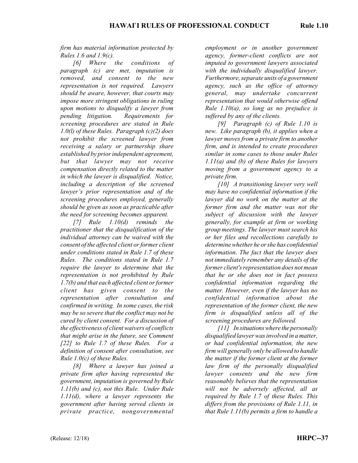*firm has material information protected by Rules 1.6 and 1.9(c).*

*[6] Where the conditions of paragraph (c) are met, imputation is removed, and consent to the new representation is not required. Lawyers should be aware, however, that courts may impose more stringent obligations in ruling upon motions to disqualify a lawyer from pending litigation. Requirements for screening procedures are stated in Rule 1.0(l) of these Rules. Paragraph (c)(2) does not prohibit the screened lawyer from receiving a salary or partnership share established by prior independent agreement, but that lawyer may not receive compensation directly related to the matter in which the lawyer is disqualified. Notice, including a description of the screened lawyer's prior representation and of the screening procedures employed, generally should be given as soon as practicable after the need for screening becomes apparent.*

*[7] Rule 1.10(d) reminds the practitioner that the disqualification of the individual attorney can be waived with the consent of the affected client or former client under conditions stated in Rule 1.7 of these Rules. The conditions stated in Rule 1.7 require the lawyer to determine that the representation is not prohibited by Rule 1.7(b) and that each affected client or former client has given consent to the representation after consultation and confirmed in writing. In some cases, the risk may be so severe that the conflict may not be cured by client consent. For a discussion of the effectiveness of client waivers of conflicts that might arise in the future, see Comment [22] to Rule 1.7 of these Rules. For a definition of consent after consultation, see Rule 1.0(c) of these Rules.*

*[8] Where a lawyer has joined a private firm after having represented the government, imputation is governed by Rule 1.11(b) and (c), not this Rule. Under Rule 1.11(d), where a lawyer represents the government after having served clients in private practice, nongovernmental*

*employment or in another governmen t agency, former-client conflicts are no t imputed to government lawyers associate d with the individually disqualified lawyer . Furthermore, separate units of a governmen t* agency, such as the office of attorney *general, may undertake concurrent representation that would otherwise offen d Rule 1.10(a), so long as no prejudice i s suffered by any of the clients.*

*[9] Paragraph (c) of Rule 1.10 is new. Like paragraph (b), it applies when a lawyer moves from a private firm to anothe r firm, and is intended to create procedure s similar in some cases to those under Rules 1.11(a) and (b) of these Rules for lawyer s moving from a government agency to a private firm.*

*[10] A transitioning lawyer very well may have no confidential information if the lawyer did no work on the matter at the former firm and the matter was not the subject of discussion with the lawyer generally, for example at firm or working group meetings. The lawyer must search his or her files and recollections carefully to determine whether he or she has confidential information. The fact that the lawyer does not immediately remember any details of the former client's representation does not mean that he or she does not in fact possess confidential information regarding the matter. However, even if the lawyer has no confidential information about the representation of the former client, the new firm is disqualified unless all of the screening procedures are followed.*

*[11] In situations where the personally disqualified lawyer was involved in a matter, or had confidential information, the new firm will generally only be allowed to handle the matter if the former client at the former law firm of the personally disqualified lawyer consents and the new firm reasonably believes that the representation will not be adversely affected, all as required by Rule 1.7 of these Rules. This differs from the provisions of Rule 1.11, in that Rule 1.11(b) permits a firm to handle a*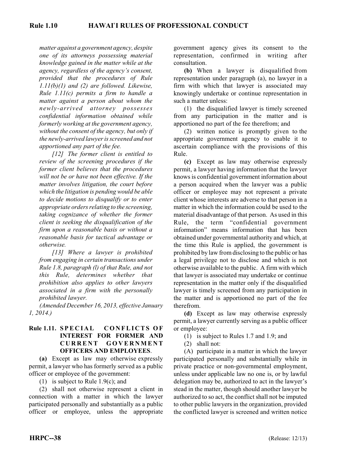*matter against a government agency, despite one of its attorneys possessing material knowledge gained in the matter while at the agency, regardless of the agency's consent, provided that the procedures of Rule 1.11(b)(1) and (2) are followed. Likewise, Rule 1.11(c) permits a firm to handle a matter against a person about whom the newly-arrived attorney possesses confidential information obtained while formerly working at the government agency, without the consent of the agency, but only if the newly-arrived lawyer is screened and not apportioned any part of the fee.*

*[12] The former client is entitled to review of the screening procedures if the former client believes that the procedures will not be or have not been effective. If the matter involves litigation, the court before which the litigation is pending would be able to decide motions to disqualify or to enter appropriate orders relating to the screening, taking cognizance of whether the former client is seeking the disqualification of the firm upon a reasonable basis or without a reasonable basis for tactical advantage or otherwise.*

*[13] Where a lawyer is prohibited from engaging in certain transactions under Rule 1.8, paragraph (l) of that Rule, and not this Rule, determines whether that prohibition also applies to other lawyers associated in a firm with the personally prohibited lawyer.*

*(Amended December 16, 2013, effective January 1, 2014.)*

# **Rule 1.11. SPECIAL CONFLICTS OF INTEREST FOR FORMER AND C U R R E N T G O V E R N M E N T OFFICERS AND EMPLOYEES**.

**(a)** Except as law may otherwise expressly permit, a lawyer who has formerly served as a public officer or employee of the government:

(1) is subject to Rule 1.9(c); and

(2) shall not otherwise represent a client in connection with a matter in which the lawyer participated personally and substantially as a public officer or employee, unless the appropriate

government agency gives its consent to the representation, confirmed in writing after consultation.

**(b)** When a lawyer is disqualified from representation under paragraph (a), no lawyer in a firm with which that lawyer is associated may knowingly undertake or continue representation in such a matter unless:

(1) the disqualified lawyer is timely screened from any participation in the matter and is apportioned no part of the fee therefrom; and

(2) written notice is promptly given to the appropriate government agency to enable it to ascertain compliance with the provisions of this Rule.

**(c)** Except as law may otherwise expressly permit, a lawyer having information that the lawyer knows is confidential government information about a person acquired when the lawyer was a public officer or employee may not represent a private client whose interests are adverse to that person in a matter in which the information could be used to the material disadvantage of that person. As used in this Rule, the term "confidential government information" means information that has been obtained under governmental authority and which, at the time this Rule is applied, the government is prohibited by law from disclosing to the public or has a legal privilege not to disclose and which is not otherwise available to the public. A firm with which that lawyer is associated may undertake or continue representation in the matter only if the disqualified lawyer is timely screened from any participation in the matter and is apportioned no part of the fee therefrom.

**(d)** Except as law may otherwise expressly permit, a lawyer currently serving as a public officer or employee:

(1) is subject to Rules 1.7 and 1.9; and

(2) shall not:

(A) participate in a matter in which the lawyer participated personally and substantially while in private practice or non-governmental employment, unless under applicable law no one is, or by lawful delegation may be, authorized to act in the lawyer's stead in the matter, though should another lawyer be authorized to so act, the conflict shall not be imputed to other public lawyers in the organization, provided the conflicted lawyer is screened and written notice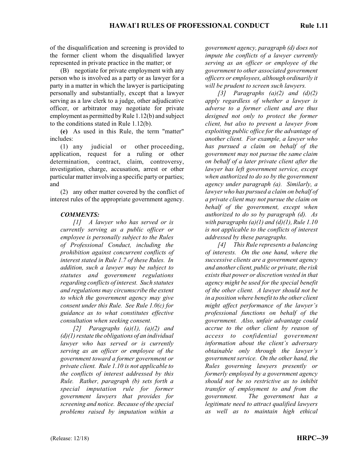of the disqualification and screening is provided to the former client whom the disqualified lawyer represented in private practice in the matter; or

(B) negotiate for private employment with any person who is involved as a party or as lawyer for a party in a matter in which the lawyer is participating personally and substantially, except that a lawyer serving as a law clerk to a judge, other adjudicative officer, or arbitrator may negotiate for private employment as permitted by Rule 1.12(b) and subject to the conditions stated in Rule 1.12(b).

**(e)** As used in this Rule, the term "matter" includes:

(1) any judicial or other proceeding, application, request for a ruling or other determination, contract, claim, controversy, investigation, charge, accusation, arrest or other particular matter involving a specific party or parties; and

(2) any other matter covered by the conflict of interest rules of the appropriate government agency.

## *COMMENTS:*

*[1] A lawyer who has served or is currently serving as a public officer or employee is personally subject to the Rules of Professional Conduct, including the prohibition against concurrent conflicts of interest stated in Rule 1.7 of these Rules. In addition, such a lawyer may be subject to statutes and government regulations regarding conflicts of interest. Such statutes and regulations may circumscribe the extent to which the government agency may give consent under this Rule. See Rule 1.0(c) for guidance as to what constitutes effective consultation when seeking consent.*

*[2] Paragraphs (a)(1), (a)(2) and (d)(1) restate the obligations of an individual lawyer who has served or is currently serving as an officer or employee of the government toward a former government or private client. Rule 1.10 is not applicable to the conflicts of interest addressed by this Rule. Rather, paragraph (b) sets forth a special imputation rule for former government lawyers that provides for screening and notice. Because of the special problems raised by imputation within a*

*government agency, paragraph (d) does not impute the conflicts of a lawyer currently serving as an officer or employee of the government to other associated government officers or employees, although ordinarily it will be prudent to screen such lawyers.*

*[3] Paragraphs (a)(2) and (d)(2) apply regardless of whether a lawyer is adverse to a former client and are thus designed not only to protect the former client, but also to prevent a lawyer from exploiting public office for the advantage of another client. For example, a lawyer who has pursued a claim on behalf of the government may not pursue the same claim on behalf of a later private client after the lawyer has left government service, except when authorized to do so by the government agency under paragraph (a). Similarly, a lawyer who has pursued a claim on behalf of a private client may not pursue the claim on behalf of the government, except when authorized to do so by paragraph (d). As with paragraphs (a)(1) and (d)(1), Rule 1.10 is not applicable to the conflicts of interest addressed by these paragraphs.*

*[4] This Rule represents a balancing of interests. On the one hand, where the successive clients are a government agency and another client, public or private, the risk exists that power or discretion vested in that agency might be used for the special benefit of the other client. A lawyer should not be in a position where benefit to the other client might affect performance of the lawyer's professional functions on behalf of the government. Also, unfair advantage could accrue to the other client by reason of access to confidential government information about the client's adversary obtainable only through the lawyer's government service. On the other hand, the Rules governing lawyers presently or formerly employed by a government agency should not be so restrictive as to inhibit transfer of employment to and from the government. The government has a legitimate need to attract qualified lawyers as well as to maintain high ethical*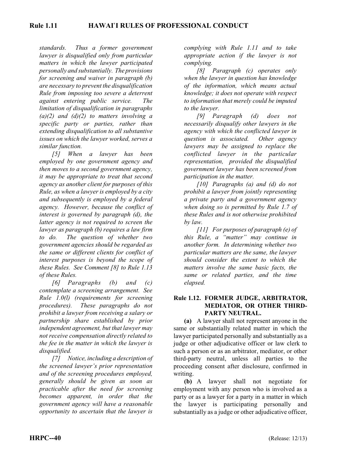*standards. Thus a former government lawyer is disqualified only from particular matters in which the lawyer participated personally and substantially. The provisions for screening and waiver in paragraph (b) are necessary to prevent the disqualification Rule from imposing too severe a deterrent against entering public service. The limitation of disqualification in paragraphs (a)(2) and (d)(2) to matters involving a specific party or parties, rather than extending disqualification to all substantive issues on which the lawyer worked, serves a similar function.*

*[5] When a lawyer has been employed by one government agency and then moves to a second government agency, it may be appropriate to treat that second agency as another client for purposes of this Rule, as when a lawyer is employed by a city and subsequently is employed by a federal agency. However, because the conflict of interest is governed by paragraph (d), the latter agency is not required to screen the lawyer as paragraph (b) requires a law firm to do. The question of whether two government agencies should be regarded as the same or different clients for conflict of interest purposes is beyond the scope of these Rules. See Comment [8] to Rule 1.13 of these Rules.*

*[6] Paragraphs (b) and (c) contemplate a screening arrangement. See Rule 1.0(l) (requirements for screening procedures). These paragraphs do not prohibit a lawyer from receiving a salary or partnership share established by prior independent agreement, but that lawyer may not receive compensation directly related to the fee in the matter in which the lawyer is disqualified.*

*[7] Notice, including a description of the screened lawyer's prior representation and of the screening procedures employed, generally should be given as soon as practicable after the need for screening becomes apparent, in order that the government agency will have a reasonable opportunity to ascertain that the lawyer is*

*complying with Rule 1.11 and to take appropriate action if the lawyer is not complying.*

*[8] Paragraph (c) operates only when the lawyer in question has knowledge of the information, which means actual knowledge; it does not operate with respect to information that merely could be imputed to the lawyer.*

*[9] Paragraph (d) does not necessarily disqualify other lawyers in the agency with which the conflicted lawyer in question is associated. Other agency lawyers may be assigned to replace the conflicted lawyer in the particular representation, provided the disqualified government lawyer has been screened from participation in the matter.*

*[10] Paragraphs (a) and (d) do not prohibit a lawyer from jointly representing a private party and a government agency when doing so is permitted by Rule 1.7 of these Rules and is not otherwise prohibited by law.*

*[11] For purposes of paragraph (e) of this Rule, a "matter" may continue in another form. In determining whether two particular matters are the same, the lawyer should consider the extent to which the matters involve the same basic facts, the same or related parties, and the time elapsed.*

# **Rule 1.12. FORMER JUDGE, ARBITRATOR, MEDIATOR, OR OTHER THIRD-PARTY NEUTRAL.**

**(a)** A lawyer shall not represent anyone in the same or substantially related matter in which the lawyer participated personally and substantially as a judge or other adjudicative officer or law clerk to such a person or as an arbitrator, mediator, or other third-party neutral, unless all parties to the proceeding consent after disclosure, confirmed in writing.

**(b)** A lawyer shall not negotiate for employment with any person who is involved as a party or as a lawyer for a party in a matter in which the lawyer is participating personally and substantially as a judge or other adjudicative officer,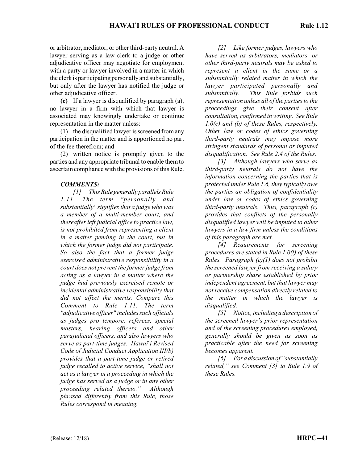or arbitrator, mediator, or other third-party neutral. A lawyer serving as a law clerk to a judge or other adjudicative officer may negotiate for employment with a party or lawyer involved in a matter in which the clerk is participating personally and substantially, but only after the lawyer has notified the judge or other adjudicative officer.

**(c)** If a lawyer is disqualified by paragraph (a), no lawyer in a firm with which that lawyer is associated may knowingly undertake or continue representation in the matter unless:

(1) the disqualified lawyer is screened from any participation in the matter and is apportioned no part of the fee therefrom; and

(2) written notice is promptly given to the parties and any appropriate tribunal to enable them to ascertain compliance with the provisions of this Rule.

#### *COMMENTS:*

*[1] This Rule generally parallels Rule 1.11. The term "personally and substantially" signifies that a judge who was a member of a multi-member court, and thereafter left judicial office to practice law, is not prohibited from representing a client in a matter pending in the court, but in which the former judge did not participate. So also the fact that a former judge exercised administrative responsibility in a court does not prevent the former judge from acting as a lawyer in a matter where the judge had previously exercised remote or incidental administrative responsibility that did not affect the merits. Compare this Comment to Rule 1.11. The term "adjudicative officer" includes such officials as judges pro tempore, referees, special masters, hearing officers and other parajudicial officers, and also lawyers who*  $s$ erve as part-time judges. Hawai<sup>*'*</sup>i Revised</sup> *Code of Judicial Conduct Application III(b) provides that a part-time judge or retired judge recalled to active service, "shall not act as a lawyer in a proceeding in which the judge has served as a judge or in any other proceeding related thereto." Although phrased differently from this Rule, those Rules correspond in meaning.*

*[2] Like former judges, lawyers who have served as arbitrators, mediators, or other third-party neutrals may be asked to represent a client in the same or a substantially related matter in which the lawyer participated personally and substantially. This Rule forbids such representation unless all of the parties to the proceedings give their consent after consultation, confirmed in writing. See Rule 1.0(c) and (b) of these Rules, respectively. Other law or codes of ethics governing third-party neutrals may impose more stringent standards of personal or imputed disqualification. See Rule 2.4 of the Rules.*

*[3] Although lawyers who serve as third-party neutrals do not have the information concerning the parties that is protected under Rule 1.6, they typically owe the parties an obligation of confidentiality under law or codes of ethics governing third-party neutrals. Thus, paragraph (c) provides that conflicts of the personally disqualified lawyer will be imputed to other lawyers in a law firm unless the conditions of this paragraph are met.*

*[4] Requirements for screening procedures are stated in Rule 1.0(l) of these Rules. Paragraph (c)(1) does not prohibit the screened lawyer from receiving a salary or partnership share established by prior independent agreement, but that lawyer may not receive compensation directly related to the matter in which the lawyer is disqualified.*

*[5] Notice, including a description of the screened lawyer's prior representation and of the screening procedures employed, generally should be given as soon as practicable after the need for screening becomes apparent.*

*[6] For a discussion of "substantially related," see Comment [3] to Rule 1.9 of these Rules.*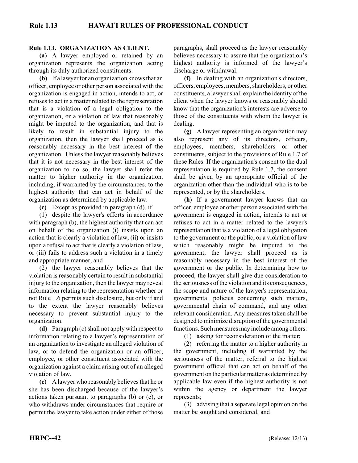#### **Rule 1.13. ORGANIZATION AS CLIENT.**

**(a)** A lawyer employed or retained by an organization represents the organization acting through its duly authorized constituents.

**(b)** If a lawyer for an organization knows that an officer, employee or other person associated with the organization is engaged in action, intends to act, or refuses to act in a matter related to the representation that is a violation of a legal obligation to the organization, or a violation of law that reasonably might be imputed to the organization, and that is likely to result in substantial injury to the organization, then the lawyer shall proceed as is reasonably necessary in the best interest of the organization. Unless the lawyer reasonably believes that it is not necessary in the best interest of the organization to do so, the lawyer shall refer the matter to higher authority in the organization, including, if warranted by the circumstances, to the highest authority that can act in behalf of the organization as determined by applicable law.

**(c)** Except as provided in paragraph (d), if

(1) despite the lawyer's efforts in accordance with paragraph (b), the highest authority that can act on behalf of the organization (i) insists upon an action that is clearly a violation of law, (ii) or insists upon a refusal to act that is clearly a violation of law, or (iii) fails to address such a violation in a timely and appropriate manner, and

(2) the lawyer reasonably believes that the violation is reasonably certain to result in substantial injury to the organization, then the lawyer may reveal information relating to the representation whether or not Rule 1.6 permits such disclosure, but only if and to the extent the lawyer reasonably believes necessary to prevent substantial injury to the organization.

**(d)** Paragraph (c) shall not apply with respect to information relating to a lawyer's representation of an organization to investigate an alleged violation of law, or to defend the organization or an officer, employee, or other constituent associated with the organization against a claim arising out of an alleged violation of law.

**(e)** A lawyer who reasonably believes that he or she has been discharged because of the lawyer's actions taken pursuant to paragraphs (b) or (c), or who withdraws under circumstances that require or permit the lawyer to take action under either of those

paragraphs, shall proceed as the lawyer reasonably believes necessary to assure that the organization's highest authority is informed of the lawyer's discharge or withdrawal.

**(f)** In dealing with an organization's directors, officers, employees, members, shareholders, or other constituents, a lawyer shall explain the identity of the client when the lawyer knows or reasonably should know that the organization's interests are adverse to those of the constituents with whom the lawyer is dealing.

**(g)** A lawyer representing an organization may also represent any of its directors, officers, employees, members, shareholders or other constituents, subject to the provisions of Rule 1.7 of these Rules. If the organization's consent to the dual representation is required by Rule 1.7, the consent shall be given by an appropriate official of the organization other than the individual who is to be represented, or by the shareholders.

**(h)** If a government lawyer knows that an officer, employee or other person associated with the government is engaged in action, intends to act or refuses to act in a matter related to the lawyer's representation that is a violation of a legal obligation to the government or the public, or a violation of law which reasonably might be imputed to the government, the lawyer shall proceed as is reasonably necessary in the best interest of the government or the public. In determining how to proceed, the lawyer shall give due consideration to the seriousness of the violation and its consequences, the scope and nature of the lawyer's representation, governmental policies concerning such matters, governmental chain of command, and any other relevant consideration. Any measures taken shall be designed to minimize disruption of the governmental functions. Such measures may include among others:

(1) asking for reconsideration of the matter;

(2) referring the matter to a higher authority in the government, including if warranted by the seriousness of the matter, referral to the highest government official that can act on behalf of the government on the particular matter as determined by applicable law even if the highest authority is not within the agency or department the lawyer represents;

(3) advising that a separate legal opinion on the matter be sought and considered; and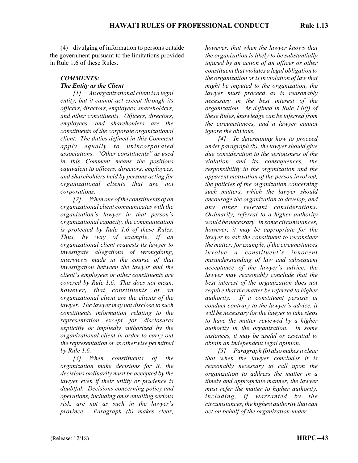(4) divulging of information to persons outside the government pursuant to the limitations provided in Rule 1.6 of these Rules.

# *COMMENTS: The Entity as the Client*

*[1] An organizational client is a legal entity, but it cannot act except through its officers, directors, employees, shareholders, and other constituents. Officers, directors, employees, and shareholders are the constituents of the corporate organizational client. The duties defined in this Comment apply equally to unincorporated associations. "Other constituents" as used in this Comment means the positions equivalent to officers, directors, employees, and shareholders held by persons acting for organizational clients that are not corporations.*

*[2] When one of the constituents of an organizational client communicates with the organization's lawyer in that person's organizational capacity, the communication is protected by Rule 1.6 of these Rules. Thus, by way of example, if an organizational client requests its lawyer to investigate allegations of wrongdoing, interviews made in the course of that investigation between the lawyer and the client's employees or other constituents are covered by Rule 1.6. This does not mean, however, that constituents of an organizational client are the clients of the lawyer. The lawyer may not disclose to such constituents information relating to the representation except for disclosures explicitly or impliedly authorized by the organizational client in order to carry out the representation or as otherwise permitted by Rule 1.6.*

*[3] When constituents of the organization make decisions for it, the decisions ordinarily must be accepted by the lawyer even if their utility or prudence is doubtful. Decisions concerning policy and operations, including ones entailing serious risk, are not as such in the lawyer's province. Paragraph (b) makes clear,*

*however, that when the lawyer knows that the organization is likely to be substantially injured by an action of an officer or other constituent that violates a legal obligation to the organization or is in violation of law that might be imputed to the organization, the lawyer must proceed as is reasonably necessary in the best interest of the organization. As defined in Rule 1.0(f) of these Rules, knowledge can be inferred from the circumstances, and a lawyer cannot ignore the obvious.*

*[4] In determining how to proceed under paragraph (b), the lawyer should give due consideration to the seriousness of the violation and its consequences, the responsibility in the organization and the apparent motivation of the person involved, the policies of the organization concerning such matters, which the lawyer should encourage the organization to develop, and any other relevant considerations. Ordinarily, referral to a higher authority would be necessary. In some circumstances, however, it may be appropriate for the lawyer to ask the constituent to reconsider the matter; for example, if the circumstances involve a constituent's innocent misunderstanding of law and subsequent acceptance of the lawyer's advice, the lawyer may reasonably conclude that the best interest of the organization does not require that the matter be referred to higher authority. If a constituent persists in conduct contrary to the lawyer's advice, it will be necessary for the lawyer to take steps to have the matter reviewed by a higher authority in the organization. In some instances, it may be useful or essential to obtain an independent legal opinion.*

*[5] Paragraph (b) also makes it clear that when the lawyer concludes it is reasonably necessary to call upon the organization to address the matter in a timely and appropriate manner, the lawyer must refer the matter to higher authority, including, if warranted by the circumstances, the highest authority that can act on behalf of the organization under*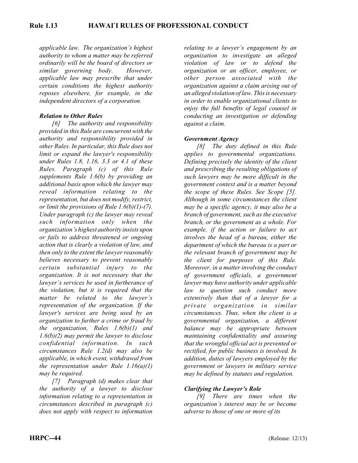*applicable law. The organization's highest authority to whom a matter may be referred ordinarily will be the board of directors or similar governing body. However, applicable law may prescribe that under certain conditions the highest authority reposes elsewhere, for example, in the independent directors of a corporation.* 

#### *Relation to Other Rules*

*[6] The authority and responsibility provided in this Rule are concurrent with the authority and responsibility provided in other Rules. In particular, this Rule does not limit or expand the lawyer's responsibility under Rules 1.8, 1.16, 3.3 or 4.1 of these Rules. Paragraph (c) of this Rule supplements Rule 1.6(b) by providing an additional basis upon which the lawyer may reveal information relating to the representation, but does not modify, restrict, or limit the provisions of Rule 1.6(b)(1)-(7). Under paragraph (c) the lawyer may reveal such information only when the organization's highest authority insists upon or fails to address threatened or ongoing action that is clearly a violation of law, and then only to the extent the lawyer reasonably believes necessary to prevent reasonably certain substantial injury to the organization. It is not necessary that the lawyer's services be used in furtherance of the violation, but it is required that the matter be related to the lawyer's representation of the organization. If the lawyer's services are being used by an organization to further a crime or fraud by the organization, Rules 1.6(b)(1) and 1.6(b)(2) may permit the lawyer to disclose confidential information. In such circumstances Rule 1.2(d) may also be applicable, in which event, withdrawal from the representation under Rule 1.16(a)(1) may be required*.

*[7] Paragraph (d) makes clear that the authority of a lawyer to disclose information relating to a representation in circumstances described in paragraph (c) does not apply with respect to information*

*relating to a lawyer's engagement by an organization to investigate an alleged violation of law or to defend the organization or an officer, employee, or other person associated with the organization against a claim arising out of an alleged violation of law. This is necessary in order to enable organizational clients to enjoy the full benefits of legal counsel in conducting an investigation or defending against a claim.*

#### *Government Agency*

*[8] The duty defined in this Rule applies to governmental organizations. Defining precisely the identity of the client and prescribing the resulting obligations of such lawyers may be more difficult in the government context and is a matter beyond the scope of these Rules. See Scope [5]. Although in some circumstances the client may be a specific agency, it may also be a branch of government, such as the executive branch, or the government as a whole. For example, if the action or failure to act involves the head of a bureau, either the department of which the bureau is a part or the relevant branch of government may be the client for purposes of this Rule. Moreover, in a matter involving the conduct of government officials, a government lawyer may have authority under applicable law to question such conduct more extensively than that of a lawyer for a private organization in similar circumstances. Thus, when the client is a governmental organization, a different balance may be appropriate between maintaining confidentiality and assuring that the wrongful official act is prevented or rectified, for public business is involved. In addition, duties of lawyers employed by the government or lawyers in military service may be defined by statutes and regulation.*

## *Clarifying the Lawyer's Role*

*[9] There are times when the organization's interest may be or become adverse to those of one or more of its*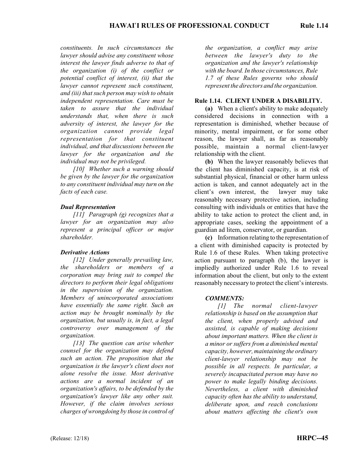*constituents. In such circumstances the lawyer should advise any constituent whose interest the lawyer finds adverse to that of the organization (i) of the conflict or potential conflict of interest, (ii) that the lawyer cannot represent such constituent, and (iii) that such person may wish to obtain independent representation. Care must be taken to assure that the individual understands that, when there is such adversity of interest, the lawyer for the organization cannot provide legal representation for that constituent individual, and that discussions between the lawyer for the organization and the individual may not be privileged.*

*[10] Whether such a warning should be given by the lawyer for the organization to any constituent individual may turn on the facts of each case.*

## *Dual Representation*

*[11] Paragraph (g) recognizes that a lawyer for an organization may also represent a principal officer or major shareholder.*

## *Derivative Actions*

*[12] Under generally prevailing law, the shareholders or members of a corporation may bring suit to compel the directors to perform their legal obligations in the supervision of the organization. Members of unincorporated associations have essentially the same right. Such an action may be brought nominally by the organization, but usually is, in fact, a legal controversy over management of the organization.*

*[13] The question can arise whether counsel for the organization may defend such an action. The proposition that the organization is the lawyer's client does not alone resolve the issue. Most derivative actions are a normal incident of an organization's affairs, to be defended by the organization's lawyer like any other suit. However, if the claim involves serious charges of wrongdoing by those in control of* *the organization, a conflict may arise between the lawyer's duty to the organization and the lawyer's relationship with the board. In those circumstances, Rule 1.7 of these Rules governs who should represent the directors and the organization.*

#### **Rule 1.14. CLIENT UNDER A DISABILITY.**

**(a)** When a client's ability to make adequately considered decisions in connection with a representation is diminished, whether because of minority, mental impairment, or for some other reason, the lawyer shall, as far as reasonably possible, maintain a normal client-lawyer relationship with the client.

**(b)** When the lawyer reasonably believes that the client has diminished capacity, is at risk of substantial physical, financial or other harm unless action is taken, and cannot adequately act in the client's own interest, the lawyer may take reasonably necessary protective action, including consulting with individuals or entities that have the ability to take action to protect the client and, in appropriate cases, seeking the appointment of a guardian ad litem, conservator, or guardian.

**(c)** Information relating to the representation of a client with diminished capacity is protected by Rule 1.6 of these Rules. When taking protective action pursuant to paragraph (b), the lawyer is impliedly authorized under Rule 1.6 to reveal information about the client, but only to the extent reasonably necessary to protect the client's interests.

## *COMMENTS:*

*[1] The normal client-lawyer relationship is based on the assumption that the client, when properly advised and assisted, is capable of making decisions about important matters. When the client is a minor or suffers from a diminished mental capacity, however, maintaining the ordinary client-lawyer relationship may not be possible in all respects. In particular, a severely incapacitated person may have no power to make legally binding decisions. Nevertheless, a client with diminished capacity often has the ability to understand, deliberate upon, and reach conclusions about matters affecting the client's own*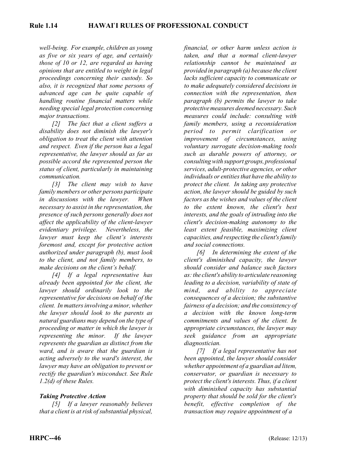*well-being. For example, children as young as five or six years of age, and certainly those of 10 or 12, are regarded as having opinions that are entitled to weight in legal proceedings concerning their custody. So also, it is recognized that some persons of advanced age can be quite capable of handling routine financial matters while needing special legal protection concerning major transactions.*

*[2] The fact that a client suffers a disability does not diminish the lawyer's obligation to treat the client with attention and respect. Even if the person has a legal representative, the lawyer should as far as possible accord the represented person the status of client, particularly in maintaining communication.*

*[3] The client may wish to have family members or other persons participate in discussions with the lawyer. When necessary to assist in the representation, the presence of such persons generally does not affect the applicability of the client-lawyer evidentiary privilege. Nevertheless, the lawyer must keep the client's interests foremost and, except for protective action authorized under paragraph (b), must look to the client, and not family members, to make decisions on the client's behalf.*

*[4] If a legal representative has already been appointed for the client, the lawyer should ordinarily look to the representative for decisions on behalf of the client. In matters involving a minor, whether the lawyer should look to the parents as natural guardians may depend on the type of proceeding or matter in which the lawyer is representing the minor. If the lawyer represents the guardian as distinct from the ward, and is aware that the guardian is acting adversely to the ward's interest, the lawyer may have an obligation to prevent or rectify the guardian's misconduct. See Rule 1.2(d) of these Rules.*

## *Taking Protective Action*

*[5] If a lawyer reasonably believes that a client is at risk of substantial physical,* *financial, or other harm unless action is taken, and that a normal client-lawyer relationship cannot be maintained as provided in paragraph (a) because the client lacks sufficient capacity to communicate or to make adequately considered decisions in connection with the representation, then paragraph (b) permits the lawyer to take protective measures deemed necessary. Such measures could include: consulting with family members, using a reconsideration period to permit clarification or improvement of circumstances, using voluntary surrogate decision-making tools such as durable powers of attorney, or consulting with support groups, professional services, adult-protective agencies, or other individuals or entities that have the ability to protect the client. In taking any protective action, the lawyer should be guided by such factors as the wishes and values of the client to the extent known, the client's best interests, and the goals of intruding into the client's decision-making autonomy to the least extent feasible, maximizing client capacities, and respecting the client's family and social connections.*

*[6] In determining the extent of the client's diminished capacity, the lawyer should consider and balance such factors as: the client's ability to articulate reasoning leading to a decision, variability of state of mind, and ability to appreciate consequences of a decision; the substantive fairness of a decision; and the consistency of a decision with the known long-term commitments and values of the client. In appropriate circumstances, the lawyer may seek guidance from an appropriate diagnostician.*

*[7] If a legal representative has not been appointed, the lawyer should consider whether appointment of a guardian ad litem, conservator, or guardian is necessary to protect the client's interests. Thus, if a client with diminished capacity has substantial property that should be sold for the client's benefit, effective completion of the transaction may require appointment of a*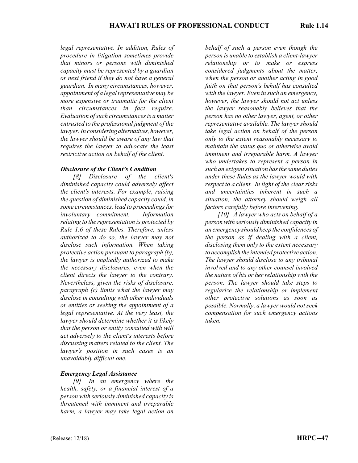*legal representative. In addition, Rules of procedure in litigation sometimes provide that minors or persons with diminished capacity must be represented by a guardian or next friend if they do not have a general guardian. In many circumstances, however, appointment of a legal representative may be more expensive or traumatic for the client than circumstances in fact require. Evaluation of such circumstances is a matter entrusted to the professional judgment of the lawyer. In considering alternatives, however, the lawyer should be aware of any law that requires the lawyer to advocate the least restrictive action on behalf of the client.*

#### *Disclosure of the Client's Condition*

*[8] Disclosure of the client's diminished capacity could adversely affect the client's interests. For example, raising the question of diminished capacity could, in some circumstances, lead to proceedings for involuntary commitment. Information relating to the representation is protected by Rule 1.6 of these Rules. Therefore, unless authorized to do so, the lawyer may not disclose such information. When taking protective action pursuant to paragraph (b), the lawyer is impliedly authorized to make the necessary disclosures, even when the client directs the lawyer to the contrary. Nevertheless, given the risks of disclosure, paragraph (c) limits what the lawyer may disclose in consulting with other individuals or entities or seeking the appointment of a legal representative. At the very least, the lawyer should determine whether it is likely that the person or entity consulted with will act adversely to the client's interests before discussing matters related to the client. The lawyer's position in such cases is an unavoidably difficult one.* 

## *Emergency Legal Assistance*

*[9] In an emergency where the health, safety, or a financial interest of a person with seriously diminished capacity is threatened with imminent and irreparable harm, a lawyer may take legal action on*

*behalf of such a person even though the person is unable to establish a client-lawyer relationship or to make or express considered judgments about the matter, when the person or another acting in good faith on that person's behalf has consulted with the lawyer. Even in such an emergency, however, the lawyer should not act unless the lawyer reasonably believes that the person has no other lawyer, agent, or other representative available. The lawyer should take legal action on behalf of the person only to the extent reasonably necessary to maintain the status quo or otherwise avoid imminent and irreparable harm. A lawyer who undertakes to represent a person in such an exigent situation has the same duties under these Rules as the lawyer would with respect to a client. In light of the clear risks and uncertainties inherent in such a situation, the attorney should weigh all factors carefully before intervening.*

*[10] A lawyer who acts on behalf of a person with seriously diminished capacity in an emergency should keep the confidences of the person as if dealing with a client, disclosing them only to the extent necessary to accomplish the intended protective action. The lawyer should disclose to any tribunal involved and to any other counsel involved the nature of his or her relationship with the person. The lawyer should take steps to regularize the relationship or implement other protective solutions as soon as possible. Normally, a lawyer would not seek compensation for such emergency actions taken.*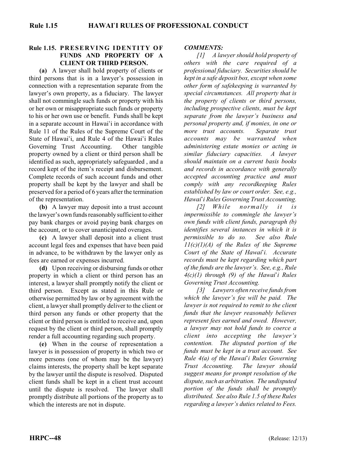# **Rule 1.15. PRESERVING IDENTITY OF FUNDS AND PROPERTY OF A CLIENT OR THIRD PERSON.**

**(a)** A lawyer shall hold property of clients or third persons that is in a lawyer's possession in connection with a representation separate from the lawyer's own property, as a fiduciary. The lawyer shall not commingle such funds or property with his or her own or misappropriate such funds or property to his or her own use or benefit. Funds shall be kept in a separate account in Hawai'i in accordance with Rule 11 of the Rules of the Supreme Court of the State of Hawai'i, and Rule 4 of the Hawai'i Rules Governing Trust Accounting. Other tangible property owned by a client or third person shall be identified as such, appropriately safeguarded , and a record kept of the item's receipt and disbursement. Complete records of such account funds and other property shall be kept by the lawyer and shall be preserved for a period of 6 years after the termination of the representation.

**(b)** A lawyer may deposit into a trust account the lawyer's own funds reasonably sufficient to either pay bank charges or avoid paying bank charges on the account, or to cover unanticipated overages.

**(c)** A lawyer shall deposit into a client trust account legal fees and expenses that have been paid in advance, to be withdrawn by the lawyer only as fees are earned or expenses incurred.

**(d)** Upon receiving or disbursing funds or other property in which a client or third person has an interest, a lawyer shall promptly notify the client or third person. Except as stated in this Rule or otherwise permitted by law or by agreement with the client, a lawyer shall promptly deliver to the client or third person any funds or other property that the client or third person is entitled to receive and, upon request by the client or third person, shall promptly render a full accounting regarding such property.

**(e)** When in the course of representation a lawyer is in possession of property in which two or more persons (one of whom may be the lawyer) claims interests, the property shall be kept separate by the lawyer until the dispute is resolved. Disputed client funds shall be kept in a client trust account until the dispute is resolved. The lawyer shall promptly distribute all portions of the property as to which the interests are not in dispute.

# *COMMENTS:*

*[1] A lawyer should hold property of others with the care required of a professional fiduciary. Securities should be kept in a safe deposit box, except when some other form of safekeeping is warranted by special circumstances. All property that is the property of clients or third persons, including prospective clients, must be kept separate from the lawyer's business and personal property and, if monies, in one or more trust accounts. Separate trust accounts may be warranted when administering estate monies or acting in similar fiduciary capacities. A lawyer should maintain on a current basis books and records in accordance with generally accepted accounting practice and must comply with any recordkeeping Rules established by law or court order. See, e.g., Hawai#i Rules Governing Trust Accounting.*

*[2] While normally it is impermissible to commingle the lawyer's own funds with client funds, paragraph (b) identifies several instances in which it is permissible to do so. See also Rule 11(c)(1)(A) of the Rules of the Supreme Court of the State of Hawai<sup><i>'i. Accurate*</sup> *records must be kept regarding which part of the funds are the lawyer's. See, e.g., Rule 4(c)(1) through (9) of the Hawai<sup><i>'i Rules*</sup> *Governing Trust Accounting.*

*[3] Lawyers often receive funds from which the lawyer's fee will be paid. The lawyer is not required to remit to the client funds that the lawyer reasonably believes represent fees earned and owed. However, a lawyer may not hold funds to coerce a client into accepting the lawyer's contention. The disputed portion of the funds must be kept in a trust account. See Rule 4(a) of the Hawai<sup><i>'*</sup>i *Rules Governing Trust Accounting. The lawyer should suggest means for prompt resolution of the dispute, such as arbitration. The undisputed portion of the funds shall be promptly distributed. See also Rule 1.5 of these Rules regarding a lawyer's duties related to Fees.*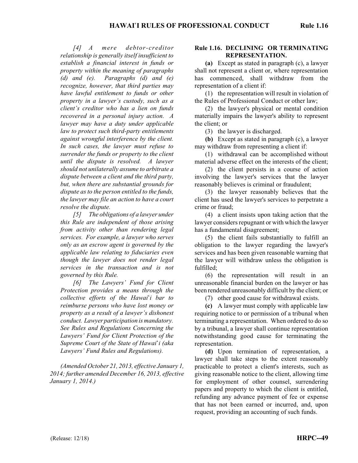*[4] A mere debtor-creditor relationship is generally itself insufficient to establish a financial interest in funds or property within the meaning of paragraphs (d) and (e). Paragraphs (d) and (e) recognize, however, that third parties may have lawful entitlement to funds or other property in a lawyer's custody, such as a client's creditor who has a lien on funds recovered in a personal injury action. A lawyer may have a duty under applicable law to protect such third-party entitlements against wrongful interference by the client. In such cases, the lawyer must refuse to surrender the funds or property to the client until the dispute is resolved. A lawyer should not unilaterally assume to arbitrate a dispute between a client and the third party, but, when there are substantial grounds for dispute as to the person entitled to the funds, the lawyer may file an action to have a court resolve the dispute.*

*[5] The obligations of a lawyer under this Rule are independent of those arising from activity other than rendering legal services. For example, a lawyer who serves only as an escrow agent is governed by the applicable law relating to fiduciaries even though the lawyer does not render legal services in the transaction and is not governed by this Rule.*

*[6] The Lawyers' Fund for Client Protection provides a means through the*  $collective$  *efforts of the Hawai<sup><i>'i bar to*</sup> *reimburse persons who have lost money or property as a result of a lawyer's dishonest conduct. Lawyer participation is mandatory. See Rules and Regulations Concerning the Lawyers' Fund for Client Protection of the Supreme Court of the State of Hawai#i (aka Lawyers' Fund Rules and Regulations).*

*(Amended October 21, 2013, effective January 1, 2014; further amended December 16, 2013, effective January 1, 2014.)*

### **Rule 1.16. DECLINING OR TERMINATING REPRESENTATION.**

**(a)** Except as stated in paragraph (c), a lawyer shall not represent a client or, where representation has commenced, shall withdraw from the representation of a client if:

(1) the representation will result in violation of the Rules of Professional Conduct or other law;

(2) the lawyer's physical or mental condition materially impairs the lawyer's ability to represent the client; or

(3) the lawyer is discharged.

**(b)** Except as stated in paragraph (c), a lawyer may withdraw from representing a client if:

(1) withdrawal can be accomplished without material adverse effect on the interests of the client;

(2) the client persists in a course of action involving the lawyer's services that the lawyer reasonably believes is criminal or fraudulent;

(3) the lawyer reasonably believes that the client has used the lawyer's services to perpetrate a crime or fraud;

(4) a client insists upon taking action that the lawyer considers repugnant or with which the lawyer has a fundamental disagreement;

(5) the client fails substantially to fulfill an obligation to the lawyer regarding the lawyer's services and has been given reasonable warning that the lawyer will withdraw unless the obligation is fulfilled;

(6) the representation will result in an unreasonable financial burden on the lawyer or has been rendered unreasonably difficult by the client; or

(7) other good cause for withdrawal exists.

**(c)** A lawyer must comply with applicable law requiring notice to or permission of a tribunal when terminating a representation. When ordered to do so by a tribunal, a lawyer shall continue representation notwithstanding good cause for terminating the representation.

**(d)** Upon termination of representation, a lawyer shall take steps to the extent reasonably practicable to protect a client's interests, such as giving reasonable notice to the client, allowing time for employment of other counsel, surrendering papers and property to which the client is entitled, refunding any advance payment of fee or expense that has not been earned or incurred, and, upon request, providing an accounting of such funds.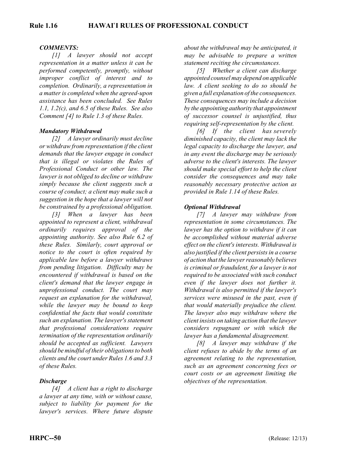#### *COMMENTS:*

*[1] A lawyer should not accept representation in a matter unless it can be performed competently, promptly, without improper conflict of interest and to completion. Ordinarily, a representation in a matter is completed when the agreed-upon assistance has been concluded. See Rules 1.1, 1.2(c), and 6.5 of these Rules. See also Comment [4] to Rule 1.3 of these Rules.*

#### *Mandatory Withdrawal*

*[2] A lawyer ordinarily must decline or withdraw from representation if the client demands that the lawyer engage in conduct that is illegal or violates the Rules of Professional Conduct or other law. The lawyer is not obliged to decline or withdraw simply because the client suggests such a course of conduct; a client may make such a suggestion in the hope that a lawyer will not be constrained by a professional obligation.*

*[3] When a lawyer has been appointed to represent a client, withdrawal ordinarily requires approval of the appointing authority. See also Rule 6.2 of these Rules. Similarly, court approval or notice to the court is often required by applicable law before a lawyer withdraws from pending litigation. Difficulty may be encountered if withdrawal is based on the client's demand that the lawyer engage in unprofessional conduct. The court may request an explanation for the withdrawal, while the lawyer may be bound to keep confidential the facts that would constitute such an explanation. The lawyer's statement that professional considerations require termination of the representation ordinarily should be accepted as sufficient. Lawyers should be mindful of their obligations to both clients and the court under Rules 1.6 and 3.3 of these Rules.*

#### *Discharge*

*[4] A client has a right to discharge a lawyer at any time, with or without cause, subject to liability for payment for the lawyer's services. Where future dispute* *about the withdrawal may be anticipated, it may be advisable to prepare a written statement reciting the circumstances.*

*[5] Whether a client can discharge appointed counsel may depend on applicable law. A client seeking to do so should be given a full explanation of the consequences. These consequences may include a decision by the appointing authority that appointment of successor counsel is unjustified, thus requiring self-representation by the client.*

 *[6] If the client has severely diminished capacity, the client may lack the legal capacity to discharge the lawyer, and in any event the discharge may be seriously adverse to the client's interests. The lawyer should make special effort to help the client consider the consequences and may take reasonably necessary protective action as provided in Rule 1.14 of these Rules.*

#### *Optional Withdrawal*

*[7] A lawyer may withdraw from representation in some circumstances. The lawyer has the option to withdraw if it can be accomplished without material adverse effect on the client's interests. Withdrawal is also justified if the client persists in a course of action that the lawyer reasonably believes is criminal or fraudulent, for a lawyer is not required to be associated with such conduct even if the lawyer does not further it. Withdrawal is also permitted if the lawyer's services were misused in the past, even if that would materially prejudice the client. The lawyer also may withdraw where the client insists on taking action that the lawyer considers repugnant or with which the lawyer has a fundamental disagreement.*

*[8] A lawyer may withdraw if the client refuses to abide by the terms of an agreement relating to the representation, such as an agreement concerning fees or court costs or an agreement limiting the objectives of the representation.*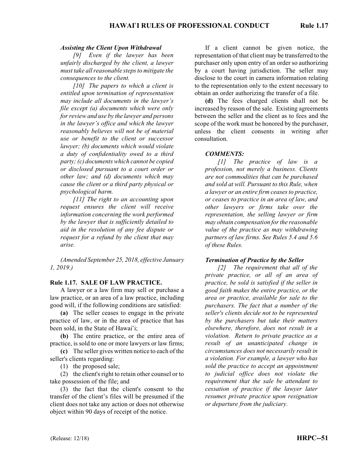#### *Assisting the Client Upon Withdrawal*

*[9] Even if the lawyer has been unfairly discharged by the client, a lawyer must take all reasonable steps to mitigate the consequences to the client.*

*[10] The papers to which a client is entitled upon termination of representation may include all documents in the lawyer's file except (a) documents which were only for review and use by the lawyer and persons in the lawyer's office and which the lawyer reasonably believes will not be of material use or benefit to the client or successor lawyer; (b) documents which would violate a duty of confidentiality owed to a third party; (c) documents which cannot be copied or disclosed pursuant to a court order or other law; and (d) documents which may cause the client or a third party physical or psychological harm.*

*[11] The right to an accounting upon request ensures the client will receive information concerning the work performed by the lawyer that is sufficiently detailed to aid in the resolution of any fee dispute or request for a refund by the client that may arise.*

*(Amended September 25, 2018, effective January 1, 2019.)*

#### **Rule 1.17. SALE OF LAW PRACTICE.**

A lawyer or a law firm may sell or purchase a law practice, or an area of a law practice, including good will, if the following conditions are satisfied:

**(a)** The seller ceases to engage in the private practice of law, or in the area of practice that has been sold, in the State of Hawai'i;

**(b)** The entire practice, or the entire area of practice, is sold to one or more lawyers or law firms;

**(c)** The seller gives written notice to each of the seller's clients regarding:

(1) the proposed sale;

(2) the client's right to retain other counsel or to take possession of the file; and

(3) the fact that the client's consent to the transfer of the client's files will be presumed if the client does not take any action or does not otherwise object within 90 days of receipt of the notice.

If a client cannot be given notice, the representation of that client may be transferred to the purchaser only upon entry of an order so authorizing by a court having jurisdiction. The seller may disclose to the court in camera information relating to the representation only to the extent necessary to obtain an order authorizing the transfer of a file.

**(d)** The fees charged clients shall not be increased by reason of the sale. Existing agreements between the seller and the client as to fees and the scope of the work must be honored by the purchaser, unless the client consents in writing after consultation.

#### *COMMENTS:*

*[1] The practice of law is a profession, not merely a business. Clients are not commodities that can be purchased and sold at will. Pursuant to this Rule, when a lawyer or an entire firm ceases to practice, or ceases to practice in an area of law, and other lawyers or firms take over the representation, the selling lawyer or firm may obtain compensation for the reasonable value of the practice as may withdrawing partners of law firms. See Rules 5.4 and 5.6 of these Rules.*

#### *Termination of Practice by the Seller*

*[2] The requirement that all of the private practice, or all of an area of practice, be sold is satisfied if the seller in good faith makes the entire practice, or the area or practice, available for sale to the purchasers. The fact that a number of the seller's clients decide not to be represented by the purchasers but take their matters elsewhere, therefore, does not result in a violation. Return to private practice as a result of an unanticipated change in circumstances does not necessarily result in a violation. For example, a lawyer who has sold the practice to accept an appointment to judicial office does not violate the requirement that the sale be attendant to cessation of practice if the lawyer later resumes private practice upon resignation or departure from the judiciary.*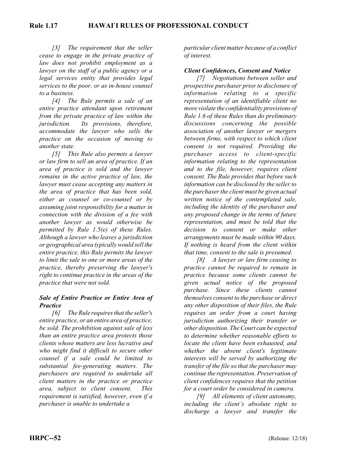*[3] The requirement that the seller cease to engage in the private practice of law does not prohibit employment as a lawyer on the staff of a public agency or a legal services entity that provides legal services to the poor, or as in-house counsel to a business.*

*[4] The Rule permits a sale of an entire practice attendant upon retirement from the private practice of law within the jurisdiction. Its provisions, therefore, accommodate the lawyer who sells the practice on the occasion of moving to another state.*

*[5] This Rule also permits a lawyer or law firm to sell an area of practice. If an area of practice is sold and the lawyer remains in the active practice of law, the lawyer must cease accepting any matters in the area of practice that has been sold, either as counsel or co-counsel or by assuming joint responsibility for a matter in connection with the division of a fee with another lawyer as would otherwise be permitted by Rule 1.5(e) of these Rules. Although a lawyer who leaves a jurisdiction or geographical area typically would sell the entire practice, this Rule permits the lawyer to limit the sale to one or more areas of the practice, thereby preserving the lawyer's right to continue practice in the areas of the practice that were not sold.*

# *Sale of Entire Practice or Entire Area of Practice*

*[6] The Rule requires that the seller's entire practice, or an entire area of practice, be sold. The prohibition against sale of less than an entire practice area protects those clients whose matters are less lucrative and who might find it difficult to secure other counsel if a sale could be limited to substantial fee-generating matters. The purchasers are required to undertake all client matters in the practice or practice area, subject to client consent. This requirement is satisfied, however, even if a purchaser is unable to undertake a* 

*particular client matter because of a conflict of interest.*

#### *Client Confidences, Consent and Notice*

*[7] Negotiations between seller and prospective purchaser prior to disclosure of information relating to a specific representation of an identifiable client no more violate the confidentiality provisions of Rule 1.6 of these Rules than do preliminary discussions concerning the possible association of another lawyer or mergers between firms, with respect to which client consent is not required. Providing the purchaser access to client-specific information relating to the representation and to the file, however, requires client consent. The Rule provides that before such information can be disclosed by the seller to the purchaser the client must be given actual written notice of the contemplated sale, including the identity of the purchaser and any proposed change in the terms of future representation, and must be told that the decision to consent or make other arrangements must be made within 90 days. If nothing is heard from the client within that time, consent to the sale is presumed.*

*[8] A lawyer or law firm ceasing to practice cannot be required to remain in practice because some clients cannot be given actual notice of the proposed purchase. Since these clients cannot themselves consent to the purchase or direct any other disposition of their files, the Rule requires an order from a court having jurisdiction authorizing their transfer or other disposition. The Court can be expected to determine whether reasonable efforts to locate the client have been exhausted, and whether the absent client's legitimate interests will be served by authorizing the transfer of the file so that the purchaser may continue the representation. Preservation of client confidences requires that the petition for a court order be considered in camera.*

*[9] All elements of client autonomy, including the client's absolute right to discharge a lawyer and transfer the*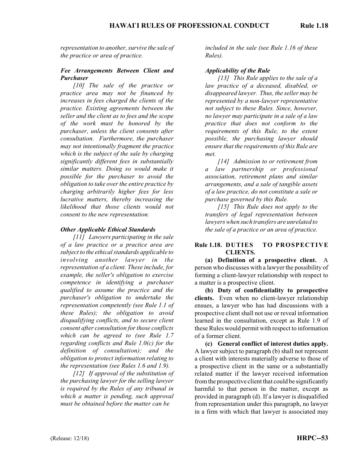*representation to another, survive the sale of the practice or area of practice.*

### *Fee Arrangements Between Client and Purchaser*

*[10] The sale of the practice or practice area may not be financed by increases in fees charged the clients of the practice. Existing agreements between the seller and the client as to fees and the scope of the work must be honored by the purchaser, unless the client consents after consultation. Furthermore, the purchaser may not intentionally fragment the practice which is the subject of the sale by charging significantly different fees in substantially similar matters. Doing so would make it possible for the purchaser to avoid the obligation to take over the entire practice by charging arbitrarily higher fees for less lucrative matters, thereby increasing the likelihood that those clients would not consent to the new representation.* 

#### *Other Applicable Ethical Standards*

*[11] Lawyers participating in the sale of a law practice or a practice area are subject to the ethical standards applicable to involving another lawyer in the representation of a client. These include, for example, the seller's obligation to exercise competence in identifying a purchaser qualified to assume the practice and the purchaser's obligation to undertake the representation competently (see Rule 1.1 of these Rules); the obligation to avoid disqualifying conflicts, and to secure client consent after consultation for those conflicts which can be agreed to (see Rule 1.7 regarding conflicts and Rule 1.0(c) for the definition of consultation); and the obligation to protect information relating to the representation (see Rules 1.6 and 1.9).*

*[12] If approval of the substitution of the purchasing lawyer for the selling lawyer is required by the Rules of any tribunal in which a matter is pending, such approval must be obtained before the matter can be* 

*included in the sale (see Rule 1.16 of these Rules).*

#### *Applicability of the Rule*

*[13] This Rule applies to the sale of a law practice of a deceased, disabled, or disappeared lawyer. Thus, the seller may be represented by a non-lawyer representative not subject to these Rules. Since, however, no lawyer may participate in a sale of a law practice that does not conform to the requirements of this Rule, to the extent possible, the purchasing lawyer should ensure that the requirements of this Rule are met.* 

*[14] Admission to or retirement from a law partnership or professional association, retirement plans and similar arrangements, and a sale of tangible assets of a law practice, do not constitute a sale or purchase governed by this Rule.*

*[15] This Rule does not apply to the transfers of legal representation between lawyers when such transfers are unrelated to the sale of a practice or an area of practice.*

# **Rule 1.18. DUTIES TO PROSPECTIVE CLIENTS.**

**(a) Definition of a prospective client.** A person who discusses with a lawyer the possibility of forming a client-lawyer relationship with respect to a matter is a prospective client.

**(b) Duty of confidentiality to prospective clients.** Even when no client-lawyer relationship ensues, a lawyer who has had discussions with a prospective client shall not use or reveal information learned in the consultation, except as Rule 1.9 of these Rules would permit with respect to information of a former client.

**(c) General conflict of interest duties apply.**  A lawyer subject to paragraph (b) shall not represent a client with interests materially adverse to those of a prospective client in the same or a substantially related matter if the lawyer received information from the prospective client that could be significantly harmful to that person in the matter, except as provided in paragraph (d). If a lawyer is disqualified from representation under this paragraph, no lawyer in a firm with which that lawyer is associated may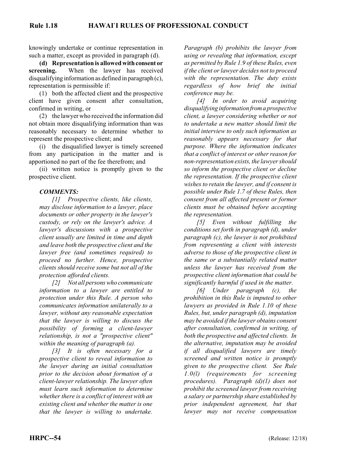knowingly undertake or continue representation in such a matter, except as provided in paragraph (d).

**(d) Representation is allowed with consent or screening.** When the lawyer has received disqualifying information as defined in paragraph (c), representation is permissible if:

(1) both the affected client and the prospective client have given consent after consultation, confirmed in writing, or

(2) the lawyer who received the information did not obtain more disqualifying information than was reasonably necessary to determine whether to represent the prospective client; and

(i) the disqualified lawyer is timely screened from any participation in the matter and is apportioned no part of the fee therefrom; and

(ii) written notice is promptly given to the prospective client.

#### *COMMENTS:*

*[1] Prospective clients, like clients, may disclose information to a lawyer, place documents or other property in the lawyer's custody, or rely on the lawyer's advice. A lawyer's discussions with a prospective client usually are limited in time and depth and leave both the prospective client and the lawyer free (and sometimes required) to proceed no further. Hence, prospective clients should receive some but not all of the protection afforded clients.*

*[2] Not all persons who communicate information to a lawyer are entitled to protection under this Rule. A person who communicates information unilaterally to a lawyer, without any reasonable expectation that the lawyer is willing to discuss the possibility of forming a client-lawyer relationship, is not a "prospective client" within the meaning of paragraph (a).*

*[3] It is often necessary for a prospective client to reveal information to the lawyer during an initial consultation prior to the decision about formation of a client-lawyer relationship. The lawyer often must learn such information to determine whether there is a conflict of interest with an existing client and whether the matter is one that the lawyer is willing to undertake.*

*Paragraph (b) prohibits the lawyer from using or revealing that information, except as permitted by Rule 1.9 of these Rules, even if the client or lawyer decides not to proceed with the representation. The duty exists regardless of how brief the initial conference may be.*

*[4] In order to avoid acquiring disqualifying information from a prospective client, a lawyer considering whether or not to undertake a new matter should limit the initial interview to only such information as reasonably appears necessary for that purpose. Where the information indicates that a conflict of interest or other reason for non-representation exists, the lawyer should so inform the prospective client or decline the representation. If the prospective client wishes to retain the lawyer, and if consent is possible under Rule 1.7 of these Rules, then consent from all affected present or former clients must be obtained before accepting the representation.*

*[5] Even without fulfilling the conditions set forth in paragraph (d), under paragraph (c), the lawyer is not prohibited from representing a client with interests adverse to those of the prospective client in the same or a substantially related matter unless the lawyer has received from the prospective client information that could be significantly harmful if used in the matter.*

*[6] Under paragraph (c), the prohibition in this Rule is imputed to other lawyers as provided in Rule 1.10 of these Rules, but, under paragraph (d), imputation may be avoided if the lawyer obtains consent after consultation, confirmed in writing, of both the prospective and affected clients. In the alternative, imputation may be avoided if all disqualified lawyers are timely screened and written notice is promptly given to the prospective client. See Rule 1.0(l) (requirements for screening procedures). Paragraph (d)(1) does not prohibit the screened lawyer from receiving a salary or partnership share established by prior independent agreement, but that lawyer may not receive compensation*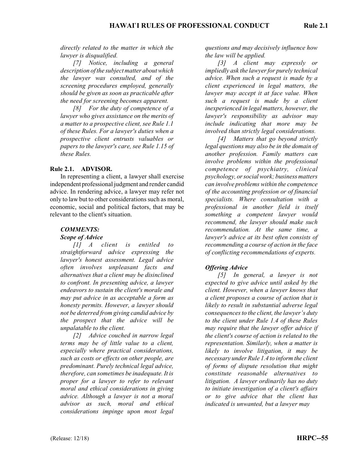*directly related to the matter in which the lawyer is disqualified.*

*[7] Notice, including a general description of the subject matter about which the lawyer was consulted, and of the screening procedures employed, generally should be given as soon as practicable after the need for screening becomes apparent.*

*[8] For the duty of competence of a lawyer who gives assistance on the merits of a matter to a prospective client, see Rule 1.1 of these Rules. For a lawyer's duties when a prospective client entrusts valuables or papers to the lawyer's care, see Rule 1.15 of these Rules.*

#### **Rule 2.1. ADVISOR.**

In representing a client, a lawyer shall exercise independent professional judgment and render candid advice. In rendering advice, a lawyer may refer not only to law but to other considerations such as moral, economic, social and political factors, that may be relevant to the client's situation.

## *COMMENTS:*

#### *Scope of Advice*

*[1] A client is entitled to straightforward advice expressing the lawyer's honest assessment. Legal advice often involves unpleasant facts and alternatives that a client may be disinclined to confront. In presenting advice, a lawyer endeavors to sustain the client's morale and may put advice in as acceptable a form as honesty permits. However, a lawyer should not be deterred from giving candid advice by the prospect that the advice will be unpalatable to the client.*

*[2] Advice couched in narrow legal terms may be of little value to a client, especially where practical considerations, such as costs or effects on other people, are predominant. Purely technical legal advice, therefore, can sometimes be inadequate. It is proper for a lawyer to refer to relevant moral and ethical considerations in giving advice. Although a lawyer is not a moral advisor as such, moral and ethical considerations impinge upon most legal*

*questions and may decisively influence how the law will be applied.*

*[3] A client may expressly or impliedly ask the lawyer for purely technical advice. When such a request is made by a client experienced in legal matters, the lawyer may accept it at face value. When such a request is made by a client inexperienced in legal matters, however, the lawyer's responsibility as advisor may include indicating that more may be involved than strictly legal considerations.*

*[4] Matters that go beyond strictly legal questions may also be in the domain of another profession. Family matters can involve problems within the professional competence of psychiatry, clinical psychology, or social work; business matters can involve problems within the competence of the accounting profession or of financial specialists. Where consultation with a professional in another field is itself something a competent lawyer would recommend, the lawyer should make such recommendation. At the same time, a lawyer's advice at its best often consists of recommending a course of action in the face of conflicting recommendations of experts.* 

## *Offering Advice*

*[5] In general, a lawyer is not expected to give advice until asked by the client. However, when a lawyer knows that a client proposes a course of action that is likely to result in substantial adverse legal consequences to the client, the lawyer's duty to the client under Rule 1.4 of these Rules may require that the lawyer offer advice if the client's course of action is related to the representation. Similarly, when a matter is likely to involve litigation, it may be necessary under Rule 1.4 to inform the client of forms of dispute resolution that might constitute reasonable alternatives to litigation. A lawyer ordinarily has no duty to initiate investigation of a client's affairs or to give advice that the client has indicated is unwanted, but a lawyer may*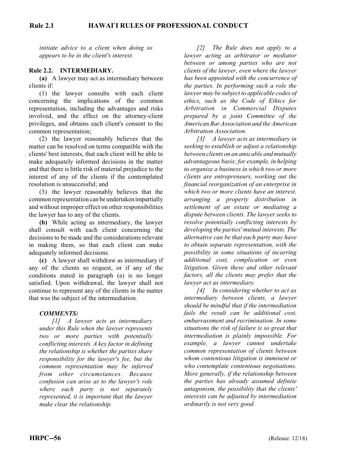*initiate advice to a client when doing so appears to be in the client's interest.*

#### **Rule 2.2. INTERMEDIARY.**

**(a)** A lawyer may act as intermediary between clients if:

(1) the lawyer consults with each client concerning the implications of the common representation, including the advantages and risks involved, and the effect on the attorney-client privileges, and obtains each client's consent to the common representation;

(2) the lawyer reasonably believes that the matter can be resolved on terms compatible with the clients' best interests, that each client will be able to make adequately informed decisions in the matter and that there is little risk of material prejudice to the interest of any of the clients if the contemplated resolution is unsuccessful; and

(3) the lawyer reasonably believes that the common representation can be undertaken impartially and without improper effect on other responsibilities the lawyer has to any of the clients.

**(b)** While acting as intermediary, the lawyer shall consult with each client concerning the decisions to be made and the considerations relevant in making them, so that each client can make adequately informed decisions.

**(c)** A lawyer shall withdraw as intermediary if any of the clients so request, or if any of the conditions stated in paragraph (a) is no longer satisfied. Upon withdrawal, the lawyer shall not continue to represent any of the clients in the matter that was the subject of the intermediation.

## *COMMENTS:*

*[1] A lawyer acts as intermediary under this Rule when the lawyer represents two or more parties with potentially conflicting interests. A key factor in defining the relationship is whether the parties share responsibility for the lawyer's fee, but the common representation may be inferred from other circumstances. Because confusion can arise as to the lawyer's role where each party is not separately represented, it is important that the lawyer make clear the relationship.*

*[2] The Rule does not apply to a lawyer acting as arbitrator or mediator between or among parties who are not clients of the lawyer, even where the lawyer has been appointed with the concurrence of the parties. In performing such a role the lawyer may be subject to applicable codes of ethics, such as the Code of Ethics for Arbitration in Commercial Disputes prepared by a joint Committee of the American Bar Association and the American Arbitration Association.*

*[3] A lawyer acts as intermediary in seeking to establish or adjust a relationship between clients on an amicable and mutually advantageous basis; for example, in helping to organize a business in which two or more clients are entrepreneurs, working out the financial reorganization of an enterprise in which two or more clients have an interest, arranging a property distribution in settlement of an estate or mediating a dispute between clients. The lawyer seeks to resolve potentially conflicting interests by developing the parties' mutual interests. The alternative can be that each party may have to obtain separate representation, with the possibility in some situations of incurring additional cost, complication or even litigation. Given these and other relevant factors, all the clients may prefer that the lawyer act as intermediary.*

*[4] In considering whether to act as intermediary between clients, a lawyer should be mindful that if the intermediation fails the result can be additional cost, embarrassment and recrimination. In some situations the risk of failure is so great that intermediation is plainly impossible. For example, a lawyer cannot undertake common representation of clients between whom contentious litigation is imminent or who contemplate contentious negotiations. More generally, if the relationship between the parties has already assumed definite antagonism, the possibility that the clients' interests can be adjusted by intermediation ordinarily is not very good.*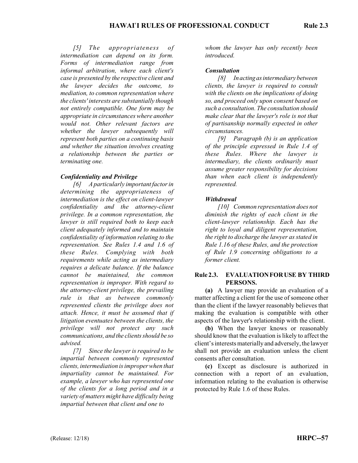*[5] The appropriateness of intermediation can depend on its form. Forms of intermediation range from informal arbitration, where each client's case is presented by the respective client and the lawyer decides the outcome, to mediation, to common representation where the clients' interests are substantially though not entirely compatible. One form may be appropriate in circumstances where another would not. Other relevant factors are whether the lawyer subsequently will represent both parties on a continuing basis and whether the situation involves creating a relationship between the parties or terminating one.*

## *Confidentiality and Privilege*

*[6] A particularly important factor in determining the appropriateness of intermediation is the effect on client-lawyer confidentiality and the attorney-client privilege. In a common representation, the lawyer is still required both to keep each client adequately informed and to maintain confidentiality of information relating to the representation. See Rules 1.4 and 1.6 of these Rules. Complying with both requirements while acting as intermediary requires a delicate balance. If the balance cannot be maintained, the common representation is improper. With regard to the attorney-client privilege, the prevailing rule is that as between commonly represented clients the privilege does not attach. Hence, it must be assumed that if litigation eventuates between the clients, the privilege will not protect any such communications, and the clients should be so advised.*

*[7] Since the lawyer is required to be impartial between commonly represented clients, intermediation is improper when that impartiality cannot be maintained. For example, a lawyer who has represented one of the clients for a long period and in a variety of matters might have difficulty being impartial between that client and one to* 

*whom the lawyer has only recently been introduced.*

#### *Consultation*

*[8] In acting as intermediary between clients, the lawyer is required to consult with the clients on the implications of doing so, and proceed only upon consent based on such a consultation. The consultation should make clear that the lawyer's role is not that of partisanship normally expected in other circumstances.*

*[9] Paragraph (b) is an application of the principle expressed in Rule 1.4 of these Rules. Where the lawyer is intermediary, the clients ordinarily must assume greater responsibility for decisions than when each client is independently represented.*

#### *Withdrawal*

*[10] Common representation does not diminish the rights of each client in the client-lawyer relationship. Each has the right to loyal and diligent representation, the right to discharge the lawyer as stated in Rule 1.16 of these Rules, and the protection of Rule 1.9 concerning obligations to a former client.*

#### **Rule 2.3. EVALUATION FOR USE BY THIRD PERSONS.**

**(a)** A lawyer may provide an evaluation of a matter affecting a client for the use of someone other than the client if the lawyer reasonably believes that making the evaluation is compatible with other aspects of the lawyer's relationship with the client.

**(b)** When the lawyer knows or reasonably should know that the evaluation is likely to affect the client's interests materially and adversely, the lawyer shall not provide an evaluation unless the client consents after consultation.

**(c)** Except as disclosure is authorized in connection with a report of an evaluation, information relating to the evaluation is otherwise protected by Rule 1.6 of these Rules.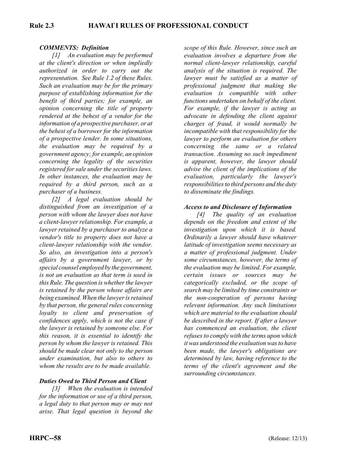# *COMMENTS: Definition*

*[1] An evaluation may be performed at the client's direction or when impliedly authorized in order to carry out the representation. See Rule 1.2 of these Rules. Such an evaluation may be for the primary purpose of establishing information for the benefit of third parties; for example, an opinion concerning the title of property rendered at the behest of a vendor for the information of a prospective purchaser, or at the behest of a borrower for the information of a prospective lender. In some situations, the evaluation may be required by a government agency; for example, an opinion concerning the legality of the securities registered for sale under the securities laws. In other instances, the evaluation may be required by a third person, such as a purchaser of a business.*

*[2] A legal evaluation should be distinguished from an investigation of a person with whom the lawyer does not have a client-lawyer relationship. For example, a lawyer retained by a purchaser to analyze a vendor's title to property does not have a client-lawyer relationship with the vendor. So also, an investigation into a person's affairs by a government lawyer, or by special counsel employed by the government, is not an evaluation as that term is used in this Rule. The question is whether the lawyer is retained by the person whose affairs are being examined. When the lawyer is retained by that person, the general rules concerning loyalty to client and preservation of confidences apply, which is not the case if the lawyer is retained by someone else. For this reason, it is essential to identify the person by whom the lawyer is retained. This should be made clear not only to the person under examination, but also to others to whom the results are to be made available.*

## *Duties Owed to Third Person and Client*

*[3] When the evaluation is intended for the information or use of a third person, a legal duty to that person may or may not arise. That legal question is beyond the*

*scope of this Rule. However, since such an evaluation involves a departure from the normal client-lawyer relationship, careful analysis of the situation is required. The lawyer must be satisfied as a matter of professional judgment that making the evaluation is compatible with other functions undertaken on behalf of the client. For example, if the lawyer is acting as advocate in defending the client against charges of fraud, it would normally be incompatible with that responsibility for the lawyer to perform an evaluation for others concerning the same or a related transaction. Assuming no such impediment is apparent, however, the lawyer should advise the client of the implications of the evaluation, particularly the lawyer's responsibilities to third persons and the duty to disseminate the findings.*

#### *Access to and Disclosure of Information*

*[4] The quality of an evaluation depends on the freedom and extent of the investigation upon which it is based. Ordinarily a lawyer should have whatever latitude of investigation seems necessary as a matter of professional judgment. Under some circumstances, however, the terms of the evaluation may be limited. For example, certain issues or sources may be categorically excluded, or the scope of search may be limited by time constraints or the non-cooperation of persons having relevant information. Any such limitations which are material to the evaluation should be described in the report. If after a lawyer has commenced an evaluation, the client refuses to comply with the terms upon which it was understood the evaluation was to have been made, the lawyer's obligations are determined by law, having reference to the terms of the client's agreement and the surrounding circumstances.*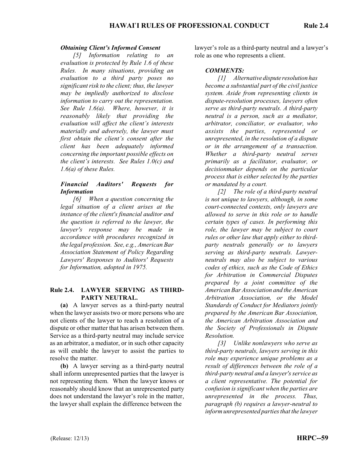# *Obtaining Client's Informed Consent*

*[5] Information relating to an evaluation is protected by Rule 1.6 of these Rules. In many situations, providing an evaluation to a third party poses no significant risk to the client; thus, the lawyer may be impliedly authorized to disclose information to carry out the representation. See Rule 1.6(a). Where, however, it is reasonably likely that providing the evaluation will affect the client's interests materially and adversely, the lawyer must first obtain the client's consent after the client has been adequately informed concerning the important possible effects on the client's interests. See Rules 1.0(c) and 1.6(a) of these Rules.*

# *Financial Auditors' Requests for Information*

*[6] When a question concerning the legal situation of a client arises at the instance of the client's financial auditor and the question is referred to the lawyer, the lawyer's response may be made in accordance with procedures recognized in the legal profession. See, e.g., American Bar Association Statement of Policy Regarding Lawyers' Responses to Auditors' Requests for Information, adopted in 1975.*

#### **Rule 2.4. LAWYER SERVING AS THIRD-PARTY NEUTRAL.**

**(a)** A lawyer serves as a third-party neutral when the lawyer assists two or more persons who are not clients of the lawyer to reach a resolution of a dispute or other matter that has arisen between them. Service as a third-party neutral may include service as an arbitrator, a mediator, or in such other capacity as will enable the lawyer to assist the parties to resolve the matter.

**(b)** A lawyer serving as a third-party neutral shall inform unrepresented parties that the lawyer is not representing them. When the lawyer knows or reasonably should know that an unrepresented party does not understand the lawyer's role in the matter, the lawyer shall explain the difference between the

lawyer's role as a third-party neutral and a lawyer's role as one who represents a client.

# *COMMENTS:*

*[1] Alternative dispute resolution has become a substantial part of the civil justice system. Aside from representing clients in dispute-resolution processes, lawyers often serve as third-party neutrals. A third-party neutral is a person, such as a mediator, arbitrator, conciliator, or evaluator, who assists the parties, represented or unrepresented, in the resolution of a dispute or in the arrangement of a transaction. Whether a third-party neutral serves primarily as a facilitator, evaluator, or decisionmaker depends on the particular process that is either selected by the parties or mandated by a court.*

*[2] The role of a third-party neutral is not unique to lawyers, although, in some court-connected contexts, only lawyers are allowed to serve in this role or to handle certain types of cases. In performing this role, the lawyer may be subject to court rules or other law that apply either to thirdparty neutrals generally or to lawyers serving as third-party neutrals. Lawyerneutrals may also be subject to various codes of ethics, such as the Code of Ethics for Arbitration in Commercial Disputes prepared by a joint committee of the American Bar Association and the American Arbitration Association, or the Model Standards of Conduct for Mediators jointly prepared by the American Bar Association, the American Arbitration Association and the Society of Professionals in Dispute Resolution.*

*[3] Unlike nonlawyers who serve as third-party neutrals, lawyers serving in this role may experience unique problems as a result of differences between the role of a third-party neutral and a lawyer's service as a client representative. The potential for confusion is significant when the parties are unrepresented in the process. Thus, paragraph (b) requires a lawyer-neutral to inform unrepresented parties that the lawyer*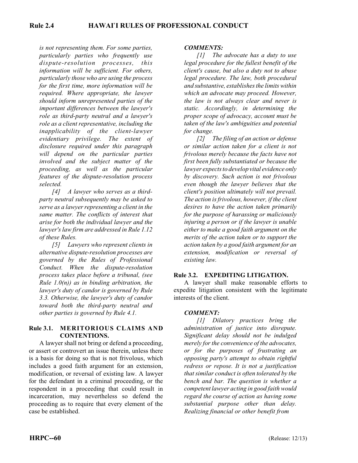*is not representing them. For some parties, particularly parties who frequently use dispute-resolution processes, this information will be sufficient. For others, particularly those who are using the process for the first time, more information will be required. Where appropriate, the lawyer should inform unrepresented parties of the important differences between the lawyer's role as third-party neutral and a lawyer's role as a client representative, including the inapplicability of the client-lawyer evidentiary privilege. The extent of disclosure required under this paragraph will depend on the particular parties involved and the subject matter of the proceeding, as well as the particular features of the dispute-resolution process selected.*

*[4] A lawyer who serves as a thirdparty neutral subsequently may be asked to serve as a lawyer representing a client in the same matter. The conflicts of interest that arise for both the individual lawyer and the lawyer's law firm are addressed in Rule 1.12 of these Rules.*

*[5] Lawyers who represent clients in alternative dispute-resolution processes are governed by the Rules of Professional Conduct. When the dispute-resolution process takes place before a tribunal, (see Rule 1.0(n)) as in binding arbitration, the lawyer's duty of candor is governed by Rule 3.3. Otherwise, the lawyer's duty of candor toward both the third-party neutral and other parties is governed by Rule 4.1.*

# **Rule 3.1. MERITORIOUS CLAIMS AND CONTENTIONS.**

A lawyer shall not bring or defend a proceeding, or assert or controvert an issue therein, unless there is a basis for doing so that is not frivolous, which includes a good faith argument for an extension, modification, or reversal of existing law. A lawyer for the defendant in a criminal proceeding, or the respondent in a proceeding that could result in incarceration, may nevertheless so defend the proceeding as to require that every element of the case be established.

#### *COMMENTS:*

*[1] The advocate has a duty to use legal procedure for the fullest benefit of the client's cause, but also a duty not to abuse legal procedure. The law, both procedural and substantive, establishes the limits within which an advocate may proceed. However, the law is not always clear and never is static. Accordingly, in determining the proper scope of advocacy, account must be taken of the law's ambiguities and potential for change.*

*[2] The filing of an action or defense or similar action taken for a client is not frivolous merely because the facts have not first been fully substantiated or because the lawyer expects to develop vital evidence only by discovery. Such action is not frivolous even though the lawyer believes that the client's position ultimately will not prevail. The action is frivolous, however, if the client desires to have the action taken primarily for the purpose of harassing or maliciously injuring a person or if the lawyer is unable either to make a good faith argument on the merits of the action taken or to support the action taken by a good faith argument for an extension, modification or reversal of existing law.*

#### **Rule 3.2. EXPEDITING LITIGATION.**

A lawyer shall make reasonable efforts to expedite litigation consistent with the legitimate interests of the client.

#### *COMMENT:*

*[1] Dilatory practices bring the administration of justice into disrepute. Significant delay should not be indulged merely for the convenience of the advocates, or for the purposes of frustrating an opposing party's attempt to obtain rightful redress or repose. It is not a justification that similar conduct is often tolerated by the bench and bar. The question is whether a competent lawyer acting in good faith would regard the course of action as having some substantial purpose other than delay. Realizing financial or other benefit from*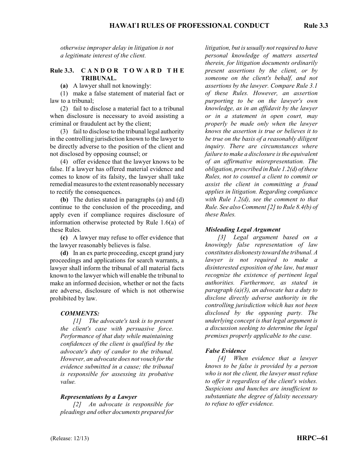*otherwise improper delay in litigation is not a legitimate interest of the client.*

#### **Rule 3.3. C A N D O R T O W A R D T H E TRIBUNAL.**

**(a)** A lawyer shall not knowingly:

(1) make a false statement of material fact or law to a tribunal;

(2) fail to disclose a material fact to a tribunal when disclosure is necessary to avoid assisting a criminal or fraudulent act by the client;

(3) fail to disclose to the tribunal legal authority in the controlling jurisdiction known to the lawyer to be directly adverse to the position of the client and not disclosed by opposing counsel; or

(4) offer evidence that the lawyer knows to be false. If a lawyer has offered material evidence and comes to know of its falsity, the lawyer shall take remedial measures to the extent reasonably necessary to rectify the consequences.

**(b)** The duties stated in paragraphs (a) and (d) continue to the conclusion of the proceeding, and apply even if compliance requires disclosure of information otherwise protected by Rule 1.6(a) of these Rules.

**(c)** A lawyer may refuse to offer evidence that the lawyer reasonably believes is false.

**(d)** In an ex parte proceeding, except grand jury proceedings and applications for search warrants, a lawyer shall inform the tribunal of all material facts known to the lawyer which will enable the tribunal to make an informed decision, whether or not the facts are adverse, disclosure of which is not otherwise prohibited by law.

## *COMMENTS:*

*[1] The advocate's task is to present the client's case with persuasive force. Performance of that duty while maintaining confidences of the client is qualified by the advocate's duty of candor to the tribunal. However, an advocate does not vouch for the evidence submitted in a cause; the tribunal is responsible for assessing its probative value.*

#### *Representations by a Lawyer*

*[2] An advocate is responsible for pleadings and other documents prepared for*

*litigation, but is usually not required to have personal knowledge of matters asserted therein, for litigation documents ordinarily present assertions by the client, or by someone on the client's behalf, and not assertions by the lawyer. Compare Rule 3.1 of these Rules. However, an assertion purporting to be on the lawyer's own knowledge, as in an affidavit by the lawyer or in a statement in open court, may properly be made only when the lawyer knows the assertion is true or believes it to be true on the basis of a reasonably diligent inquiry. There are circumstances where failure to make a disclosure is the equivalent of an affirmative misrepresentation. The obligation, prescribed in Rule 1.2(d) of these Rules, not to counsel a client to commit or assist the client in committing a fraud applies in litigation. Regarding compliance with Rule 1.2(d), see the comment to that Rule. See also Comment [2] to Rule 8.4(b) of these Rules.*

#### *Misleading Legal Argument*

*[3] Legal argument based on a knowingly false representation of law constitutes dishonesty toward the tribunal. A lawyer is not required to make a disinterested exposition of the law, but must recognize the existence of pertinent legal authorities. Furthermore, as stated in paragraph (a)(3), an advocate has a duty to disclose directly adverse authority in the controlling jurisdiction which has not been disclosed by the opposing party. The underlying concept is that legal argument is a discussion seeking to determine the legal premises properly applicable to the case.*

## *False Evidence*

*[4] When evidence that a lawyer knows to be false is provided by a person who is not the client, the lawyer must refuse to offer it regardless of the client's wishes. Suspicions and hunches are insufficient to substantiate the degree of falsity necessary to refuse to offer evidence.*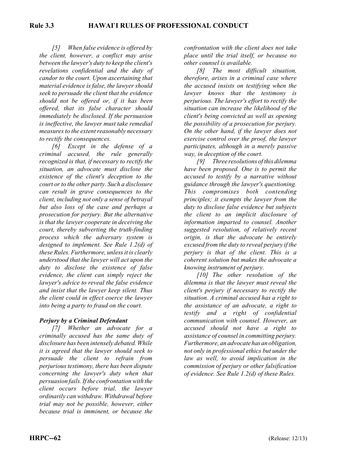*[5] When false evidence is offered by the client, however, a conflict may arise between the lawyer's duty to keep the client's revelations confidential and the duty of candor to the court. Upon ascertaining that material evidence is false, the lawyer should seek to persuade the client that the evidence should not be offered or, if it has been offered, that its false character should immediately be disclosed. If the persuasion is ineffective, the lawyer must take remedial measures to the extent reasonably necessary to rectify the consequences.*

*[6] Except in the defense of a criminal accused, the rule generally recognized is that, if necessary to rectify the situation, an advocate must disclose the existence of the client's deception to the court or to the other party. Such a disclosure can result in grave consequences to the client, including not only a sense of betrayal but also loss of the case and perhaps a prosecution for perjury. But the alternative is that the lawyer cooperate in deceiving the court, thereby subverting the truth-finding process which the adversary system is designed to implement. See Rule 1.2(d) of these Rules. Furthermore, unless it is clearly understood that the lawyer will act upon the duty to disclose the existence of false evidence, the client can simply reject the lawyer's advice to reveal the false evidence and insist that the lawyer keep silent. Thus the client could in effect coerce the lawyer into being a party to fraud on the court.*

## *Perjury by a Criminal Defendant*

*[7] Whether an advocate for a criminally accused has the same duty of disclosure has been intensely debated. While it is agreed that the lawyer should seek to persuade the client to refrain from perjurious testimony, there has been dispute concerning the lawyer's duty when that persuasion fails. If the confrontation with the client occurs before trial, the lawyer ordinarily can withdraw. Withdrawal before trial may not be possible, however, either because trial is imminent, or because the*

*confrontation with the client does not take place until the trial itself, or because no other counsel is available.*

*[8] The most difficult situation, therefore, arises in a criminal case where the accused insists on testifying when the lawyer knows that the testimony is perjurious. The lawyer's effort to rectify the situation can increase the likelihood of the client's being convicted as well as opening the possibility of a prosecution for perjury. On the other hand, if the lawyer does not exercise control over the proof, the lawyer participates, although in a merely passive way, in deception of the court.*

*[9] Three resolutions of this dilemma have been proposed. One is to permit the accused to testify by a narrative without guidance through the lawyer's questioning. This compromises both contending principles; it exempts the lawyer from the duty to disclose false evidence but subjects the client to an implicit disclosure of information imparted to counsel. Another suggested resolution, of relatively recent origin, is that the advocate be entirely excused from the duty to reveal perjury if the perjury is that of the client. This is a coherent solution but makes the advocate a knowing instrument of perjury.*

*[10] The other resolution of the dilemma is that the lawyer must reveal the client's perjury if necessary to rectify the situation. A criminal accused has a right to the assistance of an advocate, a right to testify and a right of confidential communication with counsel. However, an accused should not have a right to assistance of counsel in committing perjury. Furthermore, an advocate has an obligation, not only in professional ethics but under the law as well, to avoid implication in the commission of perjury or other falsification of evidence. See Rule 1.2(d) of these Rules.*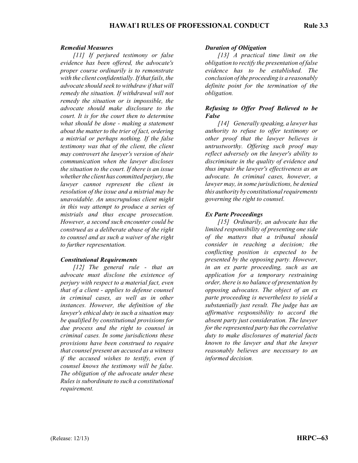#### *Remedial Measures*

*[11] If perjured testimony or false evidence has been offered, the advocate's proper course ordinarily is to remonstrate with the client confidentially. If that fails, the advocate should seek to withdraw if that will remedy the situation. If withdrawal will not remedy the situation or is impossible, the advocate should make disclosure to the court. It is for the court then to determine what should be done - making a statement about the matter to the trier of fact, ordering a mistrial or perhaps nothing. If the false testimony was that of the client, the client may controvert the lawyer's version of their communication when the lawyer discloses the situation to the court. If there is an issue whether the client has committed perjury, the lawyer cannot represent the client in resolution of the issue and a mistrial may be unavoidable. An unscrupulous client might in this way attempt to produce a series of mistrials and thus escape prosecution. However, a second such encounter could be construed as a deliberate abuse of the right to counsel and as such a waiver of the right to further representation.*

## *Constitutional Requirements*

*[12] The general rule - that an advocate must disclose the existence of perjury with respect to a material fact, even that of a client - applies to defense counsel in criminal cases, as well as in other instances. However, the definition of the lawyer's ethical duty in such a situation may be qualified by constitutional provisions for due process and the right to counsel in criminal cases. In some jurisdictions these provisions have been construed to require that counsel present an accused as a witness if the accused wishes to testify, even if counsel knows the testimony will be false. The obligation of the advocate under these Rules is subordinate to such a constitutional requirement.*

#### *Duration of Obligation*

*[13] A practical time limit on the obligation to rectify the presentation of false evidence has to be established. The conclusion of the proceeding is a reasonably definite point for the termination of the obligation.*

# *Refusing to Offer Proof Believed to be False*

*[14] Generally speaking, a lawyer has authority to refuse to offer testimony or other proof that the lawyer believes is untrustworthy. Offering such proof may reflect adversely on the lawyer's ability to discriminate in the quality of evidence and thus impair the lawyer's effectiveness as an advocate. In criminal cases, however, a lawyer may, in some jurisdictions, be denied this authority by constitutional requirements governing the right to counsel.*

## *Ex Parte Proceedings*

*[15] Ordinarily, an advocate has the limited responsibility of presenting one side of the matters that a tribunal should consider in reaching a decision; the conflicting position is expected to be presented by the opposing party. However, in an ex parte proceeding, such as an application for a temporary restraining order, there is no balance of presentation by opposing advocates. The object of an ex parte proceeding is nevertheless to yield a substantially just result. The judge has an affirmative responsibility to accord the absent party just consideration. The lawyer for the represented party has the correlative duty to make disclosures of material facts known to the lawyer and that the lawyer reasonably believes are necessary to an informed decision.*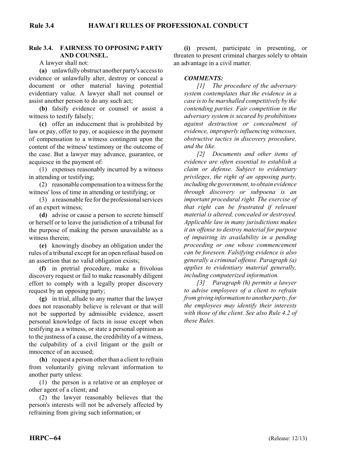#### **Rule 3.4. FAIRNESS TO OPPOSING PARTY AND COUNSEL.**

A lawyer shall not:

**(a)** unlawfully obstruct another party's access to evidence or unlawfully alter, destroy or conceal a document or other material having potential evidentiary value. A lawyer shall not counsel or assist another person to do any such act;

**(b)** falsify evidence or counsel or assist a witness to testify falsely;

**(c)** offer an inducement that is prohibited by law or pay, offer to pay, or acquiesce in the payment of compensation to a witness contingent upon the content of the witness' testimony or the outcome of the case. But a lawyer may advance, guarantee, or acquiesce in the payment of:

(1) expenses reasonably incurred by a witness in attending or testifying;

(2) reasonable compensation to a witness for the witness' loss of time in attending or testifying; or

(3) a reasonable fee for the professional services of an expert witness;

**(d)** advise or cause a person to secrete himself or herself or to leave the jurisdiction of a tribunal for the purpose of making the person unavailable as a witness therein;

**(e)** knowingly disobey an obligation under the rules of a tribunal except for an open refusal based on an assertion that no valid obligation exists;

**(f)** in pretrial procedure, make a frivolous discovery request or fail to make reasonably diligent effort to comply with a legally proper discovery request by an opposing party;

**(g)** in trial, allude to any matter that the lawyer does not reasonably believe is relevant or that will not be supported by admissible evidence, assert personal knowledge of facts in issue except when testifying as a witness, or state a personal opinion as to the justness of a cause, the credibility of a witness, the culpability of a civil litigant or the guilt or innocence of an accused;

**(h)** request a person other than a client to refrain from voluntarily giving relevant information to another party unless:

(1) the person is a relative or an employee or other agent of a client; and

(2) the lawyer reasonably believes that the person's interests will not be adversely affected by refraining from giving such information; or

**(i)** present, participate in presenting, or threaten to present criminal charges solely to obtain an advantage in a civil matter.

#### *COMMENTS:*

*[1] The procedure of the adversary system contemplates that the evidence in a case is to be marshalled competitively by the contending parties. Fair competition in the adversary system is secured by prohibitions against destruction or concealment of evidence, improperly influencing witnesses, obstructive tactics in discovery procedure, and the like.*

*[2] Documents and other items of evidence are often essential to establish a claim or defense. Subject to evidentiary privileges, the right of an opposing party, including the government, to obtain evidence through discovery or subpoena is an important procedural right. The exercise of that right can be frustrated if relevant material is altered, concealed or destroyed. Applicable law in many jurisdictions makes it an offense to destroy material for purpose of impairing its availability in a pending proceeding or one whose commencement can be foreseen. Falsifying evidence is also generally a criminal offense. Paragraph (a) applies to evidentiary material generally, including computerized information.* 

*[3] Paragraph (h) permits a lawyer to advise employees of a client to refrain from giving information to another party, for the employees may identify their interests with those of the client. See also Rule 4.2 of these Rules.*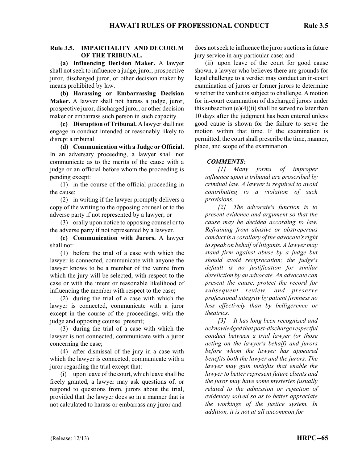### **Rule 3.5. IMPARTIALITY AND DECORUM OF THE TRIBUNAL.**

**(a) Influencing Decision Maker.** A lawyer shall not seek to influence a judge, juror, prospective juror, discharged juror, or other decision maker by means prohibited by law.

**(b) Harassing or Embarrassing Decision Maker.** A lawyer shall not harass a judge, juror, prospective juror, discharged juror, or other decision maker or embarrass such person in such capacity.

**(c) Disruption of Tribunal.** A lawyer shall not engage in conduct intended or reasonably likely to disrupt a tribunal.

**(d) Communication with a Judge or Official.** In an adversary proceeding, a lawyer shall not communicate as to the merits of the cause with a judge or an official before whom the proceeding is pending except:

(1) in the course of the official proceeding in the cause;

(2) in writing if the lawyer promptly delivers a copy of the writing to the opposing counsel or to the adverse party if not represented by a lawyer; or

(3) orally upon notice to opposing counsel or to the adverse party if not represented by a lawyer.

**(e) Communication with Jurors.** A lawyer shall not:

(1) before the trial of a case with which the lawyer is connected, communicate with anyone the lawyer knows to be a member of the venire from which the jury will be selected, with respect to the case or with the intent or reasonable likelihood of influencing the member with respect to the case;

(2) during the trial of a case with which the lawyer is connected, communicate with a juror except in the course of the proceedings, with the judge and opposing counsel present;

(3) during the trial of a case with which the lawyer is not connected, communicate with a juror concerning the case;

(4) after dismissal of the jury in a case with which the lawyer is connected, communicate with a juror regarding the trial except that:

(i) upon leave of the court, which leave shall be freely granted, a lawyer may ask questions of, or respond to questions from, jurors about the trial, provided that the lawyer does so in a manner that is not calculated to harass or embarrass any juror and

does not seek to influence the juror's actions in future jury service in any particular case; and

(ii) upon leave of the court for good cause shown, a lawyer who believes there are grounds for legal challenge to a verdict may conduct an in-court examination of jurors or former jurors to determine whether the verdict is subject to challenge. A motion for in-court examination of discharged jurors under this subsection  $(e)(4)(ii)$  shall be served no later than 10 days after the judgment has been entered unless good cause is shown for the failure to serve the motion within that time. If the examination is permitted, the court shall prescribe the time, manner, place, and scope of the examination.

### *COMMENTS:*

*[1] Many forms of improper influence upon a tribunal are proscribed by criminal law. A lawyer is required to avoid contributing to a violation of such provisions.*

*[2] The advocate's function is to present evidence and argument so that the cause may be decided according to law. Refraining from abusive or obstreperous conduct is a corollary of the advocate's right to speak on behalf of litigants. A lawyer may stand firm against abuse by a judge but should avoid reciprocation; the judge's default is no justification for similar dereliction by an advocate. An advocate can present the cause, protect the record for subsequent review, and preserve professional integrity by patient firmness no less effectively than by belligerence or theatrics.*

*[3] It has long been recognized and acknowledged that post-discharge respectful conduct between a trial lawyer (or those acting on the lawyer's behalf) and jurors before whom the lawyer has appeared benefits both the lawyer and the jurors. The lawyer may gain insights that enable the lawyer to better represent future clients and the juror may have some mysteries (usually related to the admission or rejection of evidence) solved so as to better appreciate the workings of the justice system. In addition, it is not at all uncommon for*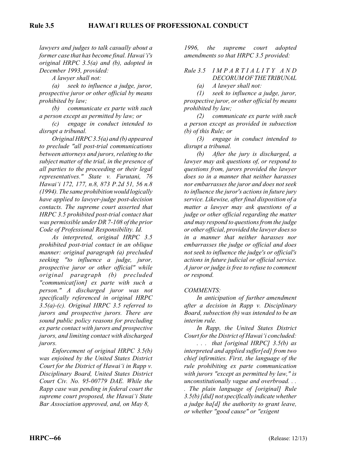*lawyers and judges to talk casually about a former case that has become final. Hawai'i's original HRPC 3.5(a) and (b), adopted in*

*December 1993, provided:*

*A lawyer shall not:*

*(a) seek to influence a judge, juror, prospective juror or other official by means prohibited by law;*

*(b) communicate ex parte with such a person except as permitted by law; or*

*(c) engage in conduct intended to disrupt a tribunal.*

*Original HRPC 3.5(a) and (b) appeared to preclude "all post-trial communications between attorneys and jurors, relating to the subject matter of the trial, in the presence of all parties to the proceeding or their legal representatives." State v. Furutani, 76 Hawai'i 172, 177, n.8, 873 P.2d 51, 56 n.8 (1994). The same prohibition would logically have applied to lawyer-judge post-decision contacts. The supreme court asserted that HRPC 3.5 prohibited post-trial contact that was permissible under DR 7-108 of the prior Code of Professional Responsibility. Id.*

*As interpreted, original HRPC 3.5 prohibited post-trial contact in an oblique manner: original paragraph (a) precluded seeking "to influence a judge, juror, prospective juror or other official" while original paragraph (b) precluded "communicat[ion] ex parte with such a person." A discharged juror was not specifically referenced in original HRPC 3.5(a)-(c). Original HRPC 3.5 referred to jurors and prospective jurors. There are sound public policy reasons for precluding ex parte contact with jurors and prospective jurors, and limiting contact with discharged jurors.*

*Enforcement of original HRPC 3.5(b) was enjoined by the United States District Court for the District of Hawai'i in Rapp v. Disciplinary Board, United States District Court Civ. No. 95-00779 DAE. While the Rapp case was pending in federal court the supreme court proposed, the Hawai'i State Bar Association approved, and, on May 8,* 

*1996, the supreme court adopted amendments so that HRPC 3.5 provided:*

*Rule 3.5 I M P A R T I A L I T Y A N D DECORUM OF THE TRIBUNAL*

*(a) A lawyer shall not:*

*(1) seek to influence a judge, juror, prospective juror, or other official by means prohibited by law;*

*(2) communicate ex parte with such a person except as provided in subsection (b) of this Rule; or*

*(3) engage in conduct intended to disrupt a tribunal.*

*(b) After the jury is discharged, a lawyer may ask questions of, or respond to questions from, jurors provided the lawyer does so in a manner that neither harasses nor embarrasses the juror and does not seek to influence the juror's actions in future jury service. Likewise, after final disposition of a matter a lawyer may ask questions of a judge or other official regarding the matter and may respond to questions from the judge or other official, provided the lawyer does so in a manner that neither harasses nor embarrasses the judge or official and does not seek to influence the judge's or official's actions in future judicial or official service. A juror or judge is free to refuse to comment or respond.*

### *COMMENTS:*

 *In anticipation of further amendment after a decision in Rapp v. Disciplinary Board, subsection (b) was intended to be an interim rule.*

*In Rapp, the United States District Court for the District of Hawai'i concluded:*

*. . . that [original HRPC] 3.5(b) as interpreted and applied suffer[ed] from two chief infirmities. First, the language of the rule prohibiting ex parte communication with jurors "except as permitted by law," is unconstitutionally vague and overbroad. . . . The plain language of [original] Rule 3.5(b) [did] not specifically indicate whether a judge ha[d] the authority to grant leave, or whether "good cause" or "exigent*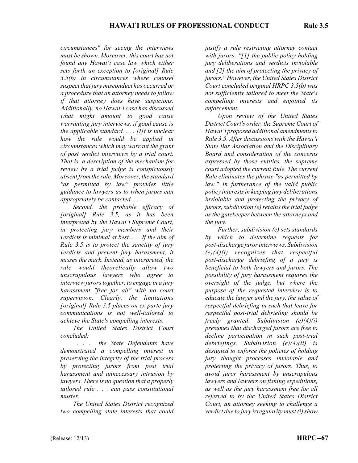*circumstances" for seeing the interviews must be shown. Moreover, this court has not found any Hawai'i case law which either sets forth an exception to [original] Rule 3.5(b) in circumstances where counsel suspect that jury misconduct has occurred or a procedure that an attorney needs to follow if that attorney does have suspicions. Additionally, no Hawai'i case has discussed what might amount to good cause warranting jury interviews, if good cause is the applicable standard. . . . [I]t is unclear how the rule would be applied in circumstances which may warrant the grant of post verdict interviews by a trial court. That is, a description of the mechanism for review by a trial judge is conspicuously absent from the rule. Moreover, the standard "as permitted by law" provides little guidance to lawyers as to when jurors can appropriately be contacted. . . .*

*Second, the probable efficacy of [original] Rule 3.5, as it has been interpreted by the Hawai'i Supreme Court, in protecting jury members and their verdicts is minimal at best. . . . If the aim of Rule 3.5 is to protect the sanctity of jury verdicts and prevent jury harassment, it misses the mark. Instead, as interpreted, the rule would theoretically allow two unscrupulous lawyers who agree to interview jurors together, to engage in a jury harassment "free for all" with no court supervision. Clearly, the limitations [original] Rule 3.5 places on ex parte jury communications is not well-tailored to achieve the State's compelling interests.*

*The United States District Court concluded:*

 *. . . the State Defendants have demonstrated a compelling interest in preserving the integrity of the trial process by protecting jurors from post trial harassment and unnecessary intrusion by lawyers. There is no question that a properly tailored rule . . . can pass constitutional muster.*

*The United States District recognized two compelling state interests that could*

*justify a rule restricting attorney contact with jurors: "[1] the public policy holding jury deliberations and verdicts inviolable and [2] the aim of protecting the privacy of jurors." However, the United States District Court concluded original HRPC 3.5(b) was not sufficiently tailored to meet the State's compelling interests and enjoined its enforcement.*

*Upon review of the United States District Court's order, the Supreme Court of Hawai'i proposed additional amendments to Rule 3.5. After discussions with the Hawai'i State Bar Association and the Disciplinary Board and consideration of the concerns expressed by those entities, the supreme court adopted the current Rule. The current Rule eliminates the phrase "as permitted by law." In furtherance of the valid public policy interests in keeping jury deliberations inviolable and protecting the privacy of jurors, subdivision (e) retains the trial judge as the gatekeeper between the attorneys and the jury.*

*Further, subdivision (e) sets standards by which to determine requests for post-discharge juror interviews. Subdivision (e)(4)(i) recognizes that respectful post-discharge debriefing of a jury is beneficial to both lawyers and jurors. The possibility of jury harassment requires the oversight of the judge, but where the purpose of the requested interview is to educate the lawyer and the jury, the value of respectful debriefing in such that leave for respectful post-trial debriefing should be freely granted. Subdivision (e)(4)(i) presumes that discharged jurors are free to decline participation in such post-trial debriefings. Subdivision (e)(4)(ii) is designed to enforce the policies of holding jury thought processes inviolable and protecting the privacy of jurors. Thus, to avoid juror harassment by unscrupulous lawyers and lawyers on fishing expeditions, as well as the jury harassment free for all referred to by the United States District Court, an attorney seeking to challenge a verdict due to jury irregularity must (i) show*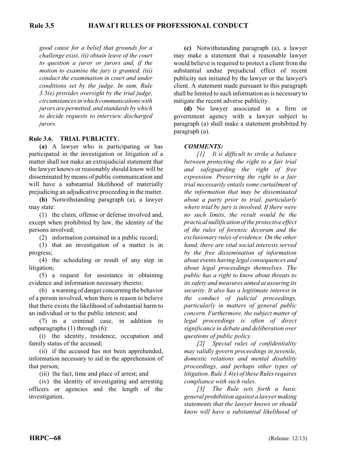*good cause for a belief that grounds for a challenge exist, (ii) obtain leave of the court to question a juror or jurors and, if the motion to examine the jury is granted, (iii) conduct the examination in court and under conditions set by the judge. In sum, Rule 3.5(e) provides oversight by the trial judge, circumstances in which communications with jurors are permitted, and standards by which to decide requests to interview discharged jurors.*

# **Rule 3.6. TRIAL PUBLICITY.**

**(a)** A lawyer who is participating or has participated in the investigation or litigation of a matter shall not make an extrajudicial statement that the lawyer knows or reasonably should know will be disseminated by means of public communication and will have a substantial likelihood of materially prejudicing an adjudicative proceeding in the matter.

**(b)** Notwithstanding paragraph (a), a lawyer may state:

(1) the claim, offense or defense involved and, except when prohibited by law, the identity of the persons involved;

(2) information contained in a public record;

(3) that an investigation of a matter is in progress;

(4) the scheduling or result of any step in litigation;

(5) a request for assistance in obtaining evidence and information necessary thereto;

(6) a warning of danger concerning the behavior of a person involved, when there is reason to believe that there exists the likelihood of substantial harm to an individual or to the public interest; and

(7) in a criminal case, in addition to subparagraphs (1) through (6):

(i) the identity, residence, occupation and family status of the accused;

(ii) if the accused has not been apprehended, information necessary to aid in the apprehension of that person;

(iii) the fact, time and place of arrest; and

(iv) the identity of investigating and arresting officers or agencies and the length of the investigation.

**(c)** Notwithstanding paragraph (a), a lawyer may make a statement that a reasonable lawyer would believe is required to protect a client from the substantial undue prejudicial effect of recent publicity not initiated by the lawyer or the lawyer's client. A statement made pursuant to this paragraph shall be limited to such information as is necessary to mitigate the recent adverse publicity.

**(d)** No lawyer associated in a firm or government agency with a lawyer subject to paragraph (a) shall make a statement prohibited by paragraph (a).

### *COMMENTS:*

*[1] It is difficult to strike a balance between protecting the right to a fair trial and safeguarding the right of free expression. Preserving the right to a fair trial necessarily entails some curtailment of the information that may be disseminated about a party prior to trial, particularly where trial by jury is involved. If there were no such limits, the result would be the practical nullification of the protective effect of the rules of forensic decorum and the exclusionary rules of evidence. On the other hand, there are vital social interests served by the free dissemination of information about events having legal consequences and about legal proceedings themselves. The public has a right to know about threats to its safety and measures aimed at assuring its security. It also has a legitimate interest in the conduct of judicial proceedings, particularly in matters of general public concern. Furthermore, the subject matter of legal proceedings is often of direct significance in debate and deliberation over questions of public policy.*

*[2] Special rules of confidentiality may validly govern proceedings in juvenile, domestic relations and mental disability proceedings, and perhaps other types of litigation. Rule 3.4(e) of these Rules requires compliance with such rules.*

*[3] The Rule sets forth a basic general prohibition against a lawyer making statements that the lawyer knows or should know will have a substantial likelihood of*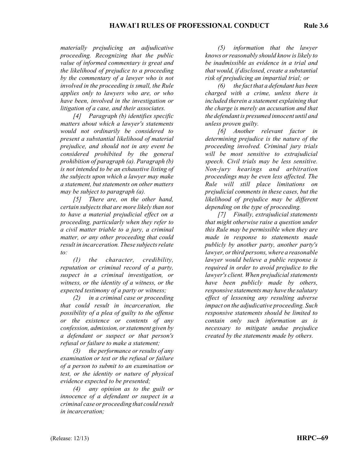*materially prejudicing an adjudicative proceeding. Recognizing that the public value of informed commentary is great and*

*the likelihood of prejudice to a proceeding by the commentary of a lawyer who is not involved in the proceeding is small, the Rule applies only to lawyers who are, or who have been, involved in the investigation or litigation of a case, and their associates.*

*[4] Paragraph (b) identifies specific matters about which a lawyer's statements would not ordinarily be considered to present a substantial likelihood of material prejudice, and should not in any event be considered prohibited by the general prohibition of paragraph (a). Paragraph (b) is not intended to be an exhaustive listing of the subjects upon which a lawyer may make a statement, but statements on other matters may be subject to paragraph (a).*

*[5] There are, on the other hand, certain subjects that are more likely than not to have a material prejudicial effect on a proceeding, particularly when they refer to a civil matter triable to a jury, a criminal matter, or any other proceeding that could result in incarceration. These subjects relate to:*

*(1) the character, credibility, reputation or criminal record of a party, suspect in a criminal investigation, or witness, or the identity of a witness, or the expected testimony of a party or witness;*

*(2) in a criminal case or proceeding that could result in incarceration, the possibility of a plea of guilty to the offense or the existence or contents of any confession, admission, or statement given by a defendant or suspect or that person's refusal or failure to make a statement;*

*(3) the performance or results of any examination or test or the refusal or failure of a person to submit to an examination or test, or the identity or nature of physical evidence expected to be presented;*

*(4) any opinion as to the guilt or innocence of a defendant or suspect in a criminal case or proceeding that could result in incarceration;*

*(5) information that the lawyer knows or reasonably should know is likely to be inadmissible as evidence in a trial and that would, if disclosed, create a substantial risk of prejudicing an impartial trial; or*

*(6) the fact that a defendant has been charged with a crime, unless there is included therein a statement explaining that the charge is merely an accusation and that the defendant is presumed innocent until and unless proven guilty.*

*[6] Another relevant factor in determining prejudice is the nature of the proceeding involved. Criminal jury trials will be most sensitive to extrajudicial speech. Civil trials may be less sensitive. Non-jury hearings and arbitration proceedings may be even less affected. The Rule will still place limitations on prejudicial comments in these cases, but the likelihood of prejudice may be different depending on the type of proceeding.*

*[7] Finally, extrajudicial statements that might otherwise raise a question under this Rule may be permissible when they are made in response to statements made publicly by another party, another party's lawyer, or third persons, where a reasonable lawyer would believe a public response is required in order to avoid prejudice to the lawyer's client. When prejudicial statements have been publicly made by others, responsive statements may have the salutary effect of lessening any resulting adverse impact on the adjudicative proceeding. Such responsive statements should be limited to contain only such information as is necessary to mitigate undue prejudice created by the statements made by others.*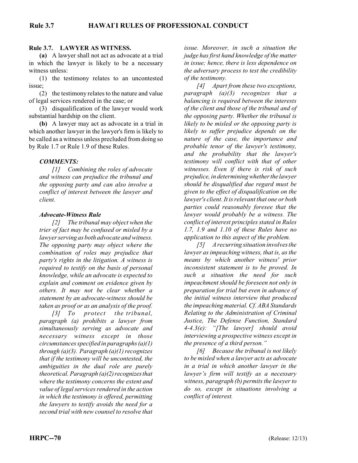### **Rule 3.7. LAWYER AS WITNESS.**

**(a)** A lawyer shall not act as advocate at a trial in which the lawyer is likely to be a necessary witness unless:

(1) the testimony relates to an uncontested issue;

(2) the testimony relates to the nature and value of legal services rendered in the case; or

(3) disqualification of the lawyer would work substantial hardship on the client.

**(b)** A lawyer may act as advocate in a trial in which another lawyer in the lawyer's firm is likely to be called as a witness unless precluded from doing so by Rule 1.7 or Rule 1.9 of these Rules.

### *COMMENTS:*

*[1] Combining the roles of advocate and witness can prejudice the tribunal and the opposing party and can also involve a conflict of interest between the lawyer and client.*

#### *Advocate-Witness Rule*

*[2] The tribunal may object when the trier of fact may be confused or misled by a lawyer serving as both advocate and witness. The opposing party may object where the combination of roles may prejudice that party's rights in the litigation. A witness is required to testify on the basis of personal knowledge, while an advocate is expected to explain and comment on evidence given by others. It may not be clear whether a statement by an advocate-witness should be taken as proof or as an analysis of the proof.*

*[3] To protect the tribunal, paragraph (a) prohibits a lawyer from simultaneously serving as advocate and necessary witness except in those circumstances specified in paragraphs (a)(1) through (a)(3). Paragraph (a)(1) recognizes that if the testimony will be uncontested, the ambiguities in the dual role are purely theoretical. Paragraph (a)(2) recognizes that where the testimony concerns the extent and value of legal services rendered in the action in which the testimony is offered, permitting the lawyers to testify avoids the need for a second trial with new counsel to resolve that*

*issue. Moreover, in such a situation the judge has first hand knowledge of the matter in issue; hence, there is less dependence on the adversary process to test the credibility of the testimony.*

*[4] Apart from these two exceptions, paragraph (a)(3) recognizes that a balancing is required between the interests of the client and those of the tribunal and of the opposing party. Whether the tribunal is likely to be misled or the opposing party is likely to suffer prejudice depends on the nature of the case, the importance and probable tenor of the lawyer's testimony, and the probability that the lawyer's testimony will conflict with that of other witnesses. Even if there is risk of such prejudice, in determining whether the lawyer should be disqualified due regard must be given to the effect of disqualification on the lawyer's client. It is relevant that one or both parties could reasonably foresee that the lawyer would probably be a witness. The conflict of interest principles stated in Rules 1.7, 1.9 and 1.10 of these Rules have no application to this aspect of the problem.*

*[5] A recurring situation involves the lawyer as impeaching witness, that is, as the means by which another witness' prior inconsistent statement is to be proved. In such a situation the need for such impeachment should be foreseen not only in preparation for trial but even in advance of the initial witness interview that produced the impeaching material. Cf. ABA Standards Relating to the Administration of Criminal Justice, The Defense Function, Standard 4-4.3(e): "[The lawyer] should avoid interviewing a prospective witness except in the presence of a third person."*

*[6] Because the tribunal is not likely to be misled when a lawyer acts as advocate in a trial in which another lawyer in the lawyer's firm will testify as a necessary witness, paragraph (b) permits the lawyer to do so, except in situations involving a conflict of interest.*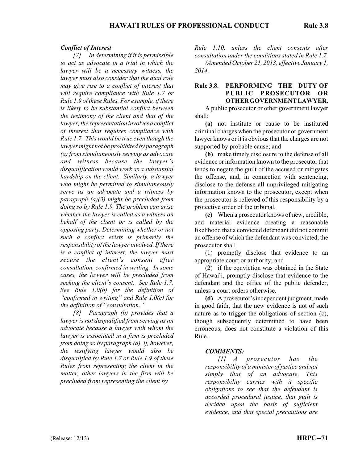### *Conflict of Interest*

*[7] In determining if it is permissible to act as advocate in a trial in which the lawyer will be a necessary witness, the lawyer must also consider that the dual role may give rise to a conflict of interest that will require compliance with Rule 1.7 or Rule 1.9 of these Rules. For example, if there is likely to be substantial conflict between the testimony of the client and that of the lawyer, the representation involves a conflict of interest that requires compliance with Rule 1.7. This would be true even though the lawyer might not be prohibited by paragraph (a) from simultaneously serving as advocate and witness because the lawyer's disqualification would work as a substantial hardship on the client. Similarly, a lawyer who might be permitted to simultaneously serve as an advocate and a witness by paragraph (a)(3) might be precluded from doing so by Rule 1.9. The problem can arise whether the lawyer is called as a witness on behalf of the client or is called by the opposing party. Determining whether or not such a conflict exists is primarily the responsibility of the lawyer involved. If there is a conflict of interest, the lawyer must secure the client's consent after consultation, confirmed in writing. In some cases, the lawyer will be precluded from seeking the client's consent. See Rule 1.7. See Rule 1.0(b) for the definition of "confirmed in writing" and Rule 1.0(c) for the definition of "consultation."*

*[8] Paragraph (b) provides that a lawyer is not disqualified from serving as an advocate because a lawyer with whom the lawyer is associated in a firm is precluded from doing so by paragraph (a). If, however, the testifying lawyer would also be disqualified by Rule 1.7 or Rule 1.9 of these Rules from representing the client in the matter, other lawyers in the firm will be precluded from representing the client by* 

*Rule 1.10, unless the client consents after consultation under the conditions stated in Rule 1.7.*

*(Amended October 21, 2013, effective January 1, 2014.*

# **Rule 3.8. PERFORMING THE DUTY OF PUBLIC PROSECUTOR OR OTHER GOVERNMENT LAWYER.**

A public prosecutor or other government lawyer shall:

**(a)** not institute or cause to be instituted criminal charges when the prosecutor or government lawyer knows or it is obvious that the charges are not supported by probable cause; and

**(b)** make timely disclosure to the defense of all evidence or information known to the prosecutor that tends to negate the guilt of the accused or mitigates the offense, and, in connection with sentencing, disclose to the defense all unprivileged mitigating information known to the prosecutor, except when the prosecutor is relieved of this responsibility by a protective order of the tribunal.

**(c)** When a prosecutor knows of new, credible, and material evidence creating a reasonable likelihood that a convicted defendant did not commit an offense of which the defendant was convicted, the prosecutor shall

(1) promptly disclose that evidence to an appropriate court or authority; and

(2) if the conviction was obtained in the State of Hawai'i, promptly disclose that evidence to the defendant and the office of the public defender, unless a court orders otherwise.

**(d)** A prosecutor's independent judgment, made in good faith, that the new evidence is not of such nature as to trigger the obligations of section (c), though subsequently determined to have been erroneous, does not constitute a violation of this Rule.

# *COMMENTS:*

*[1] A prosecutor has the responsibility of a minister of justice and not simply that of an advocate. This responsibility carries with it specific obligations to see that the defendant is accorded procedural justice, that guilt is decided upon the basis of sufficient evidence, and that special precautions are*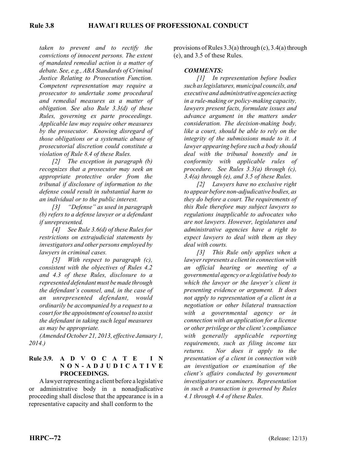*taken to prevent and to rectify the convictions of innocent persons. The extent of mandated remedial action is a matter of debate. See, e.g., ABA Standards of Criminal Justice Relating to Prosecution Function. Competent representation may require a prosecutor to undertake some procedural and remedial measures as a matter of obligation. See also Rule 3.3(d) of these Rules, governing ex parte proceedings. Applicable law may require other measures by the prosecutor. Knowing disregard of those obligations or a systematic abuse of prosecutorial discretion could constitute a violation of Rule 8.4 of these Rules.*

*[2] The exception in paragraph (b) recognizes that a prosecutor may seek an appropriate protective order from the tribunal if disclosure of information to the defense could result in substantial harm to an individual or to the public interest.*

*[3] "Defense" as used in paragraph (b) refers to a defense lawyer or a defendant if unrepresented.*

*[4] See Rule 3.6(d) of these Rules for restrictions on extrajudicial statements by investigators and other persons employed by lawyers in criminal cases.*

*[5] With respect to paragraph (c), consistent with the objectives of Rules 4.2 and 4.3 of these Rules, disclosure to a represented defendant must be made through the defendant's counsel, and, in the case of an unrepresented defendant, would ordinarily be accompanied by a request to a court for the appointment of counsel to assist the defendant in taking such legal measures as may be appropriate.*

*(Amended October 21, 2013, effective January 1, 2014.)*

# **Rule 3.9. A D V O C A T E I N N O N - A D J U D I C A T I V E PROCEEDINGS.**

A lawyer representing a client before a legislative or administrative body in a nonadjudicative proceeding shall disclose that the appearance is in a representative capacity and shall conform to the

provisions of Rules  $3.3(a)$  through (c),  $3.4(a)$  through (e), and 3.5 of these Rules.

### *COMMENTS:*

*[1] In representation before bodies such as legislatures, municipal councils, and executive and administrative agencies acting in a rule-making or policy-making capacity, lawyers present facts, formulate issues and advance argument in the matters under consideration. The decision-making body, like a court, should be able to rely on the integrity of the submissions made to it. A lawyer appearing before such a body should deal with the tribunal honestly and in conformity with applicable rules of procedure. See Rules 3.3(a) through (c), 3.4(a) through (e), and 3.5 of these Rules.*

*[2] Lawyers have no exclusive right to appear before non-adjudicative bodies, as they do before a court. The requirements of this Rule therefore may subject lawyers to regulations inapplicable to advocates who are not lawyers. However, legislatures and administrative agencies have a right to expect lawyers to deal with them as they deal with courts.*

*[3] This Rule only applies when a lawyer represents a client in connection with an official hearing or meeting of a governmental agency or a legislative body to which the lawyer or the lawyer's client is presenting evidence or argument. It does not apply to representation of a client in a negotiation or other bilateral transaction with a governmental agency or in connection with an application for a license or other privilege or the client's compliance with generally applicable reporting requirements, such as filing income tax returns. Nor does it apply to the presentation of a client in connection with an investigation or examination of the client's affairs conducted by government investigators or examiners. Representation in such a transaction is governed by Rules 4.1 through 4.4 of these Rules.*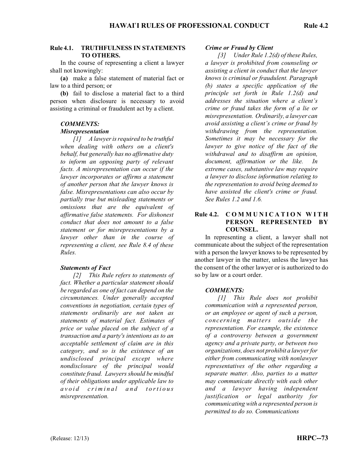# **Rule 4.1. TRUTHFULNESS IN STATEMENTS TO OTHERS.**

In the course of representing a client a lawyer shall not knowingly:

**(a)** make a false statement of material fact or law to a third person; or

**(b)** fail to disclose a material fact to a third person when disclosure is necessary to avoid assisting a criminal or fraudulent act by a client.

# *COMMENTS:*

### *Misrepresentation*

*[1] A lawyer is required to be truthful when dealing with others on a client's behalf, but generally has no affirmative duty to inform an opposing party of relevant facts. A misrepresentation can occur if the lawyer incorporates or affirms a statement of another person that the lawyer knows is false. Misrepresentations can also occur by partially true but misleading statements or omissions that are the equivalent of affirmative false statements. For dishonest conduct that does not amount to a false statement or for misrepresentations by a lawyer other than in the course of representing a client, see Rule 8.4 of these Rules.*

# *Statements of Fact*

*[2] This Rule refers to statements of fact. Whether a particular statement should be regarded as one of fact can depend on the circumstances. Under generally accepted conventions in negotiation, certain types of statements ordinarily are not taken as statements of material fact. Estimates of price or value placed on the subject of a transaction and a party's intentions as to an acceptable settlement of claim are in this category, and so is the existence of an undisclosed principal except where nondisclosure of the principal would constitute fraud. Lawyers should be mindful of their obligations under applicable law to a v o i d c r i m i n a l a n d t o r t i o u s misrepresentation.*

# *Crime or Fraud by Client*

*[3] Under Rule 1.2(d) of these Rules, a lawyer is prohibited from counseling or assisting a client in conduct that the lawyer knows is criminal or fraudulent. Paragraph (b) states a specific application of the principle set forth in Rule 1.2(d) and addresses the situation where a client's crime or fraud takes the form of a lie or misrepresentation. Ordinarily, a lawyer can avoid assisting a client's crime or fraud by withdrawing from the representation. Sometimes it may be necessary for the lawyer to give notice of the fact of the withdrawal and to disaffirm an opinion, document, affirmation or the like. In extreme cases, substantive law may require a lawyer to disclose information relating to the representation to avoid being deemed to have assisted the client's crime or fraud. See Rules 1.2 and 1.6.*

# Rule 4.2. COMMUNICATION WITH **PERSON REPRESENTED BY COUNSEL.**

In representing a client, a lawyer shall not communicate about the subject of the representation with a person the lawyer knows to be represented by another lawyer in the matter, unless the lawyer has the consent of the other lawyer or is authorized to do so by law or a court order.

# *COMMENTS:*

*[1] This Rule does not prohibit communication with a represented person, or an employee or agent of such a person, concerning matters outside the representation. For example, the existence of a controversy between a government agency and a private party, or between two organizations, does not prohibit a lawyer for either from communicating with nonlawyer representatives of the other regarding a separate matter. Also, parties to a matter may communicate directly with each other and a lawyer having independent justification or legal authority for communicating with a represented person is permitted to do so. Communications*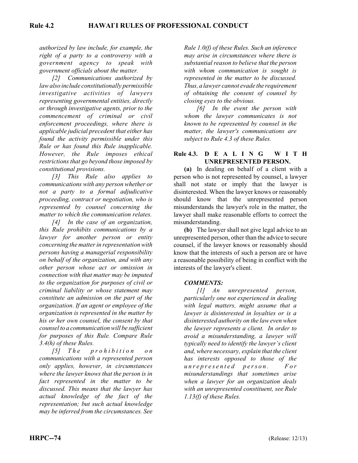*authorized by law include, for example, the right of a party to a controversy with a government agency to speak with government officials about the matter.*

*[2] Communications authorized by law also include constitutionally permissible investigative activities of lawyers representing governmental entities, directly or through investigative agents, prior to the commencement of criminal or civil enforcement proceedings, where there is applicable judicial precedent that either has found the activity permissible under this Rule or has found this Rule inapplicable. However, the Rule imposes ethical restrictions that go beyond those imposed by constitutional provisions.*

*[3] This Rule also applies to communications with any person whether or not a party to a formal adjudicative proceeding, contract or negotiation, who is represented by counsel concerning the matter to which the communication relates.*

*[4] In the case of an organization, this Rule prohibits communications by a lawyer for another person or entity concerning the matter in representation with persons having a managerial responsibility on behalf of the organization, and with any other person whose act or omission in connection with that matter may be imputed to the organization for purposes of civil or criminal liability or whose statement may constitute an admission on the part of the organization. If an agent or employee of the organization is represented in the matter by his or her own counsel, the consent by that counsel to a communication will be sufficient for purposes of this Rule. Compare Rule 3.4(h) of these Rules.*

*[5] T h e p r o h i b i t i o n o n communications with a represented person only applies, however, in circumstances where the lawyer knows that the person is in fact represented in the matter to be discussed. This means that the lawyer has actual knowledge of the fact of the representation; but such actual knowledge may be inferred from the circumstances. See*

*Rule 1.0(f) of these Rules. Such an inference may arise in circumstances where there is substantial reason to believe that the person with whom communication is sought is represented in the matter to be discussed. Thus, a lawyer cannot evade the requirement of obtaining the consent of counsel by closing eyes to the obvious.*

*[6] In the event the person with whom the lawyer communicates is not known to be represented by counsel in the matter, the lawyer's communications are subject to Rule 4.3 of these Rules.*

# **Rule 4.3. D E A L I N G W I T H UNREPRESENTED PERSON.**

**(a)** In dealing on behalf of a client with a person who is not represented by counsel, a lawyer shall not state or imply that the lawyer is disinterested. When the lawyer knows or reasonably should know that the unrepresented person misunderstands the lawyer's role in the matter, the lawyer shall make reasonable efforts to correct the misunderstanding.

**(b)** The lawyer shall not give legal advice to an unrepresented person, other than the advice to secure counsel, if the lawyer knows or reasonably should know that the interests of such a person are or have a reasonable possibility of being in conflict with the interests of the lawyer's client.

# *COMMENTS:*

*[1] An unrepresented person, particularly one not experienced in dealing with legal matters, might assume that a lawyer is disinterested in loyalties or is a disinterested authority on the law even when the lawyer represents a client. In order to avoid a misunderstanding, a lawyer will typically need to identify the lawyer's client and, where necessary, explain that the client has interests opposed to those of the u n r e p r e s e n t e d p e r s o n . F o r misunderstandings that sometimes arise when a lawyer for an organization deals with an unrepresented constituent, see Rule 1.13(f) of these Rules.*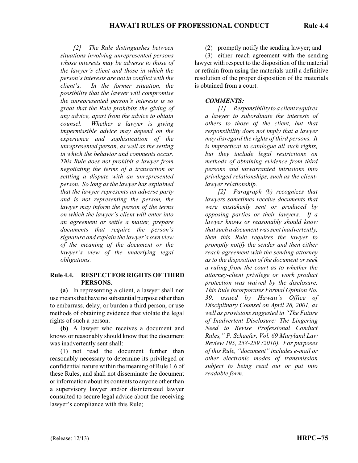*[2] The Rule distinguishes between situations involving unrepresented persons whose interests may be adverse to those of the lawyer's client and those in which the person's interests are not in conflict with the client's. In the former situation, the possibility that the lawyer will compromise the unrepresented person's interests is so great that the Rule prohibits the giving of any advice, apart from the advice to obtain counsel. Whether a lawyer is giving impermissible advice may depend on the experience and sophistication of the unrepresented person, as well as the setting in which the behavior and comments occur. This Rule does not prohibit a lawyer from negotiating the terms of a transaction or settling a dispute with an unrepresented person. So long as the lawyer has explained that the lawyer represents an adverse party and is not representing the person, the lawyer may inform the person of the terms on which the lawyer's client will enter into an agreement or settle a matter, prepare documents that require the person's signature and explain the lawyer's own view of the meaning of the document or the lawyer's view of the underlying legal obligations.*

# **Rule 4.4. RESPECT FOR RIGHTS OF THIRD PERSONS.**

**(a)** In representing a client, a lawyer shall not use means that have no substantial purpose other than to embarrass, delay, or burden a third person, or use methods of obtaining evidence that violate the legal rights of such a person.

**(b)** A lawyer who receives a document and knows or reasonably should know that the document was inadvertently sent shall:

(1) not read the document further than reasonably necessary to determine its privileged or confidential nature within the meaning of Rule 1.6 of these Rules, and shall not disseminate the document or information about its contents to anyone other than a supervisory lawyer and/or disinterested lawyer consulted to secure legal advice about the receiving lawyer's compliance with this Rule;

(2) promptly notify the sending lawyer; and

(3) either reach agreement with the sending lawyer with respect to the disposition of the material or refrain from using the materials until a definitive resolution of the proper disposition of the materials is obtained from a court.

### *COMMENTS:*

*[1] Responsibility to a client requires a lawyer to subordinate the interests of others to those of the client, but that responsibility does not imply that a lawyer may disregard the rights of third persons. It is impractical to catalogue all such rights, but they include legal restrictions on methods of obtaining evidence from third persons and unwarranted intrusions into privileged relationships, such as the clientlawyer relationship.* 

*[2] Paragraph (b) recognizes that lawyers sometimes receive documents that were mistakenly sent or produced by opposing parties or their lawyers. If a lawyer knows or reasonably should know that such a document was sent inadvertently, then this Rule requires the lawyer to promptly notify the sender and then either reach agreement with the sending attorney as to the disposition of the document or seek a ruling from the court as to whether the attorney-client privilege or work product protection was waived by the disclosure. This Rule incorporates Formal Opinion No. 39, issued by Hawaii's Office of Disciplinary Counsel on April 26, 2001, as well as provisions suggested in "The Future of Inadvertent Disclosure: The Lingering Need to Revise Professional Conduct Rules," P. Schaefer, Vol. 69 Maryland Law Review 195, 258-259 (2010). For purposes of this Rule, "document" includes e-mail or other electronic modes of transmission subject to being read out or put into readable form.*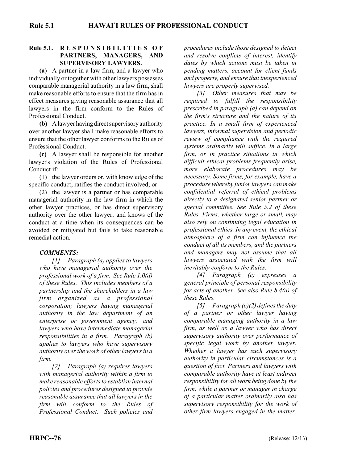# **Rule 5.1. R E S P O N S I B I L I T I E S O F PARTNERS, MANAGERS, AND SUPERVISORY LAWYERS.**

**(a)** A partner in a law firm, and a lawyer who individually or together with other lawyers possesses comparable managerial authority in a law firm, shall make reasonable efforts to ensure that the firm has in effect measures giving reasonable assurance that all lawyers in the firm conform to the Rules of Professional Conduct.

**(b)** A lawyer having direct supervisory authority over another lawyer shall make reasonable efforts to ensure that the other lawyer conforms to the Rules of Professional Conduct.

**(c)** A lawyer shall be responsible for another lawyer's violation of the Rules of Professional Conduct if:

(1) the lawyer orders or, with knowledge of the specific conduct, ratifies the conduct involved; or

(2) the lawyer is a partner or has comparable managerial authority in the law firm in which the other lawyer practices, or has direct supervisory authority over the other lawyer, and knows of the conduct at a time when its consequences can be avoided or mitigated but fails to take reasonable remedial action.

# *COMMENTS:*

*[1] Paragraph (a) applies to lawyers who have managerial authority over the professional work of a firm. See Rule 1.0(d) of these Rules. This includes members of a partnership and the shareholders in a law firm organized as a professional corporation; lawyers having managerial authority in the law department of an enterprise or government agency; and lawyers who have intermediate managerial responsibilities in a firm. Paragraph (b) applies to lawyers who have supervisory authority over the work of other lawyers in a firm.*

*[2] Paragraph (a) requires lawyers with managerial authority within a firm to make reasonable efforts to establish internal policies and procedures designed to provide reasonable assurance that all lawyers in the firm will conform to the Rules of Professional Conduct. Such policies and*

*procedures include those designed to detect and resolve conflicts of interest, identify dates by which actions must be taken in pending matters, account for client funds and property, and ensure that inexperienced lawyers are properly supervised.*

*[3] Other measures that may be required to fulfill the responsibility prescribed in paragraph (a) can depend on the firm's structure and the nature of its practice. In a small firm of experienced lawyers, informal supervision and periodic review of compliance with the required systems ordinarily will suffice. In a large firm, or in practice situations in which difficult ethical problems frequently arise, more elaborate procedures may be necessary. Some firms, for example, have a procedure whereby junior lawyers can make confidential referral of ethical problems directly to a designated senior partner or special committee. See Rule 5.2 of these Rules. Firms, whether large or small, may also rely on continuing legal education in professional ethics. In any event, the ethical atmosphere of a firm can influence the conduct of all its members, and the partners and managers may not assume that all lawyers associated with the firm will inevitably conform to the Rules.*

*[4] Paragraph (c) expresses a general principle of personal responsibility for acts of another. See also Rule 8.4(a) of these Rules.*

*[5] Paragraph (c)(2) defines the duty of a partner or other lawyer having comparable managing authority in a law firm, as well as a lawyer who has direct supervisory authority over performance of specific legal work by another lawyer. Whether a lawyer has such supervisory authority in particular circumstances is a question of fact. Partners and lawyers with comparable authority have at least indirect responsibility for all work being done by the firm, while a partner or manager in charge of a particular matter ordinarily also has supervisory responsibility for the work of other firm lawyers engaged in the matter.*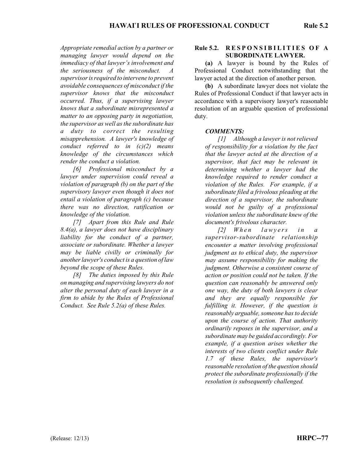*Appropriate remedial action by a partner or managing lawyer would depend on the immediacy of that lawyer's involvement and the seriousness of the misconduct. supervisor is required to intervene to prevent avoidable consequences of misconduct if the supervisor knows that the misconduct occurred. Thus, if a supervising lawyer knows that a subordinate misrepresented a matter to an opposing party in negotiation, the supervisor as well as the subordinate has a duty to correct the resulting misapprehension. A lawyer's knowledge of conduct referred to in (c)(2) means knowledge of the circumstances which render the conduct a violation.*

*[6] Professional misconduct by a lawyer under supervision could reveal a violation of paragraph (b) on the part of the supervisory lawyer even though it does not entail a violation of paragraph (c) because there was no direction, ratification or knowledge of the violation.*

*[7] Apart from this Rule and Rule 8.4(a), a lawyer does not have disciplinary liability for the conduct of a partner, associate or subordinate. Whether a lawyer may be liable civilly or criminally for another lawyer's conduct is a question of law beyond the scope of these Rules.*

*[8] The duties imposed by this Rule on managing and supervising lawyers do not alter the personal duty of each lawyer in a firm to abide by the Rules of Professional Conduct. See Rule 5.2(a) of these Rules.*

### Rule 5.2. RESPONSIBILITIES OF A **SUBORDINATE LAWYER.**

**(a)** A lawyer is bound by the Rules of Professional Conduct notwithstanding that the lawyer acted at the direction of another person.

**(b)** A subordinate lawyer does not violate the Rules of Professional Conduct if that lawyer acts in accordance with a supervisory lawyer's reasonable resolution of an arguable question of professional duty.

# *COMMENTS:*

*[1] Although a lawyer is not relieved of responsibility for a violation by the fact that the lawyer acted at the direction of a supervisor, that fact may be relevant in determining whether a lawyer had the knowledge required to render conduct a violation of the Rules. For example, if a subordinate filed a frivolous pleading at the direction of a supervisor, the subordinate would not be guilty of a professional violation unless the subordinate knew of the document's frivolous character.*

*[2] W h e n l a w y e r s i n a supervisor-subordinate relationship encounter a matter involving professional judgment as to ethical duty, the supervisor may assume responsibility for making the judgment. Otherwise a consistent course of action or position could not be taken. If the question can reasonably be answered only one way, the duty of both lawyers is clear and they are equally responsible for fulfilling it. However, if the question is reasonably arguable, someone has to decide upon the course of action. That authority ordinarily reposes in the supervisor, and a subordinate may be guided accordingly. For example, if a question arises whether the interests of two clients conflict under Rule 1.7 of these Rules, the supervisor's reasonable resolution of the question should protect the subordinate professionally if the resolution is subsequently challenged.*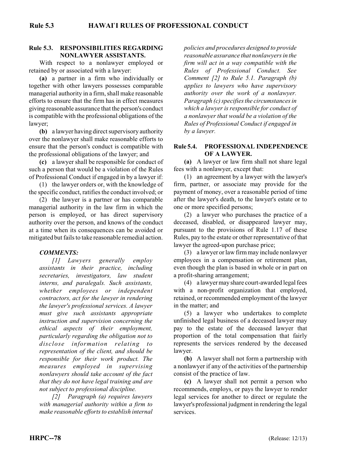## **Rule 5.3. RESPONSIBILITIES REGARDING NONLAWYER ASSISTANTS.**

With respect to a nonlawyer employed or retained by or associated with a lawyer:

**(a)** a partner in a firm who individually or together with other lawyers possesses comparable managerial authority in a firm, shall make reasonable efforts to ensure that the firm has in effect measures giving reasonable assurance that the person's conduct is compatible with the professional obligations of the lawyer;

**(b)** a lawyer having direct supervisory authority over the nonlawyer shall make reasonable efforts to ensure that the person's conduct is compatible with the professional obligations of the lawyer; and

**(c)** a lawyer shall be responsible for conduct of such a person that would be a violation of the Rules of Professional Conduct if engaged in by a lawyer if:

(1) the lawyer orders or, with the knowledge of the specific conduct, ratifies the conduct involved; or

(2) the lawyer is a partner or has comparable managerial authority in the law firm in which the person is employed, or has direct supervisory authority over the person, and knows of the conduct at a time when its consequences can be avoided or mitigated but fails to take reasonable remedial action.

# *COMMENTS:*

*[1] Lawyers generally employ assistants in their practice, including secretaries, investigators, law student interns, and paralegals. Such assistants, whether employees or independent contractors, act for the lawyer in rendering the lawyer's professional services. A lawyer must give such assistants appropriate instruction and supervision concerning the ethical aspects of their employment, particularly regarding the obligation not to disclose information relating to representation of the client, and should be responsible for their work product. The measures employed in supervising nonlawyers should take account of the fact that they do not have legal training and are not subject to professional discipline.* 

*[2] Paragraph (a) requires lawyers with managerial authority within a firm to make reasonable efforts to establish internal*

*policies and procedures designed to provide reasonable assurance that nonlawyers in the firm will act in a way compatible with the Rules of Professional Conduct. See Comment [2] to Rule 5.1. Paragraph (b) applies to lawyers who have supervisory authority over the work of a nonlawyer. Paragraph (c) specifies the circumstances in which a lawyer is responsible for conduct of a nonlawyer that would be a violation of the Rules of Professional Conduct if engaged in by a lawyer.*

# **Rule 5.4. PROFESSIONAL INDEPENDENCE OF A LAWYER.**

**(a)** A lawyer or law firm shall not share legal fees with a nonlawyer, except that:

(1) an agreement by a lawyer with the lawyer's firm, partner, or associate may provide for the payment of money, over a reasonable period of time after the lawyer's death, to the lawyer's estate or to one or more specified persons;

(2) a lawyer who purchases the practice of a deceased, disabled, or disappeared lawyer may, pursuant to the provisions of Rule 1.17 of these Rules, pay to the estate or other representative of that lawyer the agreed-upon purchase price;

(3) a lawyer or law firm may include nonlawyer employees in a compensation or retirement plan, even though the plan is based in whole or in part on a profit-sharing arrangement;

(4) a lawyer may share court-awarded legal fees with a non-profit organization that employed, retained, or recommended employment of the lawyer in the matter; and

(5) a lawyer who undertakes to complete unfinished legal business of a deceased lawyer may pay to the estate of the deceased lawyer that proportion of the total compensation that fairly represents the services rendered by the deceased lawyer.

**(b)** A lawyer shall not form a partnership with a nonlawyer if any of the activities of the partnership consist of the practice of law.

**(c)** A lawyer shall not permit a person who recommends, employs, or pays the lawyer to render legal services for another to direct or regulate the lawyer's professional judgment in rendering the legal services.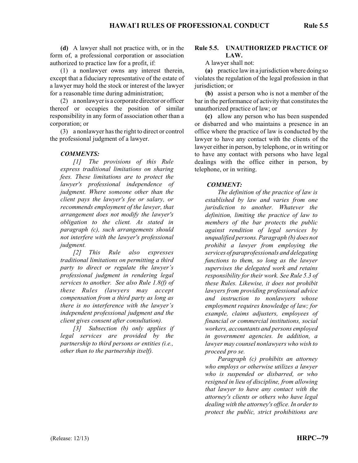**(d)** A lawyer shall not practice with, or in the form of, a professional corporation or association authorized to practice law for a profit, if:

(1) a nonlawyer owns any interest therein, except that a fiduciary representative of the estate of a lawyer may hold the stock or interest of the lawyer for a reasonable time during administration;

(2) a nonlawyer is a corporate director or officer thereof or occupies the position of similar responsibility in any form of association other than a corporation; or

(3) a nonlawyer has the right to direct or control the professional judgment of a lawyer.

# *COMMENTS:*

*[1] The provisions of this Rule express traditional limitations on sharing fees. These limitations are to protect the lawyer's professional independence of judgment. Where someone other than the client pays the lawyer's fee or salary, or recommends employment of the lawyer, that arrangement does not modify the lawyer's obligation to the client. As stated in paragraph (c), such arrangements should not interfere with the lawyer's professional judgment.*

*[2] This Rule also expresses traditional limitations on permitting a third party to direct or regulate the lawyer's professional judgment in rendering legal services to another. See also Rule 1.8(f) of these Rules (lawyers may accept compensation from a third party as long as there is no interference with the lawyer's independent professional judgment and the client gives consent after consultation).*

*[3] Subsection (b) only applies if legal services are provided by the partnership to third persons or entities (i.e., other than to the partnership itself).*

### **Rule 5.5. UNAUTHORIZED PRACTICE OF LAW.**

A lawyer shall not:

**(a)** practice law in a jurisdiction where doing so violates the regulation of the legal profession in that jurisdiction; or

**(b)** assist a person who is not a member of the bar in the performance of activity that constitutes the unauthorized practice of law; or

**(c)** allow any person who has been suspended or disbarred and who maintains a presence in an office where the practice of law is conducted by the lawyer to have any contact with the clients of the lawyer either in person, by telephone, or in writing or to have any contact with persons who have legal dealings with the office either in person, by telephone, or in writing.

### *COMMENT:*

*The definition of the practice of law is established by law and varies from one jurisdiction to another. Whatever the definition, limiting the practice of law to members of the bar protects the public against rendition of legal services by unqualified persons. Paragraph (b) does not prohibit a lawyer from employing the services of paraprofessionals and delegating functions to them, so long as the lawyer supervises the delegated work and retains responsibility for their work. See Rule 5.3 of these Rules. Likewise, it does not prohibit lawyers from providing professional advice and instruction to nonlawyers whose employment requires knowledge of law; for example, claims adjusters, employees of financial or commercial institutions, social workers, accountants and persons employed in government agencies. In addition, a lawyer may counsel nonlawyers who wish to proceed pro se.*

*Paragraph (c) prohibits an attorney who employs or otherwise utilizes a lawyer who is suspended or disbarred, or who resigned in lieu of discipline, from allowing that lawyer to have any contact with the attorney's clients or others who have legal dealing with the attorney's office. In order to protect the public, strict prohibitions are*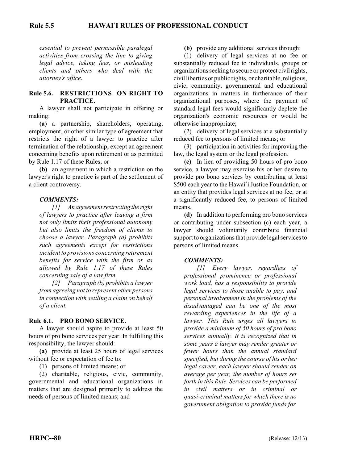*essential to prevent permissible paralegal activities from crossing the line to giving legal advice, taking fees, or misleading clients and others who deal with the attorney's office.*

## **Rule 5.6. RESTRICTIONS ON RIGHT TO PRACTICE.**

A lawyer shall not participate in offering or making:

**(a)** a partnership, shareholders, operating, employment, or other similar type of agreement that restricts the right of a lawyer to practice after termination of the relationship, except an agreement concerning benefits upon retirement or as permitted by Rule 1.17 of these Rules; or

**(b)** an agreement in which a restriction on the lawyer's right to practice is part of the settlement of a client controversy.

# *COMMENTS:*

*[1] An agreement restricting the right of lawyers to practice after leaving a firm not only limits their professional autonomy but also limits the freedom of clients to choose a lawyer. Paragraph (a) prohibits such agreements except for restrictions incident to provisions concerning retirement benefits for service with the firm or as allowed by Rule 1.17 of these Rules concerning sale of a law firm.*

*[2] Paragraph (b) prohibits a lawyer from agreeing not to represent other persons in connection with settling a claim on behalf of a client.*

### **Rule 6.1. PRO BONO SERVICE.**

A lawyer should aspire to provide at least 50 hours of pro bono services per year. In fulfilling this responsibility, the lawyer should:

**(a)** provide at least 25 hours of legal services without fee or expectation of fee to:

(1) persons of limited means; or

(2) charitable, religious, civic, community, governmental and educational organizations in matters that are designed primarily to address the needs of persons of limited means; and

**(b)** provide any additional services through:

(1) delivery of legal services at no fee or substantially reduced fee to individuals, groups or organizations seeking to secure or protect civil rights, civil liberties or public rights, or charitable, religious, civic, community, governmental and educational organizations in matters in furtherance of their organizational purposes, where the payment of standard legal fees would significantly deplete the organization's economic resources or would be otherwise inappropriate;

(2) delivery of legal services at a substantially reduced fee to persons of limited means; or

(3) participation in activities for improving the law, the legal system or the legal profession.

**(c)** In lieu of providing 50 hours of pro bono service, a lawyer may exercise his or her desire to provide pro bono services by contributing at least \$500 each year to the Hawai'i Justice Foundation, or an entity that provides legal services at no fee, or at a significantly reduced fee, to persons of limited means.

**(d)** In addition to performing pro bono services or contributing under subsection (c) each year, a lawyer should voluntarily contribute financial support to organizations that provide legal services to persons of limited means.

#### *COMMENTS:*

*[1] Every lawyer, regardless of professional prominence or professional work load, has a responsibility to provide legal services to those unable to pay, and personal involvement in the problems of the disadvantaged can be one of the most rewarding experiences in the life of a lawyer. This Rule urges all lawyers to provide a minimum of 50 hours of pro bono services annually. It is recognized that in some years a lawyer may render greater or fewer hours than the annual standard specified, but during the course of his or her legal career, each lawyer should render on average per year, the number of hours set forth in this Rule. Services can be performed in civil matters or in criminal or quasi-criminal matters for which there is no government obligation to provide funds for*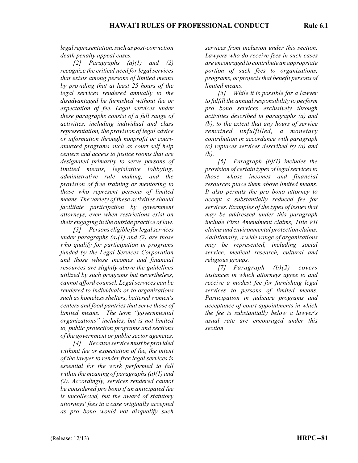*legal representation, such as post-conviction death penalty appeal cases.*

*[2] Paragraphs (a)(1) and (2) recognize the critical need for legal services that exists among persons of limited means by providing that at least 25 hours of the legal services rendered annually to the disadvantaged be furnished without fee or expectation of fee. Legal services under these paragraphs consist of a full range of activities, including individual and class representation, the provision of legal advice or information through nonprofit or courtannexed programs such as court self help centers and access to justice rooms that are designated primarily to serve persons of limited means, legislative lobbying, administrative rule making, and the provision of free training or mentoring to those who represent persons of limited means. The variety of these activities should facilitate participation by government attorneys, even when restrictions exist on their engaging in the outside practice of law.*

*[3] Persons eligible for legal services under paragraphs (a)(1) and (2) are those who qualify for participation in programs funded by the Legal Services Corporation and those whose incomes and financial resources are slightly above the guidelines utilized by such programs but nevertheless, cannot afford counsel. Legal services can be rendered to individuals or to organizations such as homeless shelters, battered women's centers and food pantries that serve those of limited means. The term "governmental organizations" includes, but is not limited to, public protection programs and sections of the government or public sector agencies.*

*[4] Because service must be provided without fee or expectation of fee, the intent of the lawyer to render free legal services is essential for the work performed to fall within the meaning of paragraphs (a)(1) and (2). Accordingly, services rendered cannot be considered pro bono if an anticipated fee is uncollected, but the award of statutory attorneys' fees in a case originally accepted as pro bono would not disqualify such*

*services from inclusion under this section. Lawyers who do receive fees in such cases are encouraged to contribute an appropriate portion of such fees to organizations, programs, or projects that benefit persons of limited means.*

*[5] While it is possible for a lawyer to fulfill the annual responsibility to perform pro bono services exclusively through activities described in paragraphs (a) and (b), to the extent that any hours of service remained unfulfilled, a monetary contribution in accordance with paragraph (c) replaces services described by (a) and (b).*

*[6] Paragraph (b)(1) includes the provision of certain types of legal services to those whose incomes and financial resources place them above limited means. It also permits the pro bono attorney to accept a substantially reduced fee for services. Examples of the types of issues that may be addressed under this paragraph include First Amendment claims, Title VII claims and environmental protection claims. Additionally, a wide range of organizations may be represented, including social service, medical research, cultural and religious groups.*

*[7] Paragraph (b)(2) covers instances in which attorneys agree to and receive a modest fee for furnishing legal services to persons of limited means. Participation in judicare programs and acceptance of court appointments in which the fee is substantially below a lawyer's usual rate are encouraged under this section.*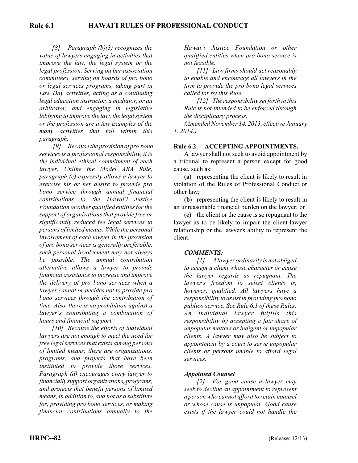*[8] Paragraph (b)(3) recognizes the value of lawyers engaging in activities that improve the law, the legal system or the legal profession. Serving on bar association committees, serving on boards of pro bono or legal services programs, taking part in Law Day activities, acting as a continuing legal education instructor, a mediator, or an arbitrator, and engaging in legislative lobbying to improve the law, the legal system or the profession are a few examples of the many activities that fall within this paragraph.*

 *[9] Because the provision of pro bono services is a professional responsibility, it is the individual ethical commitment of each lawyer. Unlike the Model ABA Rule, paragraph (c) expressly allows a lawyer to exercise his or her desire to provide pro bono service through annual financial contributions to the Hawai<sup><i>'i*</sup> Justice</sup> *Foundation or other qualified entities for the support of organizations that provide free or significantly reduced fee legal services to persons of limited means. While the personal involvement of each lawyer in the provision of pro bono services is generally preferable, such personal involvement may not always be possible. The annual contribution alternative allows a lawyer to provide financial assistance to increase and improve the delivery of pro bono services when a lawyer cannot or decides not to provide pro bono services through the contribution of time. Also, there is no prohibition against a lawyer's contributing a combination of hours and financial support.*

*[10] Because the efforts of individual lawyers are not enough to meet the need for free legal services that exists among persons of limited means, there are organizations, programs, and projects that have been instituted to provide those services. Paragraph (d) encourages every lawyer to financially support organizations, programs, and projects that benefit persons of limited means, in addition to, and not as a substitute for, providing pro bono services, or making financial contributions annually to the* *Hawai´i Justice Foundation or other qualified entities when pro bono service is not feasible.* 

*[11] Law firms should act reasonably to enable and encourage all lawyers in the firm to provide the pro bono legal services called for by this Rule.*

*[12] The responsibility set forth in this Rule is not intended to be enforced through the disciplinary process.*

*(Amended November 14, 2013, effective January 1, 2014.)*

### **Rule 6.2. ACCEPTING APPOINTMENTS.**

A lawyer shall not seek to avoid appointment by a tribunal to represent a person except for good cause, such as:

**(a)** representing the client is likely to result in violation of the Rules of Professional Conduct or other law;

**(b)** representing the client is likely to result in an unreasonable financial burden on the lawyer; or

**(c)** the client or the cause is so repugnant to the lawyer as to be likely to impair the client-lawyer relationship or the lawyer's ability to represent the client.

### *COMMENTS:*

*[1] A lawyer ordinarily is not obliged to accept a client whose character or cause the lawyer regards as repugnant. The lawyer's freedom to select clients is, however, qualified. All lawyers have a responsibility to assist in providing pro bono publico service. See Rule 6.1 of these Rules. An individual lawyer fulfills this responsibility by accepting a fair share of unpopular matters or indigent or unpopular clients. A lawyer may also be subject to appointment by a court to serve unpopular clients or persons unable to afford legal services.*

### *Appointed Counsel*

*[2] For good cause a lawyer may seek to decline an appointment to represent a person who cannot afford to retain counsel or whose cause is unpopular. Good cause exists if the lawyer could not handle the*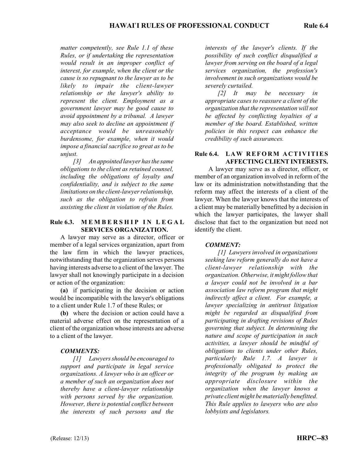*matter competently, see Rule 1.1 of these Rules, or if undertaking the representation would result in an improper conflict of interest, for example, when the client or the cause is so repugnant to the lawyer as to be likely to impair the client-lawyer relationship or the lawyer's ability to represent the client. Employment as a government lawyer may be good cause to avoid appointment by a tribunal. A lawyer may also seek to decline an appointment if acceptance would be unreasonably burdensome, for example, when it would impose a financial sacrifice so great as to be unjust.*

*[3] An appointed lawyer has the same obligations to the client as retained counsel, including the obligations of loyalty and confidentiality, and is subject to the same limitations on the client-lawyer relationship, such as the obligation to refrain from assisting the client in violation of the Rules.*

# Rule 6.3. MEMBERSHIP IN LEGAL **SERVICES ORGANIZATION.**

A lawyer may serve as a director, officer or member of a legal services organization, apart from the law firm in which the lawyer practices, notwithstanding that the organization serves persons having interests adverse to a client of the lawyer. The lawyer shall not knowingly participate in a decision or action of the organization:

**(a)** if participating in the decision or action would be incompatible with the lawyer's obligations to a client under Rule 1.7 of these Rules; or

**(b)** where the decision or action could have a material adverse effect on the representation of a client of the organization whose interests are adverse to a client of the lawyer.

# *COMMENTS:*

 *[1] Lawyers should be encouraged to support and participate in legal service organizations. A lawyer who is an officer or a member of such an organization does not thereby have a client-lawyer relationship with persons served by the organization. However, there is potential conflict between the interests of such persons and the*

*interests of the lawyer's clients. If the possibility of such conflict disqualified a lawyer from serving on the board of a legal services organization, the profession's involvement in such organizations would be severely curtailed.*

*[2] It may be necessary in appropriate cases to reassure a client of the organization that the representation will not be affected by conflicting loyalties of a member of the board. Established, written policies in this respect can enhance the credibility of such assurances.*

# Rule 6.4. LAW REFORM ACTIVITIES **AFFECTING CLIENT INTERESTS.**

 A lawyer may serve as a director, officer, or member of an organization involved in reform of the law or its administration notwithstanding that the reform may affect the interests of a client of the lawyer. When the lawyer knows that the interests of a client may be materially benefitted by a decision in which the lawyer participates, the lawyer shall disclose that fact to the organization but need not identify the client.

# *COMMENT:*

*[1] Lawyers involved in organizations seeking law reform generally do not have a client-lawyer relationship with the organization. Otherwise, it might follow that a lawyer could not be involved in a bar association law reform program that might indirectly affect a client. For example, a lawyer specializing in antitrust litigation might be regarded as disqualified from participating in drafting revisions of Rules governing that subject. In determining the nature and scope of participation in such activities, a lawyer should be mindful of obligations to clients under other Rules, particularly Rule 1.7. A lawyer is professionally obligated to protect the integrity of the program by making an appropriate disclosure within the organization when the lawyer knows a private client might be materially benefitted. This Rule applies to lawyers who are also lobbyists and legislators.*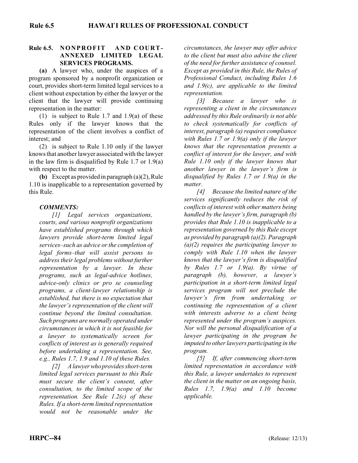# Rule 6.5. NONPROFIT AND COURT-**ANNEXED LIMITED LEGAL SERVICES PROGRAMS.**

**(a)** A lawyer who, under the auspices of a program sponsored by a nonprofit organization or court, provides short-term limited legal services to a client without expectation by either the lawyer or the client that the lawyer will provide continuing representation in the matter:

(1) is subject to Rule 1.7 and 1.9(a) of these Rules only if the lawyer knows that the representation of the client involves a conflict of interest; and

(2) is subject to Rule 1.10 only if the lawyer knows that another lawyer associated with the lawyer in the law firm is disqualified by Rule 1.7 or 1.9(a) with respect to the matter.

**(b)** Except as provided in paragraph (a)(2), Rule 1.10 is inapplicable to a representation governed by this Rule.

# *COMMENTS:*

*[1] Legal services organizations, courts, and various nonprofit organizations have established programs through which lawyers provide short-term limited legal services–such as advice or the completion of legal forms–that will assist persons to address their legal problems without further representation by a lawyer. In these programs, such as legal-advice hotlines, advice-only clinics or pro se counseling programs, a client-lawyer relationship is established, but there is no expectation that the lawyer's representation of the client will continue beyond the limited consultation. Such programs are normally operated under circumstances in which it is not feasible for a lawyer to systematically screen for conflicts of interest as is generally required before undertaking a representation. See, e.g., Rules 1.7, 1.9 and 1.10 of these Rules.*

*[2] A lawyer who provides short-term limited legal services pursuant to this Rule must secure the client's consent, after consultation, to the limited scope of the representation. See Rule 1.2(c) of these Rules. If a short-term limited representation would not be reasonable under the*

*circumstances, the lawyer may offer advice to the client but must also advise the client of the need for further assistance of counsel. Except as provided in this Rule, the Rules of Professional Conduct, including Rules 1.6 and 1.9(c), are applicable to the limited representation.* 

*[3] Because a lawyer who is representing a client in the circumstances addressed by this Rule ordinarily is not able to check systematically for conflicts of interest, paragraph (a) requires compliance with Rules 1.7 or 1.9(a) only if the lawyer knows that the representation presents a conflict of interest for the lawyer, and with Rule 1.10 only if the lawyer knows that another lawyer in the lawyer's firm is disqualified by Rules 1.7 or 1.9(a) in the matter.*

*[4] Because the limited nature of the services significantly reduces the risk of conflicts of interest with other matters being handled by the lawyer's firm, paragraph (b) provides that Rule 1.10 is inapplicable to a representation governed by this Rule except as provided by paragraph (a)(2). Paragraph (a)(2) requires the participating lawyer to comply with Rule 1.10 when the lawyer knows that the lawyer's firm is disqualified by Rules 1.7 or 1.9(a). By virtue of paragraph (b), however, a lawyer's participation in a short-term limited legal services program will not preclude the lawyer's firm from undertaking or continuing the representation of a client with interests adverse to a client being represented under the program's auspices. Nor will the personal disqualification of a lawyer participating in the program be imputed to other lawyers participating in the program.*

*[5] If, after commencing short-term limited representation in accordance with this Rule, a lawyer undertakes to represent the client in the matter on an ongoing basis, Rules 1.7, 1.9(a) and 1.10 become applicable.*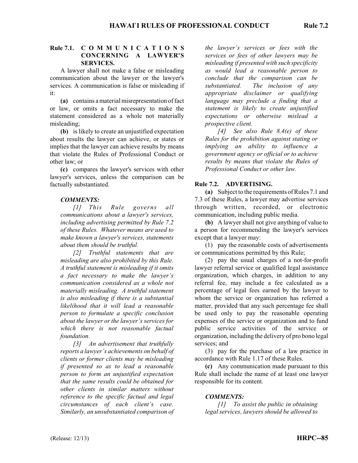# **Rule 7.1. C O M M U N I C A T I O N S CONCERNING A LAWYER'S SERVICES.**

A lawyer shall not make a false or misleading communication about the lawyer or the lawyer's services. A communication is false or misleading if it:

**(a)** contains a material misrepresentation of fact or law, or omits a fact necessary to make the statement considered as a whole not materially misleading;

**(b)** is likely to create an unjustified expectation about results the lawyer can achieve, or states or implies that the lawyer can achieve results by means that violate the Rules of Professional Conduct or other law; or

**(c)** compares the lawyer's services with other lawyer's services, unless the comparison can be factually substantiated.

# *COMMENTS:*

*[1] This Rule governs all communications about a lawyer's services, including advertising permitted by Rule 7.2 of these Rules. Whatever means are used to make known a lawyer's services, statements about them should be truthful.*

*[2] Truthful statements that are misleading are also prohibited by this Rule. A truthful statement is misleading if it omits a fact necessary to make the lawyer's communication considered as a whole not materially misleading. A truthful statement is also misleading if there is a substantial likelihood that it will lead a reasonable person to formulate a specific conclusion about the lawyer or the lawyer's services for which there is not reasonable factual foundation.*

*[3] An advertisement that truthfully reports a lawyer's achievements on behalf of clients or former clients may be misleading if presented so as to lead a reasonable person to form an unjustified expectation that the same results could be obtained for other clients in similar matters without reference to the specific factual and legal circumstances of each client's case. Similarly, an unsubstantiated comparison of*

*the lawyer's services or fees with the services or fees of other lawyers may be misleading if presented with such specificity as would lead a reasonable person to conclude that the comparison can be substantiated. The inclusion of any appropriate disclaimer or qualifying language may preclude a finding that a statement is likely to create unjustified expectations or otherwise mislead a prospective client.*

*[4] See also Rule 8.4(e) of these Rules for the prohibition against stating or implying an ability to influence a government agency or official or to achieve results by means that violate the Rules of Professional Conduct or other law.*

# **Rule 7.2. ADVERTISING.**

**(a)** Subject to the requirements of Rules 7.1 and 7.3 of these Rules, a lawyer may advertise services through written, recorded, or electronic communication, including public media.

**(b)** A lawyer shall not give anything of value to a person for recommending the lawyer's services except that a lawyer may:

(1) pay the reasonable costs of advertisements or communications permitted by this Rule;

(2) pay the usual charges of a not-for-profit lawyer referral service or qualified legal assistance organization, which charges, in addition to any referral fee, may include a fee calculated as a percentage of legal fees earned by the lawyer to whom the service or organization has referred a matter, provided that any such percentage fee shall be used only to pay the reasonable operating expenses of the service or organization and to fund public service activities of the service or organization, including the delivery of pro bono legal services; and

(3) pay for the purchase of a law practice in accordance with Rule 1.17 of these Rules.

**(c)** Any communication made pursuant to this Rule shall include the name of at least one lawyer responsible for its content.

# *COMMENTS:*

*[1] To assist the public in obtaining legal services, lawyers should be allowed to*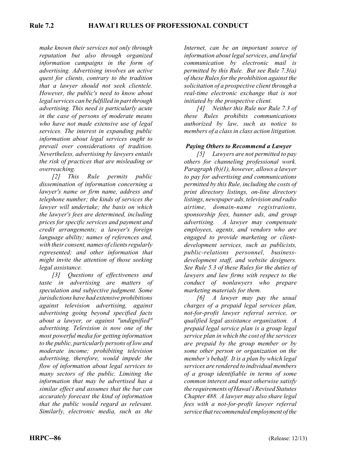*make known their services not only through reputation but also through organized information campaigns in the form of advertising. Advertising involves an active quest for clients, contrary to the tradition that a lawyer should not seek clientele. However, the public's need to know about legal services can be fulfilled in part through advertising. This need is particularly acute in the case of persons of moderate means who have not made extensive use of legal services. The interest in expanding public information about legal services ought to prevail over considerations of tradition. Nevertheless, advertising by lawyers entails the risk of practices that are misleading or overreaching.*

*[2] This Rule permits public dissemination of information concerning a lawyer's name or firm name, address and telephone number; the kinds of services the lawyer will undertake; the basis on which the lawyer's fees are determined, including prices for specific services and payment and credit arrangements; a lawyer's foreign language ability; names of references and, with their consent, names of clients regularly represented; and other information that might invite the attention of those seeking legal assistance.*

*[3] Questions of effectiveness and taste in advertising are matters of speculation and subjective judgment. Some jurisdictions have had extensive prohibitions against television advertising, against advertising going beyond specified facts about a lawyer, or against "undignified" advertising. Television is now one of the most powerful media for getting information to the public, particularly persons of low and moderate income; prohibiting television advertising, therefore, would impede the flow of information about legal services to many sectors of the public. Limiting the information that may be advertised has a similar effect and assumes that the bar can accurately forecast the kind of information that the public would regard as relevant. Similarly, electronic media, such as the*

*Internet, can be an important source of information about legal services, and lawful communication by electronic mail is permitted by this Rule. But see Rule 7.3(a) of these Rules for the prohibition against the solicitation of a prospective client through a real-time electronic exchange that is not initiated by the prospective client.*

*[4] Neither this Rule nor Rule 7.3 of these Rules prohibits communications authorized by law, such as notice to members of a class in class action litigation.*

### *Paying Others to Recommend a Lawyer*

*[5] Lawyers are not permitted to pay others for channeling professional work. Paragraph (b)(1), however, allows a lawyer to pay for advertising and communications permitted by this Rule, including the costs of print directory listings, on-line directory listings, newspaper ads, television and radio airtime, domain-name registrations, sponsorship fees, banner ads, and group advertising. A lawyer may compensate employees, agents, and vendors who are engaged to provide marketing or clientdevelopment services, such as publicists, public-relations personnel, businessdevelopment staff, and website designers. See Rule 5.3 of these Rules for the duties of lawyers and law firms with respect to the conduct of nonlawyers who prepare marketing materials for them.*

*[6] A lawyer may pay the usual charges of a prepaid legal services plan, not-for-profit lawyer referral service, or qualified legal assistance organization. A prepaid legal service plan is a group legal service plan in which the cost of the services are prepaid by the group member or by some other person or organization on the member's behalf. It is a plan by which legal services are rendered to individual members of a group identifiable in terms of some common interest and must otherwise satisfy the requirements of Hawai#i Revised Statutes Chapter 488. A lawyer may also share legal fees with a not-for-profit lawyer referral service that recommended employment of the*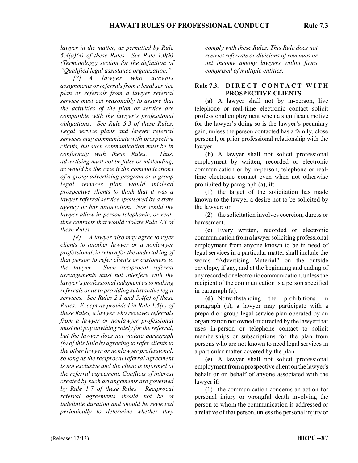*lawyer in the matter, as permitted by Rule 5.4(a)(4) of these Rules. See Rule 1.0(h) (Terminology) section for the definition of "Qualified legal assistance organization."*

*[7] A lawyer who accepts assignments or referrals from a legal service plan or referrals from a lawyer referral service must act reasonably to assure that the activities of the plan or service are compatible with the lawyer's professional obligations. See Rule 5.3 of these Rules. Legal service plans and lawyer referral services may communicate with prospective clients, but such communication must be in conformity with these Rules. Thus, advertising must not be false or misleading, as would be the case if the communications of a group advertising program or a group legal services plan would mislead prospective clients to think that it was a lawyer referral service sponsored by a state agency or bar association. Nor could the lawyer allow in-person telephonic, or realtime contacts that would violate Rule 7.3 of these Rules.*

*[8] A lawyer also may agree to refer clients to another lawyer or a nonlawyer professional, in return for the undertaking of that person to refer clients or customers to the lawyer. Such reciprocal referral arrangements must not interfere with the lawyer's professional judgment as to making referrals or as to providing substantive legal services. See Rules 2.1 and 5.4(c) of these Rules. Except as provided in Rule 1.5(e) of these Rules, a lawyer who receives referrals from a lawyer or nonlawyer professional must not pay anything solely for the referral, but the lawyer does not violate paragraph (b) of this Rule by agreeing to refer clients to the other lawyer or nonlawyer professional, so long as the reciprocal referral agreement is not exclusive and the client is informed of the referral agreement. Conflicts of interest created by such arrangements are governed by Rule 1.7 of these Rules. Reciprocal referral agreements should not be of indefinite duration and should be reviewed periodically to determine whether they*

*comply with these Rules. This Rule does not restrict referrals or divisions of revenues or net income among lawyers within firms comprised of multiple entities.*

# **Rule 7.3. D I R E C T C O N T A C T W I T H PROSPECTIVE CLIENTS.**

**(a)** A lawyer shall not by in-person, live telephone or real-time electronic contact solicit professional employment when a significant motive for the lawyer's doing so is the lawyer's pecuniary gain, unless the person contacted has a family, close personal, or prior professional relationship with the lawyer.

**(b)** A lawyer shall not solicit professional employment by written, recorded or electronic communication or by in-person, telephone or realtime electronic contact even when not otherwise prohibited by paragraph (a), if:

(1) the target of the solicitation has made known to the lawyer a desire not to be solicited by the lawyer; or

(2) the solicitation involves coercion, duress or harassment.

**(c)** Every written, recorded or electronic communication from a lawyer soliciting professional employment from anyone known to be in need of legal services in a particular matter shall include the words "Advertising Material" on the outside envelope, if any, and at the beginning and ending of any recorded or electronic communication, unless the recipient of the communication is a person specified in paragraph (a).

**(d)** Notwithstanding the prohibitions in paragraph (a), a lawyer may participate with a prepaid or group legal service plan operated by an organization not owned or directed by the lawyer that uses in-person or telephone contact to solicit memberships or subscriptions for the plan from persons who are not known to need legal services in a particular matter covered by the plan.

**(e)** A lawyer shall not solicit professional employment from a prospective client on the lawyer's behalf or on behalf of anyone associated with the lawyer if:

(1) the communication concerns an action for personal injury or wrongful death involving the person to whom the communication is addressed or a relative of that person, unless the personal injury or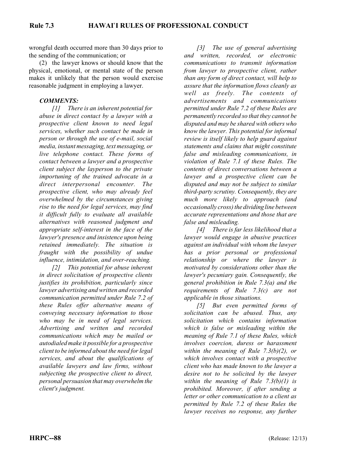wrongful death occurred more than 30 days prior to the sending of the communication; or

(2) the lawyer knows or should know that the physical, emotional, or mental state of the person makes it unlikely that the person would exercise reasonable judgment in employing a lawyer.

### *COMMENTS:*

*[1] There is an inherent potential for abuse in direct contact by a lawyer with a prospective client known to need legal services, whether such contact be made in person or through the use of e-mail, social media, instant messaging, text messaging, or live telephone contact. These forms of contact between a lawyer and a prospective client subject the layperson to the private importuning of the trained advocate in a direct interpersonal encounter. The prospective client, who may already feel overwhelmed by the circumstances giving rise to the need for legal services, may find it difficult fully to evaluate all available alternatives with reasoned judgment and appropriate self-interest in the face of the lawyer's presence and insistence upon being retained immediately. The situation is fraught with the possibility of undue influence, intimidation, and over-reaching.*

*[2] This potential for abuse inherent in direct solicitation of prospective clients justifies its prohibition, particularly since lawyer advertising and written and recorded communication permitted under Rule 7.2 of these Rules offer alternative means of conveying necessary information to those who may be in need of legal services. Advertising and written and recorded communications which may be mailed or autodialed make it possible for a prospective client to be informed about the need for legal services, and about the qualifications of available lawyers and law firms, without subjecting the prospective client to direct, personal persuasion that may overwhelm the client's judgment.*

*[3] The use of general advertising and written, recorded, or electronic communications to transmit information from lawyer to prospective client, rather than any form of direct contact, will help to assure that the information flows cleanly as well as freely. The contents of advertisements and communications permitted under Rule 7.2 of these Rules are permanently recorded so that they cannot be disputed and may be shared with others who know the lawyer. This potential for informal review is itself likely to help guard against statements and claims that might constitute false and misleading communications, in violation of Rule 7.1 of these Rules. The contents of direct conversations between a lawyer and a prospective client can be disputed and may not be subject to similar third-party scrutiny. Consequently, they are much more likely to approach (and occasionally cross) the dividing line between accurate representations and those that are false and misleading.*

*[4] There is far less likelihood that a lawyer would engage in abusive practices against an individual with whom the lawyer has a prior personal or professional relationship or where the lawyer is motivated by considerations other than the lawyer's pecuniary gain. Consequently, the general prohibition in Rule 7.3(a) and the requirements of Rule 7.3(c) are not applicable in those situations.*

*[5] But even permitted forms of solicitation can be abused. Thus, any solicitation which contains information which is false or misleading within the meaning of Rule 7.1 of these Rules, which involves coercion, duress or harassment within the meaning of Rule 7.3(b)(2), or which involves contact with a prospective client who has made known to the lawyer a desire not to be solicited by the lawyer within the meaning of Rule 7.3(b)(1) is prohibited. Moreover, if after sending a letter or other communication to a client as permitted by Rule 7.2 of these Rules the lawyer receives no response, any further*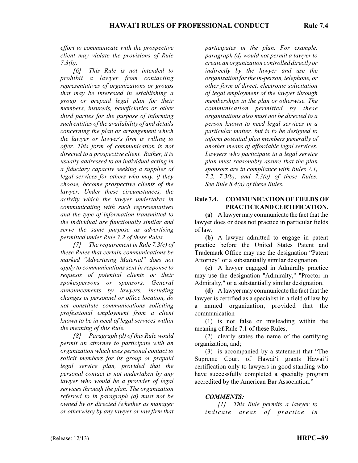*effort to communicate with the prospective client may violate the provisions of Rule 7.3(b).*

*[6] This Rule is not intended to prohibit a lawyer from contacting representatives of organizations or groups that may be interested in establishing a group or prepaid legal plan for their members, insureds, beneficiaries or other third parties for the purpose of informing such entities of the availability of and details concerning the plan or arrangement which the lawyer or lawyer's firm is willing to offer. This form of communication is not directed to a prospective client. Rather, it is usually addressed to an individual acting in a fiduciary capacity seeking a supplier of legal services for others who may, if they choose, become prospective clients of the lawyer. Under these circumstances, the activity which the lawyer undertakes in communicating with such representatives and the type of information transmitted to the individual are functionally similar and serve the same purpose as advertising permitted under Rule 7.2 of these Rules.*

*[7] The requirement in Rule 7.3(c) of these Rules that certain communications be marked "Advertising Material" does not apply to communications sent in response to requests of potential clients or their spokespersons or sponsors. General announcements by lawyers, including changes in personnel or office location, do not constitute communications soliciting professional employment from a client known to be in need of legal services within the meaning of this Rule.*

*[8] Paragraph (d) of this Rule would permit an attorney to participate with an organization which uses personal contact to solicit members for its group or prepaid legal service plan, provided that the personal contact is not undertaken by any lawyer who would be a provider of legal services through the plan. The organization referred to in paragraph (d) must not be owned by or directed (whether as manager or otherwise) by any lawyer or law firm that*

*participates in the plan. For example, paragraph (d) would not permit a lawyer to create an organization controlled directly or indirectly by the lawyer and use the organization for the in-person, telephone, or other form of direct, electronic solicitation of legal employment of the lawyer through memberships in the plan or otherwise. The communication permitted by these organizations also must not be directed to a person known to need legal services in a particular matter, but is to be designed to inform potential plan members generally of another means of affordable legal services. Lawyers who participate in a legal service plan must reasonably assure that the plan sponsors are in compliance with Rules 7.1, 7.2, 7.3(b), and 7.3(e) of these Rules. See Rule 8.4(a) of these Rules.*

# **Rule 7.4. COMMUNICATION OF FIELDS OF PRACTICE AND CERTIFICATION.**

**(a)** A lawyer may communicate the fact that the lawyer does or does not practice in particular fields of law.

**(b)** A lawyer admitted to engage in patent practice before the United States Patent and Trademark Office may use the designation "Patent Attorney" or a substantially similar designation.

**(c)** A lawyer engaged in Admiralty practice may use the designation "Admiralty," "Proctor in Admiralty," or a substantially similar designation.

**(d)** A lawyer may communicate the fact that the lawyer is certified as a specialist in a field of law by a named organization, provided that the communication

(1) is not false or misleading within the meaning of Rule 7.1 of these Rules,

(2) clearly states the name of the certifying organization, and;

(3) is accompanied by a statement that "The Supreme Court of Hawai'i grants Hawai'i certification only to lawyers in good standing who have successfully completed a specialty program accredited by the American Bar Association."

# *COMMENTS:*

*[1] This Rule permits a lawyer to indicate areas of practice in*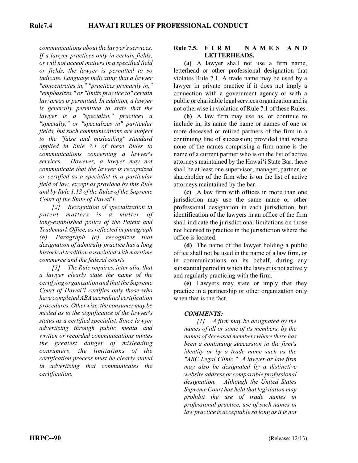*communications about the lawyer's services. If a lawyer practices only in certain fields, or will not accept matters in a specified field or fields, the lawyer is permitted to so indicate. Language indicating that a lawyer "concentrates in," "practices primarily in," "emphasizes," or "limits practice to" certain law areas is permitted. In addition, a lawyer is generally permitted to state that the lawyer is a "specialist," practices a "specialty," or "specializes in" particular fields, but such communications are subject to the "false and misleading" standard applied in Rule 7.1 of these Rules to communications concerning a lawyer's services. However, a lawyer may not communicate that the lawyer is recognized or certified as a specialist in a particular field of law, except as provided by this Rule and by Rule 1.13 of the Rules of the Supreme Court of the State of Hawai<sup><i>'*</sup>*i*.

*[2] Recognition of specialization in patent matters is a matter of long-established policy of the Patent and Trademark Office, as reflected in paragraph (b). Paragraph (c) recognizes that designation of admiralty practice has a long historical tradition associated with maritime commerce and the federal courts.*

*[3] The Rule requires, inter alia, that a lawyer clearly state the name of the certifying organization and that the Supreme Court of Hawai'i certifies only those who have completed ABA accredited certification procedures. Otherwise, the consumer may be misled as to the significance of the lawyer's status as a certified specialist. Since lawyer advertising through public media and written or recorded communications invites the greatest danger of misleading consumers, the limitations of the certification process must be clearly stated in advertising that communicates the certification.*

### **Rule 7.5. F I R M N A M E S A N D LETTERHEADS.**

**(a)** A lawyer shall not use a firm name, letterhead or other professional designation that violates Rule 7.1. A trade name may be used by a lawyer in private practice if it does not imply a connection with a government agency or with a public or charitable legal services organization and is not otherwise in violation of Rule 7.1 of these Rules.

**(b)** A law firm may use as, or continue to include in, its name the name or names of one or more deceased or retired partners of the firm in a continuing line of succession; provided that where none of the names comprising a firm name is the name of a current partner who is on the list of active attorneys maintained by the Hawai'i State Bar, there shall be at least one supervisor, manager, partner, or shareholder of the firm who is on the list of active attorneys maintained by the bar.

**(c)** A law firm with offices in more than one jurisdiction may use the same name or other professional designation in each jurisdiction, but identification of the lawyers in an office of the firm shall indicate the jurisdictional limitations on those not licensed to practice in the jurisdiction where the office is located.

**(d)** The name of the lawyer holding a public office shall not be used in the name of a law firm, or in communications on its behalf, during any substantial period in which the lawyer is not actively and regularly practicing with the firm.

**(e)** Lawyers may state or imply that they practice in a partnership or other organization only when that is the fact.

# *COMMENTS:*

*[1] A firm may be designated by the names of all or some of its members, by the names of deceased members where there has been a continuing succession in the firm's identity or by a trade name such as the "ABC Legal Clinic." A lawyer or law firm may also be designated by a distinctive website address or comparable professional designation. Although the United States Supreme Court has held that legislation may prohibit the use of trade names in professional practice, use of such names in law practice is acceptable so long as it is not*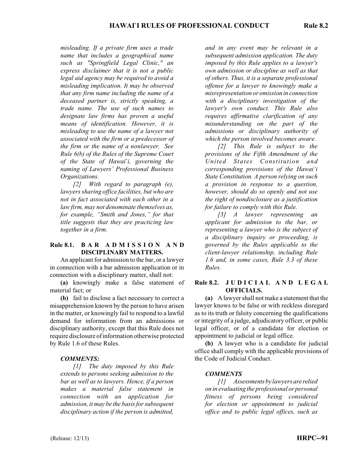*misleading. If a private firm uses a trade name that includes a geographical name such as "Springfield Legal Clinic," an express disclaimer that it is not a public legal aid agency may be required to avoid a misleading implication. It may be observed that any firm name including the name of a deceased partner is, strictly speaking, a trade name. The use of such names to designate law firms has proven a useful means of identification. However, it is misleading to use the name of a lawyer not associated with the firm or a predecessor of the firm or the name of a nonlawyer. See Rule 6(b) of the Rules of the Supreme Court of the State of Hawai#i, governing the naming of Lawyers' Professional Business Organizations.*

*[2] With regard to paragraph (e), lawyers sharing office facilities, but who are not in fact associated with each other in a law firm, may not denominate themselves as, for example, "Smith and Jones," for that title suggests that they are practicing law together in a firm.*

# **Rule 8.1. B A R A D M I S S I O N A N D DISCIPLINARY MATTERS.**

An applicant for admission to the bar, or a lawyer in connection with a bar admission application or in connection with a disciplinary matter, shall not:

**(a)** knowingly make a false statement of material fact; or

**(b)** fail to disclose a fact necessary to correct a misapprehension known by the person to have arisen in the matter, or knowingly fail to respond to a lawful demand for information from an admissions or disciplinary authority, except that this Rule does not require disclosure of information otherwise protected by Rule 1.6 of these Rules.

# *COMMENTS:*

*[1] The duty imposed by this Rule extends to persons seeking admission to the bar as well as to lawyers. Hence, if a person makes a material false statement in connection with an application for admission, it may be the basis for subsequent disciplinary action if the person is admitted,*

*and in any event may be relevant in a subsequent admission application. The duty imposed by this Rule applies to a lawyer's own admission or discipline as well as that of others. Thus, it is a separate professional offense for a lawyer to knowingly make a misrepresentation or omission in connection with a disciplinary investigation of the lawyer's own conduct. This Rule also requires affirmative clarification of any misunderstanding on the part of the admissions or disciplinary authority of which the person involved becomes aware.*

*[2] This Rule is subject to the provisions of the Fifth Amendment of the United States Constitution and corresponding provisions of the Hawai'i State Constitution. A person relying on such a provision in response to a question, however, should do so openly and not use the right of nondisclosure as a justification for failure to comply with this Rule.*

*[3] A lawyer representing an applicant for admission to the bar, or representing a lawyer who is the subject of a disciplinary inquiry or proceeding, is governed by the Rules applicable to the client-lawyer relationship, including Rule 1.6 and, in some cases, Rule 3.3 of these Rules.*

# **Rule 8.2. J U D I C I A L A N D L E G A L OFFICIALS.**

**(a)** A lawyer shall not make a statement that the lawyer knows to be false or with reckless disregard as to its truth or falsity concerning the qualifications or integrity of a judge, adjudicatory officer, or public legal officer, or of a candidate for election or appointment to judicial or legal office.

**(b)** A lawyer who is a candidate for judicial office shall comply with the applicable provisions of the Code of Judicial Conduct.

# *COMMENTS*

*[1] Assessments by lawyers are relied on in evaluating the professional or personal fitness of persons being considered for election or appointment to judicial office and to public legal offices, such as*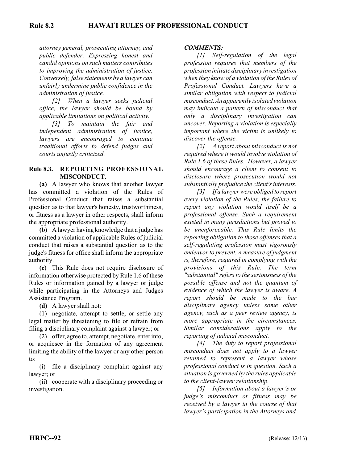*attorney general, prosecuting attorney, and public defender. Expressing honest and candid opinions on such matters contributes to improving the administration of justice. Conversely, false statements by a lawyer can unfairly undermine public confidence in the administration of justice.*

*[2] When a lawyer seeks judicial office, the lawyer should be bound by applicable limitations on political activity.*

*[3] To maintain the fair and independent administration of justice, lawyers are encouraged to continue traditional efforts to defend judges and courts unjustly criticized.*

### **Rule 8.3. REPORTING PROFESSIONAL MISCONDUCT.**

**(a)** A lawyer who knows that another lawyer has committed a violation of the Rules of Professional Conduct that raises a substantial question as to that lawyer's honesty, trustworthiness, or fitness as a lawyer in other respects, shall inform the appropriate professional authority.

**(b)** A lawyer having knowledge that a judge has committed a violation of applicable Rules of judicial conduct that raises a substantial question as to the judge's fitness for office shall inform the appropriate authority.

**(c)** This Rule does not require disclosure of information otherwise protected by Rule 1.6 of these Rules or information gained by a lawyer or judge while participating in the Attorneys and Judges Assistance Program.

**(d)** A lawyer shall not:

(1) negotiate, attempt to settle, or settle any legal matter by threatening to file or refrain from filing a disciplinary complaint against a lawyer; or

(2) offer, agree to, attempt, negotiate, enter into, or acquiesce in the formation of any agreement limiting the ability of the lawyer or any other person to:

(i) file a disciplinary complaint against any lawyer; or

(ii) cooperate with a disciplinary proceeding or investigation.

### *COMMENTS:*

*[1] Self-regulation of the legal profession requires that members of the profession initiate disciplinary investigation when they know of a violation of the Rules of Professional Conduct. Lawyers have a similar obligation with respect to judicial misconduct. An apparently isolated violation may indicate a pattern of misconduct that only a disciplinary investigation can uncover. Reporting a violation is especially important where the victim is unlikely to discover the offense.*

*[2] A report about misconduct is not required where it would involve violation of Rule 1.6 of these Rules. However, a lawyer should encourage a client to consent to disclosure where prosecution would not substantially prejudice the client's interests.*

*[3] If a lawyer were obliged to report every violation of the Rules, the failure to report any violation would itself be a professional offense. Such a requirement existed in many jurisdictions but proved to be unenforceable. This Rule limits the reporting obligation to those offenses that a self-regulating profession must vigorously endeavor to prevent. A measure of judgment is, therefore, required in complying with the provisions of this Rule. The term "substantial" refers to the seriousness of the possible offense and not the quantum of evidence of which the lawyer is aware. A report should be made to the bar disciplinary agency unless some other agency, such as a peer review agency, is more appropriate in the circumstances. Similar considerations apply to the reporting of judicial misconduct.*

*[4] The duty to report professional misconduct does not apply to a lawyer retained to represent a lawyer whose professional conduct is in question. Such a situation is governed by the rules applicable to the client-lawyer relationship.*

*[5] Information about a lawyer's or judge's misconduct or fitness may be received by a lawyer in the course of that lawyer's participation in the Attorneys and*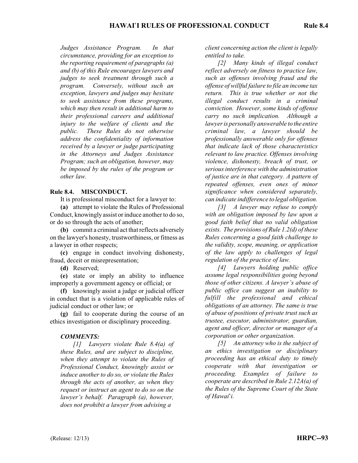*Judges Assistance Program. In that circumstance, providing for an exception to the reporting requirement of paragraphs (a) and (b) of this Rule encourages lawyers and judges to seek treatment through such a program. Conversely, without such an exception, lawyers and judges may hesitate to seek assistance from these programs, which may then result in additional harm to their professional careers and additional injury to the welfare of clients and the public. These Rules do not otherwise address the confidentiality of information received by a lawyer or judge participating in the Attorneys and Judges Assistance Program; such an obligation, however, may be imposed by the rules of the program or other law.*

### **Rule 8.4. MISCONDUCT.**

It is professional misconduct for a lawyer to:

**(a)** attempt to violate the Rules of Professional Conduct, knowingly assist or induce another to do so, or do so through the acts of another;

**(b)** commit a criminal act that reflects adversely on the lawyer's honesty, trustworthiness, or fitness as a lawyer in other respects;

**(c)** engage in conduct involving dishonesty, fraud, deceit or misrepresentation;

**(d)** Reserved;

**(e)** state or imply an ability to influence improperly a government agency or official; or

**(f)** knowingly assist a judge or judicial officer in conduct that is a violation of applicable rules of judicial conduct or other law; or

**(g)** fail to cooperate during the course of an ethics investigation or disciplinary proceeding.

### *COMMENTS:*

*[1] Lawyers violate Rule 8.4(a) of these Rules, and are subject to discipline, when they attempt to violate the Rules of Professional Conduct, knowingly assist or induce another to do so, or violate the Rules through the acts of another, as when they request or instruct an agent to do so on the lawyer's behalf. Paragraph (a), however, does not prohibit a lawyer from advising a* 

*client concerning action the client is legally entitled to take.*

*[2] Many kinds of illegal conduct reflect adversely on fitness to practice law, such as offenses involving fraud and the offense of willful failure to file an income tax return. This is true whether or not the illegal conduct results in a criminal conviction. However, some kinds of offense carry no such implication. Although a lawyer is personally answerable to the entire criminal law, a lawyer should be professionally answerable only for offenses that indicate lack of those characteristics relevant to law practice. Offenses involving violence, dishonesty, breach of trust, or serious interference with the administration of justice are in that category. A pattern of repeated offenses, even ones of minor significance when considered separately, can indicate indifference to legal obligation.*

*[3] A lawyer may refuse to comply with an obligation imposed by law upon a good faith belief that no valid obligation exists. The provisions of Rule 1.2(d) of these Rules concerning a good faith challenge to the validity, scope, meaning, or application of the law apply to challenges of legal regulation of the practice of law.*

*[4] Lawyers holding public office assume legal responsibilities going beyond those of other citizens. A lawyer's abuse of public office can suggest an inability to fulfill the professional and ethical obligations of an attorney. The same is true of abuse of positions of private trust such as trustee, executor, administrator, guardian, agent and officer, director or manager of a corporation or other organization.*

*[5] An attorney who is the subject of an ethics investigation or disciplinary proceeding has an ethical duty to timely cooperate with that investigation or proceeding. Examples of failure to cooperate are described in Rule 2.12A(a) of the Rules of the Supreme Court of the State of Hawai*<sup>*'i.*</sup>